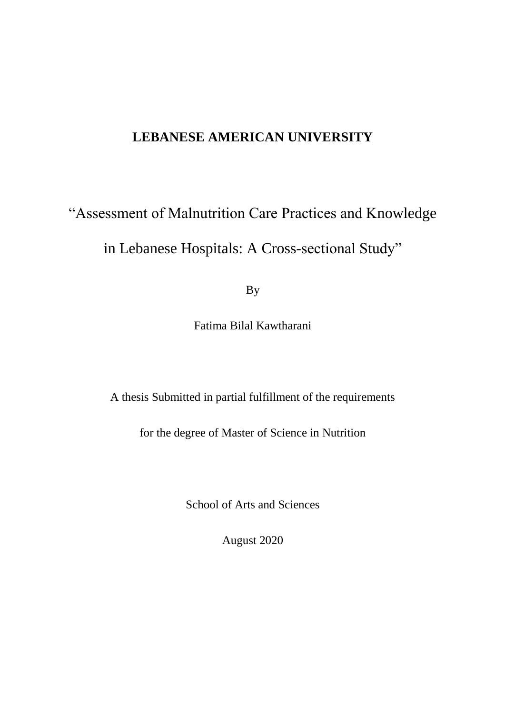# **LEBANESE AMERICAN UNIVERSITY**

# "Assessment of Malnutrition Care Practices and Knowledge

in Lebanese Hospitals: A Cross-sectional Study"

By

Fatima Bilal Kawtharani

A thesis Submitted in partial fulfillment of the requirements

for the degree of Master of Science in Nutrition

School of Arts and Sciences

August 2020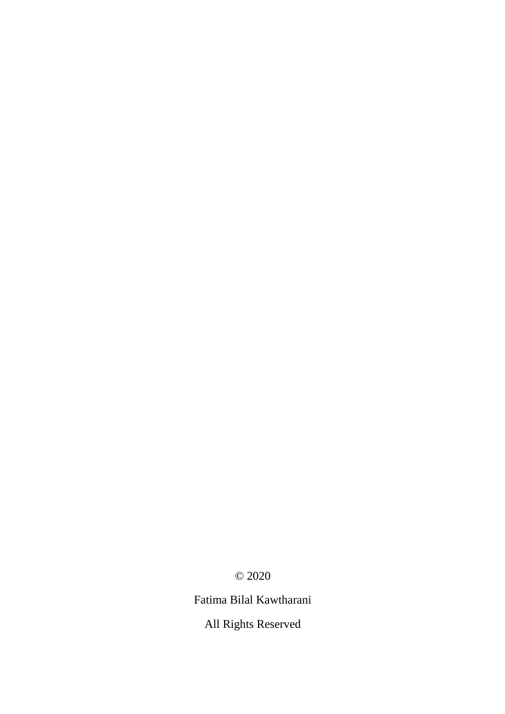© 2020

Fatima Bilal Kawtharani

All Rights Reserved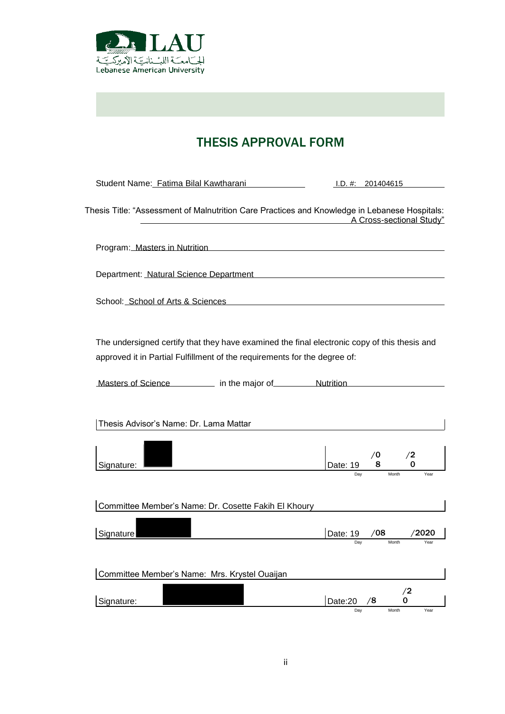

# THESIS APPROVAL FORM

| Student Name: Fatima Bilal Kawtharani                                                                                                                                     | I.D. #: 201404615                                                                 |
|---------------------------------------------------------------------------------------------------------------------------------------------------------------------------|-----------------------------------------------------------------------------------|
| Thesis Title: "Assessment of Malnutrition Care Practices and Knowledge in Lebanese Hospitals:                                                                             | A Cross-sectional Study"                                                          |
| Program: Masters in Nutrition <b>Constanting Construction</b> Program:                                                                                                    |                                                                                   |
| Department: Natural Science Department Natural Accords 2014 1996                                                                                                          |                                                                                   |
| School: School of Arts & Sciences                                                                                                                                         |                                                                                   |
| The undersigned certify that they have examined the final electronic copy of this thesis and<br>approved it in Partial Fulfillment of the requirements for the degree of: |                                                                                   |
| Masters of Science in the major of Nutrition                                                                                                                              |                                                                                   |
| Thesis Advisor's Name: Dr. Lama Mattar                                                                                                                                    |                                                                                   |
| Signature:                                                                                                                                                                | $\begin{array}{c} \sqrt{0} \\ \text{Date: 19} \end{array}$ 8<br>/2<br>$\mathbf 0$ |
| Committee Member's Name: Dr. Cosette Fakih El Khoury                                                                                                                      |                                                                                   |
| Signature                                                                                                                                                                 | /08<br>Date: 19<br>/2020                                                          |
| Committee Member's Name: Mrs. Krystel Ouaijan                                                                                                                             |                                                                                   |
| Signature:                                                                                                                                                                | /2<br>0<br>/8<br>Date:20<br>Day<br>Month<br>Year                                  |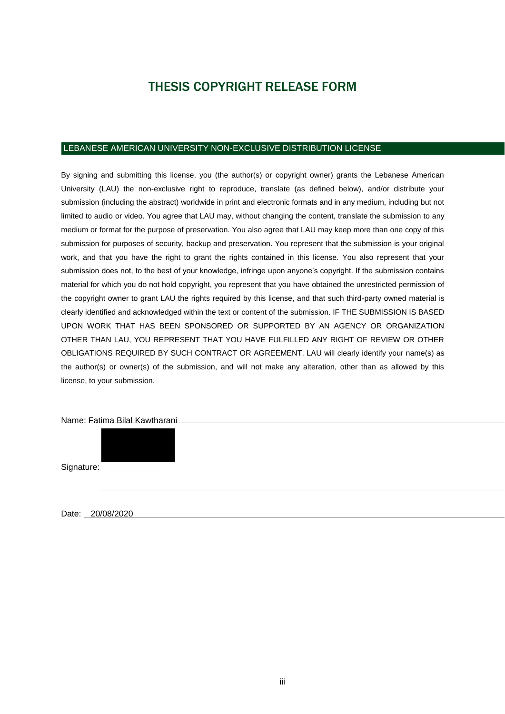# THESIS COPYRIGHT RELEASE FORM

#### LEBANESE AMERICAN UNIVERSITY NON-EXCLUSIVE DISTRIBUTION LICENSE

By signing and submitting this license, you (the author(s) or copyright owner) grants the Lebanese American University (LAU) the non-exclusive right to reproduce, translate (as defined below), and/or distribute your submission (including the abstract) worldwide in print and electronic formats and in any medium, including but not limited to audio or video. You agree that LAU may, without changing the content, translate the submission to any medium or format for the purpose of preservation. You also agree that LAU may keep more than one copy of this submission for purposes of security, backup and preservation. You represent that the submission is your original work, and that you have the right to grant the rights contained in this license. You also represent that your submission does not, to the best of your knowledge, infringe upon anyone's copyright. If the submission contains material for which you do not hold copyright, you represent that you have obtained the unrestricted permission of the copyright owner to grant LAU the rights required by this license, and that such third-party owned material is clearly identified and acknowledged within the text or content of the submission. IF THE SUBMISSION IS BASED UPON WORK THAT HAS BEEN SPONSORED OR SUPPORTED BY AN AGENCY OR ORGANIZATION OTHER THAN LAU, YOU REPRESENT THAT YOU HAVE FULFILLED ANY RIGHT OF REVIEW OR OTHER OBLIGATIONS REQUIRED BY SUCH CONTRACT OR AGREEMENT. LAU will clearly identify your name(s) as the author(s) or owner(s) of the submission, and will not make any alteration, other than as allowed by this license, to your submission.

Name: Fatima Bilal Kawtharani

Signature:

Date: 20/08/2020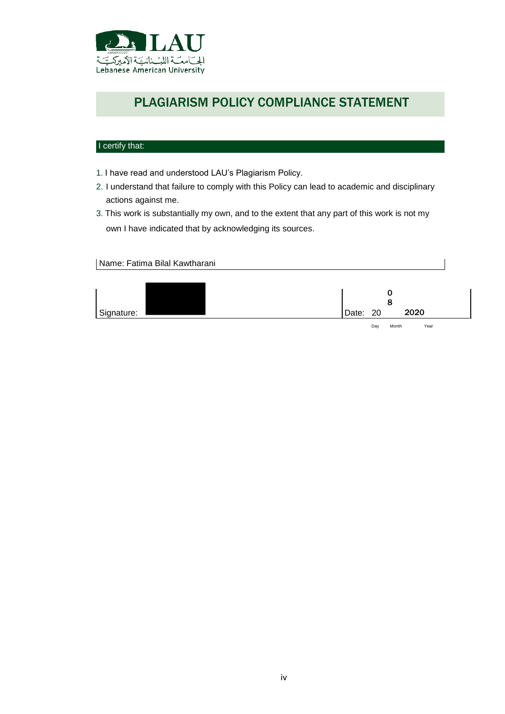

# PLAGIARISM POLICY COMPLIANCE STATEMENT

## I certify that:

- 1. I have read and understood LAU's Plagiarism Policy.
- 2. I understand that failure to comply with this Policy can lead to academic and disciplinary actions against me.
- 3. This work is substantially my own, and to the extent that any part of this work is not my own I have indicated that by acknowledging its sources.

Name: Fatima Bilal Kawtharani

| 2020<br>Signature:<br>Date: 20 |  |  |
|--------------------------------|--|--|

Day Month Year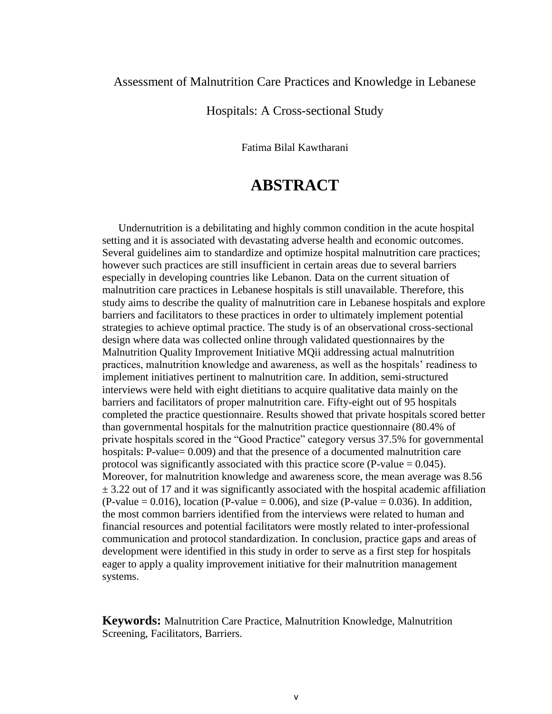## Assessment of Malnutrition Care Practices and Knowledge in Lebanese

## Hospitals: A Cross-sectional Study

Fatima Bilal Kawtharani

# **ABSTRACT**

Undernutrition is a debilitating and highly common condition in the acute hospital setting and it is associated with devastating adverse health and economic outcomes. Several guidelines aim to standardize and optimize hospital malnutrition care practices; however such practices are still insufficient in certain areas due to several barriers especially in developing countries like Lebanon. Data on the current situation of malnutrition care practices in Lebanese hospitals is still unavailable. Therefore, this study aims to describe the quality of malnutrition care in Lebanese hospitals and explore barriers and facilitators to these practices in order to ultimately implement potential strategies to achieve optimal practice. The study is of an observational cross-sectional design where data was collected online through validated questionnaires by the Malnutrition Quality Improvement Initiative MQii addressing actual malnutrition practices, malnutrition knowledge and awareness, as well as the hospitals' readiness to implement initiatives pertinent to malnutrition care. In addition, semi-structured interviews were held with eight dietitians to acquire qualitative data mainly on the barriers and facilitators of proper malnutrition care. Fifty-eight out of 95 hospitals completed the practice questionnaire. Results showed that private hospitals scored better than governmental hospitals for the malnutrition practice questionnaire (80.4% of private hospitals scored in the "Good Practice" category versus 37.5% for governmental hospitals: P-value= 0.009) and that the presence of a documented malnutrition care protocol was significantly associated with this practice score (P-value  $= 0.045$ ). Moreover, for malnutrition knowledge and awareness score, the mean average was 8.56  $\pm$  3.22 out of 17 and it was significantly associated with the hospital academic affiliation  $(P-value = 0.016)$ , location  $(P-value = 0.006)$ , and size  $(P-value = 0.036)$ . In addition, the most common barriers identified from the interviews were related to human and financial resources and potential facilitators were mostly related to inter-professional communication and protocol standardization. In conclusion, practice gaps and areas of development were identified in this study in order to serve as a first step for hospitals eager to apply a quality improvement initiative for their malnutrition management systems.

**Keywords:** Malnutrition Care Practice, Malnutrition Knowledge, Malnutrition Screening, Facilitators, Barriers.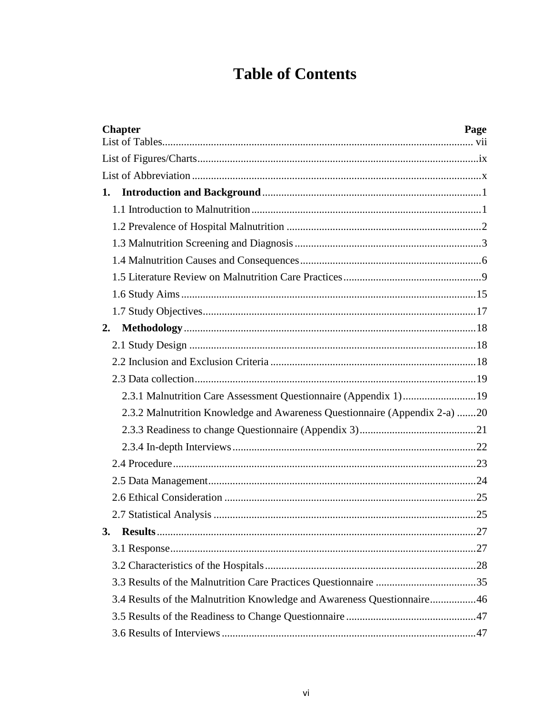# **Table of Contents**

| <b>Chapter</b><br>Page                                                     |
|----------------------------------------------------------------------------|
|                                                                            |
|                                                                            |
| 1.                                                                         |
|                                                                            |
|                                                                            |
|                                                                            |
|                                                                            |
|                                                                            |
|                                                                            |
|                                                                            |
| 2.                                                                         |
|                                                                            |
|                                                                            |
|                                                                            |
|                                                                            |
| 2.3.2 Malnutrition Knowledge and Awareness Questionnaire (Appendix 2-a) 20 |
|                                                                            |
|                                                                            |
|                                                                            |
|                                                                            |
|                                                                            |
|                                                                            |
| 3.                                                                         |
|                                                                            |
|                                                                            |
|                                                                            |
| 3.4 Results of the Malnutrition Knowledge and Awareness Questionnaire46    |
|                                                                            |
|                                                                            |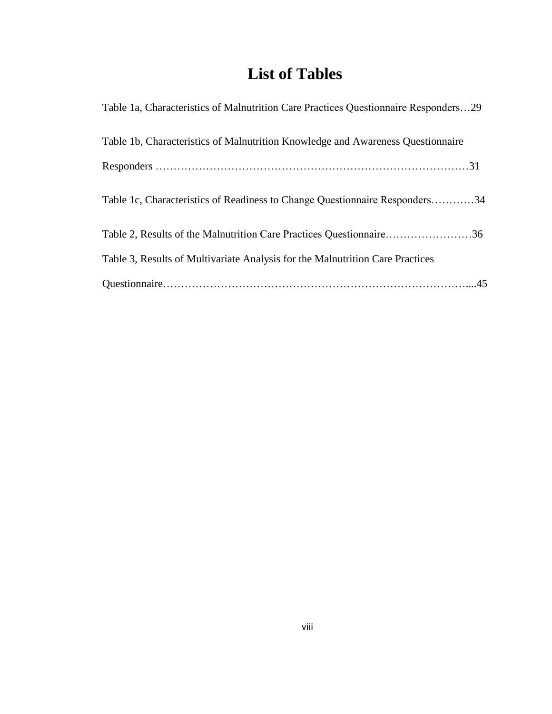# **List of Tables**

<span id="page-8-0"></span>

| Table 1a, Characteristics of Malnutrition Care Practices Questionnaire Responders29 |
|-------------------------------------------------------------------------------------|
| Table 1b, Characteristics of Malnutrition Knowledge and Awareness Questionnaire     |
|                                                                                     |
| Table 1c, Characteristics of Readiness to Change Questionnaire Responders34         |
| Table 2, Results of the Malnutrition Care Practices Questionnaire36                 |
| Table 3, Results of Multivariate Analysis for the Malnutrition Care Practices       |
|                                                                                     |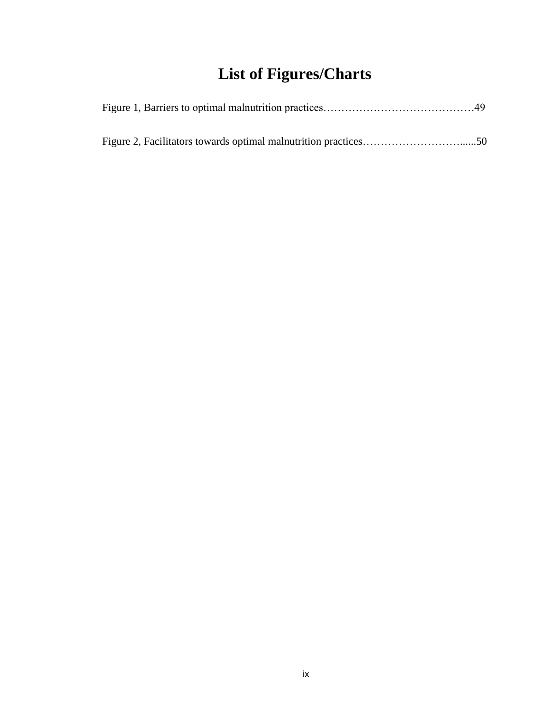# **List of Figures/Charts**

<span id="page-9-0"></span>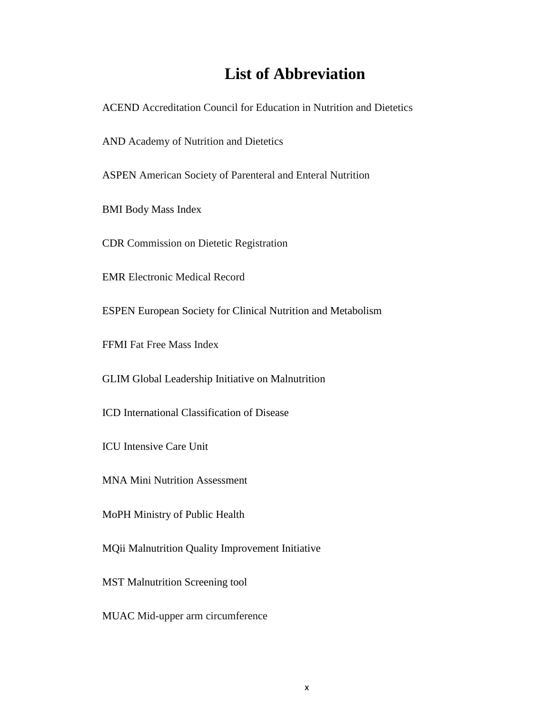# **List of Abbreviation**

<span id="page-10-0"></span>ACEND Accreditation Council for Education in Nutrition and Dietetics

AND Academy of Nutrition and Dietetics

ASPEN American Society of Parenteral and Enteral Nutrition

BMI Body Mass Index

CDR Commission on Dietetic Registration

EMR Electronic Medical Record

ESPEN European Society for Clinical Nutrition and Metabolism

FFMI Fat Free Mass Index

GLIM Global Leadership Initiative on Malnutrition

ICD International Classification of Disease

ICU Intensive Care Unit

MNA Mini Nutrition Assessment

MoPH Ministry of Public Health

MQii Malnutrition Quality Improvement Initiative

MST Malnutrition Screening tool

MUAC Mid-upper arm circumference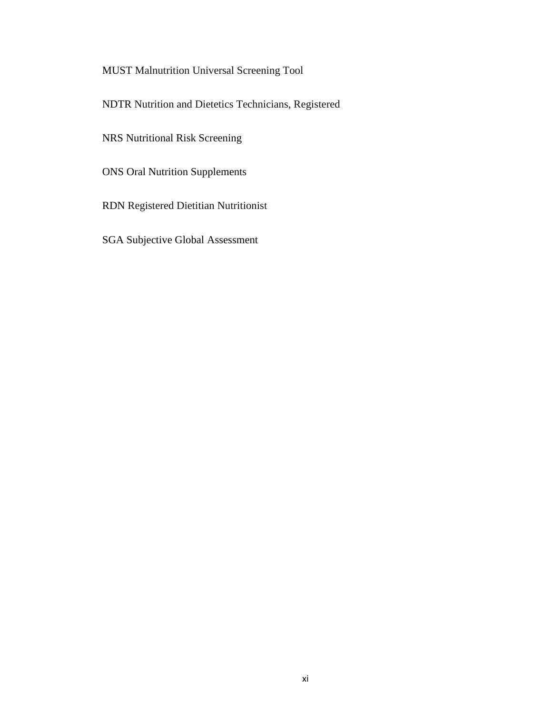## MUST Malnutrition Universal Screening Tool

NDTR Nutrition and Dietetics Technicians, Registered

NRS Nutritional Risk Screening

ONS Oral Nutrition Supplements

RDN Registered Dietitian Nutritionist

SGA Subjective Global Assessment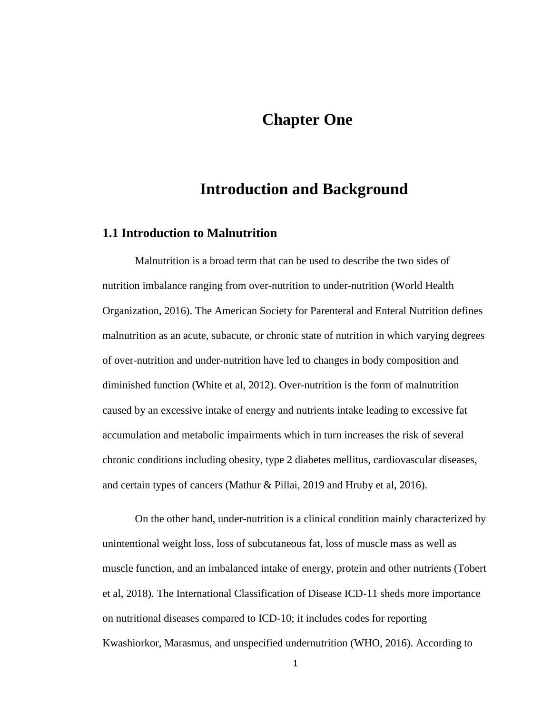## **Chapter One**

## **Introduction and Background**

## <span id="page-12-1"></span><span id="page-12-0"></span>**1.1 Introduction to Malnutrition**

Malnutrition is a broad term that can be used to describe the two sides of nutrition imbalance ranging from over-nutrition to under-nutrition (World Health Organization, 2016). The American Society for Parenteral and Enteral Nutrition defines malnutrition as an acute, subacute, or chronic state of nutrition in which varying degrees of over-nutrition and under-nutrition have led to changes in body composition and diminished function (White et al, 2012). Over-nutrition is the form of malnutrition caused by an excessive intake of energy and nutrients intake leading to excessive fat accumulation and metabolic impairments which in turn increases the risk of several chronic conditions including obesity, type 2 diabetes mellitus, cardiovascular diseases, and certain types of cancers (Mathur & Pillai, 2019 and Hruby et al, 2016).

On the other hand, under-nutrition is a clinical condition mainly characterized by unintentional weight loss, loss of subcutaneous fat, loss of muscle mass as well as muscle function, and an imbalanced intake of energy, protein and other nutrients (Tobert et al, 2018). The International Classification of Disease ICD-11 sheds more importance on nutritional diseases compared to ICD-10; it includes codes for reporting Kwashiorkor, Marasmus, and unspecified undernutrition (WHO, 2016). According to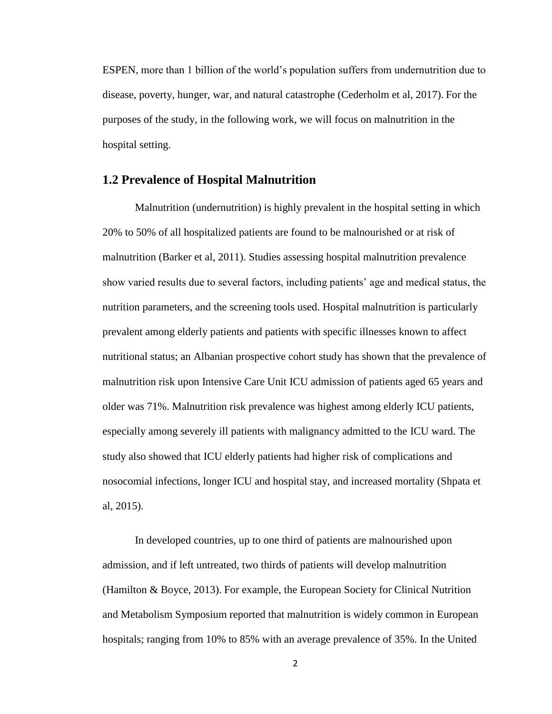ESPEN, more than 1 billion of the world's population suffers from undernutrition due to disease, poverty, hunger, war, and natural catastrophe (Cederholm et al, 2017). For the purposes of the study, in the following work, we will focus on malnutrition in the hospital setting.

## <span id="page-13-0"></span>**1.2 Prevalence of Hospital Malnutrition**

Malnutrition (undernutrition) is highly prevalent in the hospital setting in which 20% to 50% of all hospitalized patients are found to be malnourished or at risk of malnutrition (Barker et al, 2011). Studies assessing hospital malnutrition prevalence show varied results due to several factors, including patients' age and medical status, the nutrition parameters, and the screening tools used. Hospital malnutrition is particularly prevalent among elderly patients and patients with specific illnesses known to affect nutritional status; an Albanian prospective cohort study has shown that the prevalence of malnutrition risk upon Intensive Care Unit ICU admission of patients aged 65 years and older was 71%. Malnutrition risk prevalence was highest among elderly ICU patients, especially among severely ill patients with malignancy admitted to the ICU ward. The study also showed that ICU elderly patients had higher risk of complications and nosocomial infections, longer ICU and hospital stay, and increased mortality (Shpata et al, 2015).

In developed countries, up to one third of patients are malnourished upon admission, and if left untreated, two thirds of patients will develop malnutrition (Hamilton & Boyce, 2013). For example, the European Society for Clinical Nutrition and Metabolism Symposium reported that malnutrition is widely common in European hospitals; ranging from 10% to 85% with an average prevalence of 35%. In the United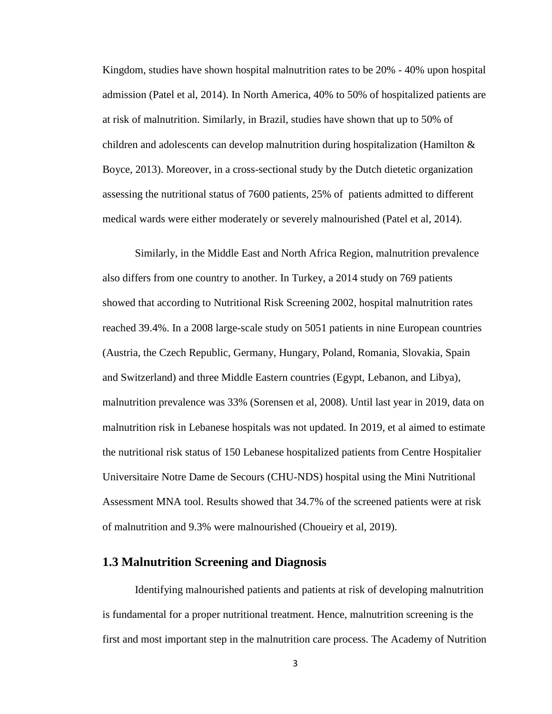Kingdom, studies have shown hospital malnutrition rates to be 20% - 40% upon hospital admission (Patel et al, 2014). In North America, 40% to 50% of hospitalized patients are at risk of malnutrition. Similarly, in Brazil, studies have shown that up to 50% of children and adolescents can develop malnutrition during hospitalization (Hamilton & Boyce, 2013). Moreover, in a cross-sectional study by the Dutch dietetic organization assessing the nutritional status of 7600 patients, 25% of patients admitted to different medical wards were either moderately or severely malnourished (Patel et al, 2014).

Similarly, in the Middle East and North Africa Region, malnutrition prevalence also differs from one country to another. In Turkey, a 2014 study on 769 patients showed that according to Nutritional Risk Screening 2002, hospital malnutrition rates reached 39.4%. In a 2008 large-scale study on 5051 patients in nine European countries (Austria, the Czech Republic, Germany, Hungary, Poland, Romania, Slovakia, Spain and Switzerland) and three Middle Eastern countries (Egypt, Lebanon, and Libya), malnutrition prevalence was 33% (Sorensen et al, 2008). Until last year in 2019, data on malnutrition risk in Lebanese hospitals was not updated. In 2019, et al aimed to estimate the nutritional risk status of 150 Lebanese hospitalized patients from Centre Hospitalier Universitaire Notre Dame de Secours (CHU-NDS) hospital using the Mini Nutritional Assessment MNA tool. Results showed that 34.7% of the screened patients were at risk of malnutrition and 9.3% were malnourished (Choueiry et al, 2019).

## <span id="page-14-0"></span>**1.3 Malnutrition Screening and Diagnosis**

Identifying malnourished patients and patients at risk of developing malnutrition is fundamental for a proper nutritional treatment. Hence, malnutrition screening is the first and most important step in the malnutrition care process. The Academy of Nutrition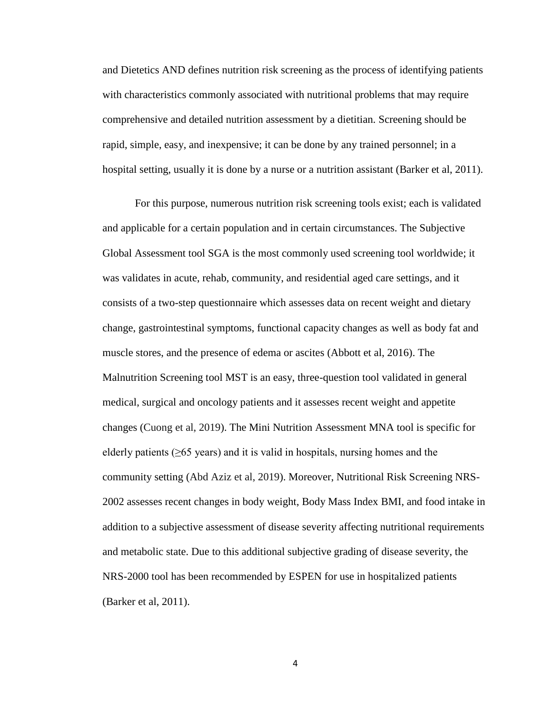and Dietetics AND defines nutrition risk screening as the process of identifying patients with characteristics commonly associated with nutritional problems that may require comprehensive and detailed nutrition assessment by a dietitian. Screening should be rapid, simple, easy, and inexpensive; it can be done by any trained personnel; in a hospital setting, usually it is done by a nurse or a nutrition assistant (Barker et al, 2011).

For this purpose, numerous nutrition risk screening tools exist; each is validated and applicable for a certain population and in certain circumstances. The Subjective Global Assessment tool SGA is the most commonly used screening tool worldwide; it was validates in acute, rehab, community, and residential aged care settings, and it consists of a two-step questionnaire which assesses data on recent weight and dietary change, gastrointestinal symptoms, functional capacity changes as well as body fat and muscle stores, and the presence of edema or ascites (Abbott et al, 2016). The Malnutrition Screening tool MST is an easy, three-question tool validated in general medical, surgical and oncology patients and it assesses recent weight and appetite changes (Cuong et al, 2019). The Mini Nutrition Assessment MNA tool is specific for elderly patients ( $\geq 65$  years) and it is valid in hospitals, nursing homes and the community setting (Abd Aziz et al, 2019). Moreover, Nutritional Risk Screening NRS-2002 assesses recent changes in body weight, Body Mass Index BMI, and food intake in addition to a subjective assessment of disease severity affecting nutritional requirements and metabolic state. Due to this additional subjective grading of disease severity, the NRS-2000 tool has been recommended by ESPEN for use in hospitalized patients (Barker et al, 2011).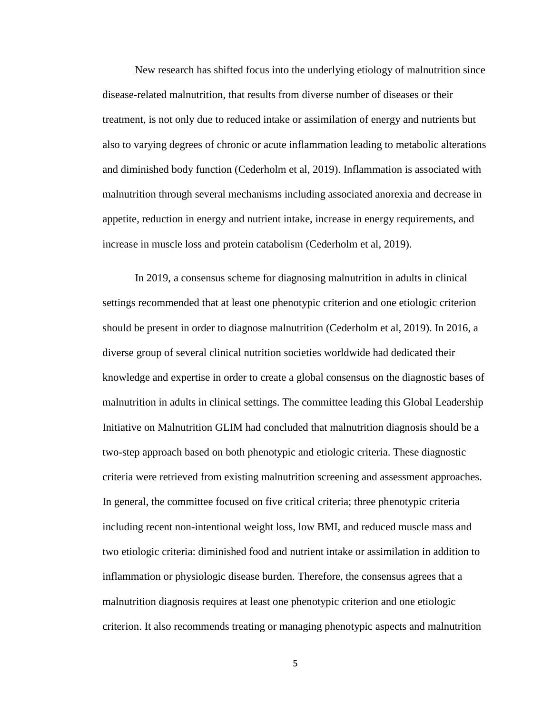New research has shifted focus into the underlying etiology of malnutrition since disease-related malnutrition, that results from diverse number of diseases or their treatment, is not only due to reduced intake or assimilation of energy and nutrients but also to varying degrees of chronic or acute inflammation leading to metabolic alterations and diminished body function (Cederholm et al, 2019). Inflammation is associated with malnutrition through several mechanisms including associated anorexia and decrease in appetite, reduction in energy and nutrient intake, increase in energy requirements, and increase in muscle loss and protein catabolism (Cederholm et al, 2019).

In 2019, a consensus scheme for diagnosing malnutrition in adults in clinical settings recommended that at least one phenotypic criterion and one etiologic criterion should be present in order to diagnose malnutrition (Cederholm et al, 2019). In 2016, a diverse group of several clinical nutrition societies worldwide had dedicated their knowledge and expertise in order to create a global consensus on the diagnostic bases of malnutrition in adults in clinical settings. The committee leading this Global Leadership Initiative on Malnutrition GLIM had concluded that malnutrition diagnosis should be a two-step approach based on both phenotypic and etiologic criteria. These diagnostic criteria were retrieved from existing malnutrition screening and assessment approaches. In general, the committee focused on five critical criteria; three phenotypic criteria including recent non-intentional weight loss, low BMI, and reduced muscle mass and two etiologic criteria: diminished food and nutrient intake or assimilation in addition to inflammation or physiologic disease burden. Therefore, the consensus agrees that a malnutrition diagnosis requires at least one phenotypic criterion and one etiologic criterion. It also recommends treating or managing phenotypic aspects and malnutrition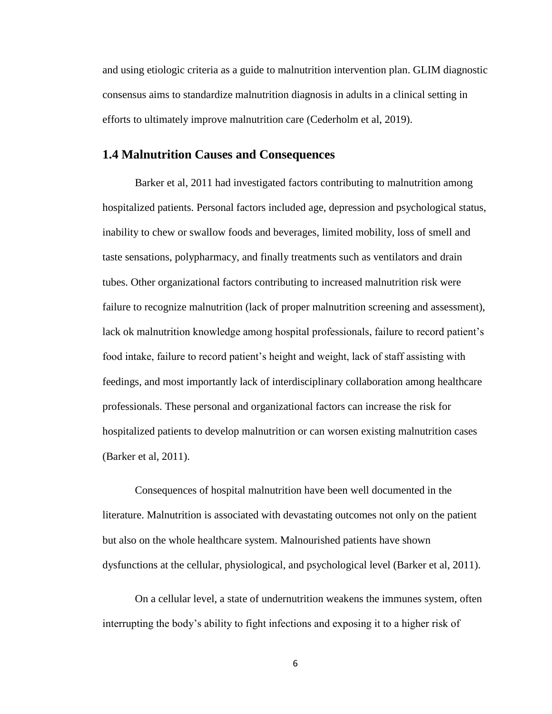and using etiologic criteria as a guide to malnutrition intervention plan. GLIM diagnostic consensus aims to standardize malnutrition diagnosis in adults in a clinical setting in efforts to ultimately improve malnutrition care (Cederholm et al, 2019).

## <span id="page-17-0"></span>**1.4 Malnutrition Causes and Consequences**

Barker et al, 2011 had investigated factors contributing to malnutrition among hospitalized patients. Personal factors included age, depression and psychological status, inability to chew or swallow foods and beverages, limited mobility, loss of smell and taste sensations, polypharmacy, and finally treatments such as ventilators and drain tubes. Other organizational factors contributing to increased malnutrition risk were failure to recognize malnutrition (lack of proper malnutrition screening and assessment), lack ok malnutrition knowledge among hospital professionals, failure to record patient's food intake, failure to record patient's height and weight, lack of staff assisting with feedings, and most importantly lack of interdisciplinary collaboration among healthcare professionals. These personal and organizational factors can increase the risk for hospitalized patients to develop malnutrition or can worsen existing malnutrition cases (Barker et al, 2011).

Consequences of hospital malnutrition have been well documented in the literature. Malnutrition is associated with devastating outcomes not only on the patient but also on the whole healthcare system. Malnourished patients have shown dysfunctions at the cellular, physiological, and psychological level (Barker et al, 2011).

On a cellular level, a state of undernutrition weakens the immunes system, often interrupting the body's ability to fight infections and exposing it to a higher risk of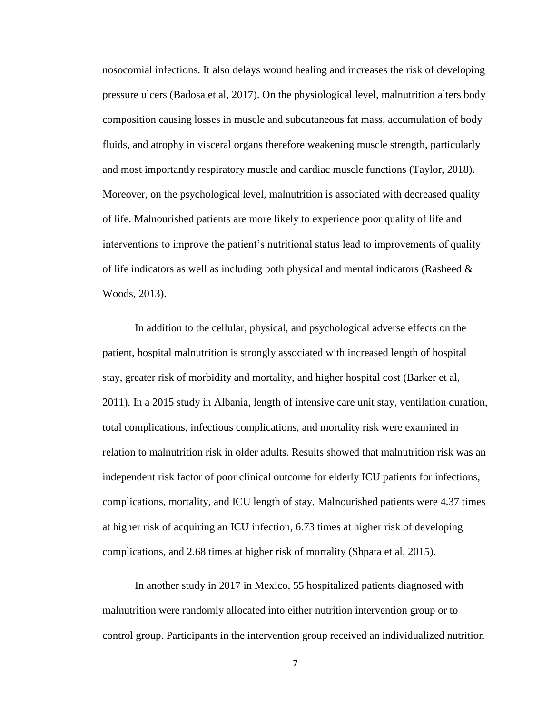nosocomial infections. It also delays wound healing and increases the risk of developing pressure ulcers (Badosa et al, 2017). On the physiological level, malnutrition alters body composition causing losses in muscle and subcutaneous fat mass, accumulation of body fluids, and atrophy in visceral organs therefore weakening muscle strength, particularly and most importantly respiratory muscle and cardiac muscle functions (Taylor, 2018). Moreover, on the psychological level, malnutrition is associated with decreased quality of life. Malnourished patients are more likely to experience poor quality of life and interventions to improve the patient's nutritional status lead to improvements of quality of life indicators as well as including both physical and mental indicators (Rasheed  $\&$ Woods, 2013).

In addition to the cellular, physical, and psychological adverse effects on the patient, hospital malnutrition is strongly associated with increased length of hospital stay, greater risk of morbidity and mortality, and higher hospital cost (Barker et al, 2011). In a 2015 study in Albania, length of intensive care unit stay, ventilation duration, total complications, infectious complications, and mortality risk were examined in relation to malnutrition risk in older adults. Results showed that malnutrition risk was an independent risk factor of poor clinical outcome for elderly ICU patients for infections, complications, mortality, and ICU length of stay. Malnourished patients were 4.37 times at higher risk of acquiring an ICU infection, 6.73 times at higher risk of developing complications, and 2.68 times at higher risk of mortality (Shpata et al, 2015).

In another study in 2017 in Mexico, 55 hospitalized patients diagnosed with malnutrition were randomly allocated into either nutrition intervention group or to control group. Participants in the intervention group received an individualized nutrition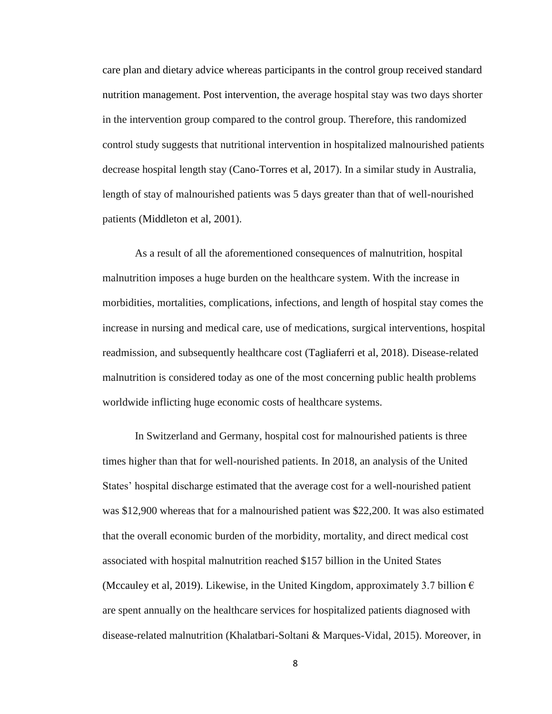care plan and dietary advice whereas participants in the control group received standard nutrition management. Post intervention, the average hospital stay was two days shorter in the intervention group compared to the control group. Therefore, this randomized control study suggests that nutritional intervention in hospitalized malnourished patients decrease hospital length stay (Cano-Torres et al, 2017). In a similar study in Australia, length of stay of malnourished patients was 5 days greater than that of well-nourished patients (Middleton et al, 2001).

As a result of all the aforementioned consequences of malnutrition, hospital malnutrition imposes a huge burden on the healthcare system. With the increase in morbidities, mortalities, complications, infections, and length of hospital stay comes the increase in nursing and medical care, use of medications, surgical interventions, hospital readmission, and subsequently healthcare cost (Tagliaferri et al, 2018). Disease-related malnutrition is considered today as one of the most concerning public health problems worldwide inflicting huge economic costs of healthcare systems.

In Switzerland and Germany, hospital cost for malnourished patients is three times higher than that for well-nourished patients. In 2018, an analysis of the United States' hospital discharge estimated that the average cost for a well-nourished patient was \$12,900 whereas that for a malnourished patient was \$22,200. It was also estimated that the overall economic burden of the morbidity, mortality, and direct medical cost associated with hospital malnutrition reached \$157 billion in the United States (Mccauley et al, 2019). Likewise, in the United Kingdom, approximately 3.7 billion  $\epsilon$ are spent annually on the healthcare services for hospitalized patients diagnosed with disease-related malnutrition (Khalatbari-Soltani & Marques-Vidal, 2015). Moreover, in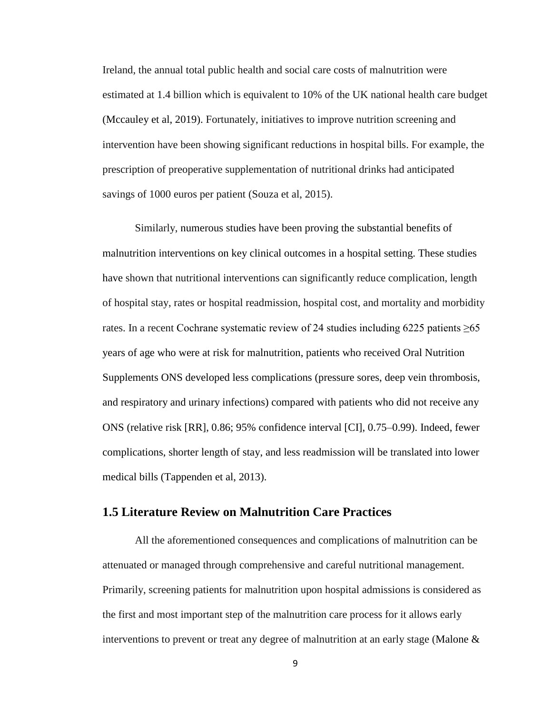Ireland, the annual total public health and social care costs of malnutrition were estimated at 1.4 billion which is equivalent to 10% of the UK national health care budget (Mccauley et al, 2019). Fortunately, initiatives to improve nutrition screening and intervention have been showing significant reductions in hospital bills. For example, the prescription of preoperative supplementation of nutritional drinks had anticipated savings of 1000 euros per patient (Souza et al, 2015).

Similarly, numerous studies have been proving the substantial benefits of malnutrition interventions on key clinical outcomes in a hospital setting. These studies have shown that nutritional interventions can significantly reduce complication, length of hospital stay, rates or hospital readmission, hospital cost, and mortality and morbidity rates. In a recent Cochrane systematic review of 24 studies including  $6225$  patients  $\geq 65$ years of age who were at risk for malnutrition, patients who received Oral Nutrition Supplements ONS developed less complications (pressure sores, deep vein thrombosis, and respiratory and urinary infections) compared with patients who did not receive any ONS (relative risk [RR], 0.86; 95% confidence interval [CI], 0.75–0.99). Indeed, fewer complications, shorter length of stay, and less readmission will be translated into lower medical bills (Tappenden et al, 2013).

## <span id="page-20-0"></span>**1.5 Literature Review on Malnutrition Care Practices**

All the aforementioned consequences and complications of malnutrition can be attenuated or managed through comprehensive and careful nutritional management. Primarily, screening patients for malnutrition upon hospital admissions is considered as the first and most important step of the malnutrition care process for it allows early interventions to prevent or treat any degree of malnutrition at an early stage (Malone &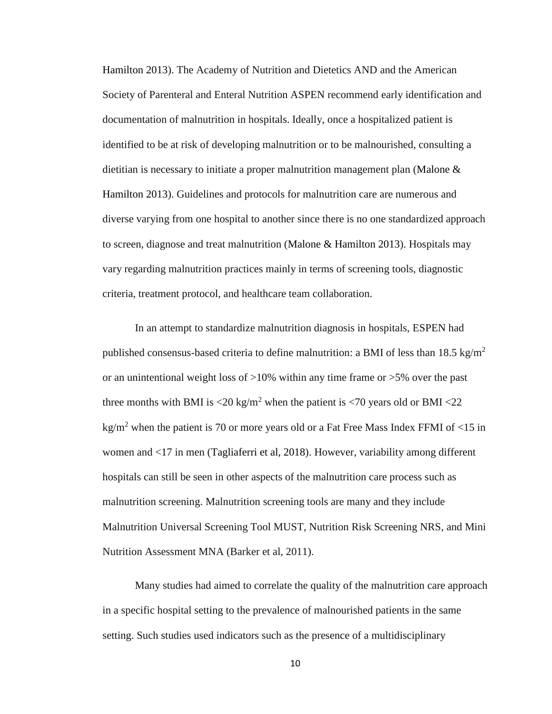Hamilton 2013). The Academy of Nutrition and Dietetics AND and the American Society of Parenteral and Enteral Nutrition ASPEN recommend early identification and documentation of malnutrition in hospitals. Ideally, once a hospitalized patient is identified to be at risk of developing malnutrition or to be malnourished, consulting a dietitian is necessary to initiate a proper malnutrition management plan (Malone & Hamilton 2013). Guidelines and protocols for malnutrition care are numerous and diverse varying from one hospital to another since there is no one standardized approach to screen, diagnose and treat malnutrition (Malone & Hamilton 2013). Hospitals may vary regarding malnutrition practices mainly in terms of screening tools, diagnostic criteria, treatment protocol, and healthcare team collaboration.

In an attempt to standardize malnutrition diagnosis in hospitals, ESPEN had published consensus-based criteria to define malnutrition: a BMI of less than 18.5 kg/m<sup>2</sup> or an unintentional weight loss of  $>10\%$  within any time frame or  $>5\%$  over the past three months with BMI is  $\langle 20 \text{ kg/m}^2 \rangle$  when the patient is  $\langle 70 \text{ years} \rangle$  old or BMI  $\langle 22 \rangle$ kg/m<sup>2</sup> when the patient is 70 or more years old or a Fat Free Mass Index FFMI of  $\langle 15 \text{ in} \rangle$ women and <17 in men (Tagliaferri et al, 2018). However, variability among different hospitals can still be seen in other aspects of the malnutrition care process such as malnutrition screening. Malnutrition screening tools are many and they include Malnutrition Universal Screening Tool MUST, Nutrition Risk Screening NRS, and Mini Nutrition Assessment MNA (Barker et al, 2011).

Many studies had aimed to correlate the quality of the malnutrition care approach in a specific hospital setting to the prevalence of malnourished patients in the same setting. Such studies used indicators such as the presence of a multidisciplinary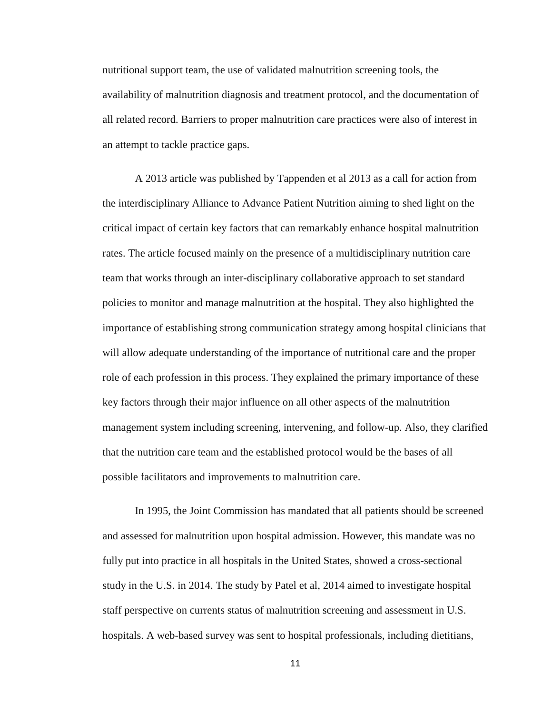nutritional support team, the use of validated malnutrition screening tools, the availability of malnutrition diagnosis and treatment protocol, and the documentation of all related record. Barriers to proper malnutrition care practices were also of interest in an attempt to tackle practice gaps.

A 2013 article was published by Tappenden et al 2013 as a call for action from the interdisciplinary Alliance to Advance Patient Nutrition aiming to shed light on the critical impact of certain key factors that can remarkably enhance hospital malnutrition rates. The article focused mainly on the presence of a multidisciplinary nutrition care team that works through an inter-disciplinary collaborative approach to set standard policies to monitor and manage malnutrition at the hospital. They also highlighted the importance of establishing strong communication strategy among hospital clinicians that will allow adequate understanding of the importance of nutritional care and the proper role of each profession in this process. They explained the primary importance of these key factors through their major influence on all other aspects of the malnutrition management system including screening, intervening, and follow-up. Also, they clarified that the nutrition care team and the established protocol would be the bases of all possible facilitators and improvements to malnutrition care.

In 1995, the Joint Commission has mandated that all patients should be screened and assessed for malnutrition upon hospital admission. However, this mandate was no fully put into practice in all hospitals in the United States, showed a cross-sectional study in the U.S. in 2014. The study by Patel et al, 2014 aimed to investigate hospital staff perspective on currents status of malnutrition screening and assessment in U.S. hospitals. A web-based survey was sent to hospital professionals, including dietitians,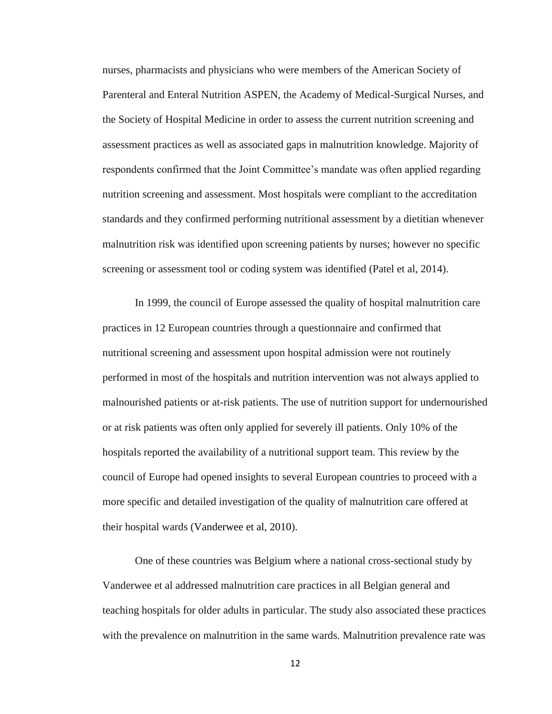nurses, pharmacists and physicians who were members of the American Society of Parenteral and Enteral Nutrition ASPEN, the Academy of Medical-Surgical Nurses, and the Society of Hospital Medicine in order to assess the current nutrition screening and assessment practices as well as associated gaps in malnutrition knowledge. Majority of respondents confirmed that the Joint Committee's mandate was often applied regarding nutrition screening and assessment. Most hospitals were compliant to the accreditation standards and they confirmed performing nutritional assessment by a dietitian whenever malnutrition risk was identified upon screening patients by nurses; however no specific screening or assessment tool or coding system was identified (Patel et al, 2014).

In 1999, the council of Europe assessed the quality of hospital malnutrition care practices in 12 European countries through a questionnaire and confirmed that nutritional screening and assessment upon hospital admission were not routinely performed in most of the hospitals and nutrition intervention was not always applied to malnourished patients or at-risk patients. The use of nutrition support for undernourished or at risk patients was often only applied for severely ill patients. Only 10% of the hospitals reported the availability of a nutritional support team. This review by the council of Europe had opened insights to several European countries to proceed with a more specific and detailed investigation of the quality of malnutrition care offered at their hospital wards (Vanderwee et al, 2010).

One of these countries was Belgium where a national cross-sectional study by Vanderwee et al addressed malnutrition care practices in all Belgian general and teaching hospitals for older adults in particular. The study also associated these practices with the prevalence on malnutrition in the same wards. Malnutrition prevalence rate was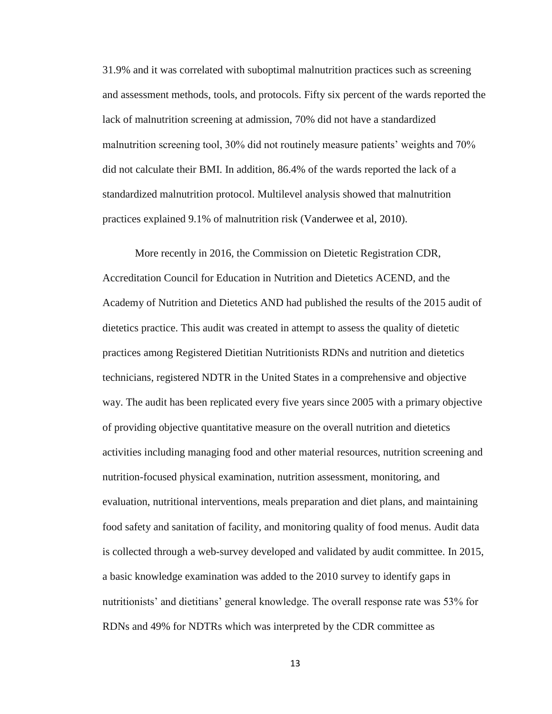31.9% and it was correlated with suboptimal malnutrition practices such as screening and assessment methods, tools, and protocols. Fifty six percent of the wards reported the lack of malnutrition screening at admission, 70% did not have a standardized malnutrition screening tool, 30% did not routinely measure patients' weights and 70% did not calculate their BMI. In addition, 86.4% of the wards reported the lack of a standardized malnutrition protocol. Multilevel analysis showed that malnutrition practices explained 9.1% of malnutrition risk (Vanderwee et al, 2010).

More recently in 2016, the Commission on Dietetic Registration CDR, Accreditation Council for Education in Nutrition and Dietetics ACEND, and the Academy of Nutrition and Dietetics AND had published the results of the 2015 audit of dietetics practice. This audit was created in attempt to assess the quality of dietetic practices among Registered Dietitian Nutritionists RDNs and nutrition and dietetics technicians, registered NDTR in the United States in a comprehensive and objective way. The audit has been replicated every five years since 2005 with a primary objective of providing objective quantitative measure on the overall nutrition and dietetics activities including managing food and other material resources, nutrition screening and nutrition-focused physical examination, nutrition assessment, monitoring, and evaluation, nutritional interventions, meals preparation and diet plans, and maintaining food safety and sanitation of facility, and monitoring quality of food menus. Audit data is collected through a web-survey developed and validated by audit committee. In 2015, a basic knowledge examination was added to the 2010 survey to identify gaps in nutritionists' and dietitians' general knowledge. The overall response rate was 53% for RDNs and 49% for NDTRs which was interpreted by the CDR committee as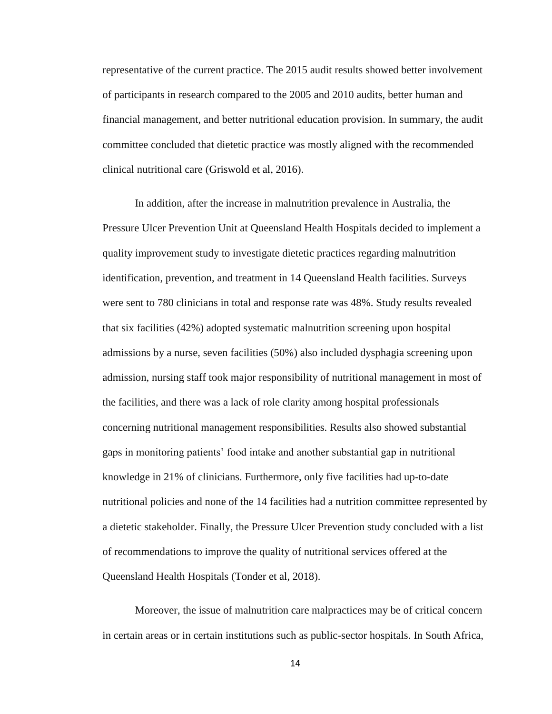representative of the current practice. The 2015 audit results showed better involvement of participants in research compared to the 2005 and 2010 audits, better human and financial management, and better nutritional education provision. In summary, the audit committee concluded that dietetic practice was mostly aligned with the recommended clinical nutritional care (Griswold et al, 2016).

In addition, after the increase in malnutrition prevalence in Australia, the Pressure Ulcer Prevention Unit at Queensland Health Hospitals decided to implement a quality improvement study to investigate dietetic practices regarding malnutrition identification, prevention, and treatment in 14 Queensland Health facilities. Surveys were sent to 780 clinicians in total and response rate was 48%. Study results revealed that six facilities (42%) adopted systematic malnutrition screening upon hospital admissions by a nurse, seven facilities (50%) also included dysphagia screening upon admission, nursing staff took major responsibility of nutritional management in most of the facilities, and there was a lack of role clarity among hospital professionals concerning nutritional management responsibilities. Results also showed substantial gaps in monitoring patients' food intake and another substantial gap in nutritional knowledge in 21% of clinicians. Furthermore, only five facilities had up-to-date nutritional policies and none of the 14 facilities had a nutrition committee represented by a dietetic stakeholder. Finally, the Pressure Ulcer Prevention study concluded with a list of recommendations to improve the quality of nutritional services offered at the Queensland Health Hospitals (Tonder et al, 2018).

Moreover, the issue of malnutrition care malpractices may be of critical concern in certain areas or in certain institutions such as public-sector hospitals. In South Africa,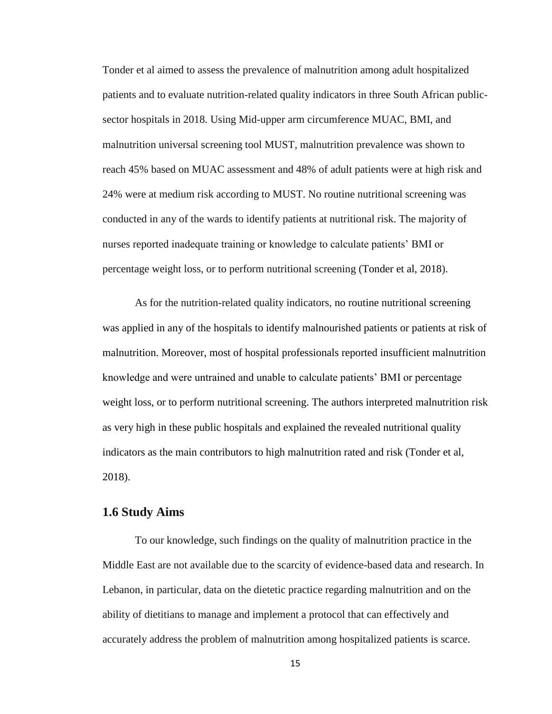Tonder et al aimed to assess the prevalence of malnutrition among adult hospitalized patients and to evaluate nutrition-related quality indicators in three South African publicsector hospitals in 2018. Using Mid-upper arm circumference MUAC, BMI, and malnutrition universal screening tool MUST, malnutrition prevalence was shown to reach 45% based on MUAC assessment and 48% of adult patients were at high risk and 24% were at medium risk according to MUST. No routine nutritional screening was conducted in any of the wards to identify patients at nutritional risk. The majority of nurses reported inadequate training or knowledge to calculate patients' BMI or percentage weight loss, or to perform nutritional screening (Tonder et al, 2018).

As for the nutrition-related quality indicators, no routine nutritional screening was applied in any of the hospitals to identify malnourished patients or patients at risk of malnutrition. Moreover, most of hospital professionals reported insufficient malnutrition knowledge and were untrained and unable to calculate patients' BMI or percentage weight loss, or to perform nutritional screening. The authors interpreted malnutrition risk as very high in these public hospitals and explained the revealed nutritional quality indicators as the main contributors to high malnutrition rated and risk (Tonder et al, 2018).

## <span id="page-26-0"></span>**1.6 Study Aims**

To our knowledge, such findings on the quality of malnutrition practice in the Middle East are not available due to the scarcity of evidence-based data and research. In Lebanon, in particular, data on the dietetic practice regarding malnutrition and on the ability of dietitians to manage and implement a protocol that can effectively and accurately address the problem of malnutrition among hospitalized patients is scarce.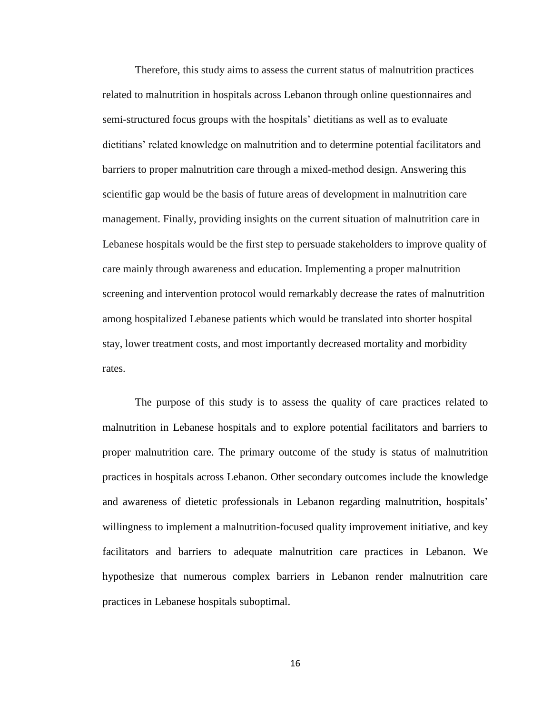Therefore, this study aims to assess the current status of malnutrition practices related to malnutrition in hospitals across Lebanon through online questionnaires and semi-structured focus groups with the hospitals' dietitians as well as to evaluate dietitians' related knowledge on malnutrition and to determine potential facilitators and barriers to proper malnutrition care through a mixed-method design. Answering this scientific gap would be the basis of future areas of development in malnutrition care management. Finally, providing insights on the current situation of malnutrition care in Lebanese hospitals would be the first step to persuade stakeholders to improve quality of care mainly through awareness and education. Implementing a proper malnutrition screening and intervention protocol would remarkably decrease the rates of malnutrition among hospitalized Lebanese patients which would be translated into shorter hospital stay, lower treatment costs, and most importantly decreased mortality and morbidity rates.

The purpose of this study is to assess the quality of care practices related to malnutrition in Lebanese hospitals and to explore potential facilitators and barriers to proper malnutrition care. The primary outcome of the study is status of malnutrition practices in hospitals across Lebanon. Other secondary outcomes include the knowledge and awareness of dietetic professionals in Lebanon regarding malnutrition, hospitals' willingness to implement a malnutrition-focused quality improvement initiative, and key facilitators and barriers to adequate malnutrition care practices in Lebanon. We hypothesize that numerous complex barriers in Lebanon render malnutrition care practices in Lebanese hospitals suboptimal.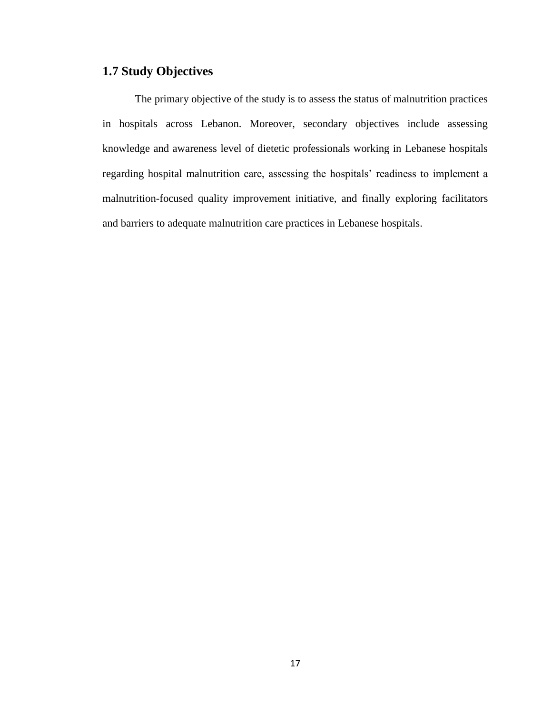## <span id="page-28-0"></span>**1.7 Study Objectives**

The primary objective of the study is to assess the status of malnutrition practices in hospitals across Lebanon. Moreover, secondary objectives include assessing knowledge and awareness level of dietetic professionals working in Lebanese hospitals regarding hospital malnutrition care, assessing the hospitals' readiness to implement a malnutrition-focused quality improvement initiative, and finally exploring facilitators and barriers to adequate malnutrition care practices in Lebanese hospitals.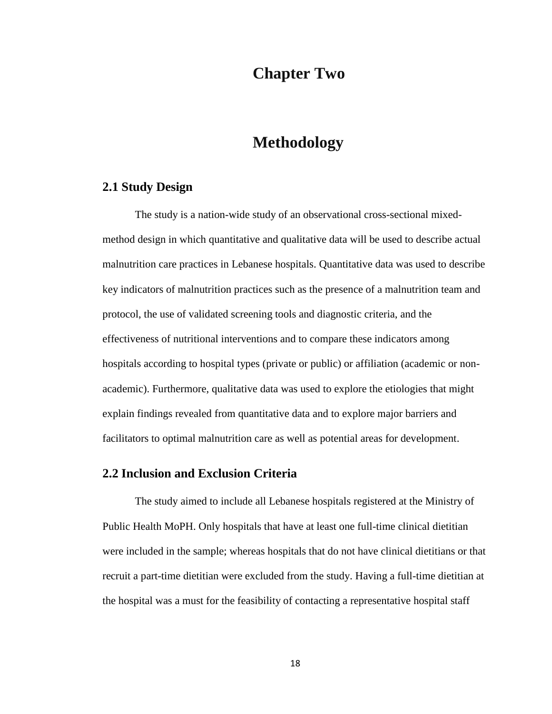## **Chapter Two**

## <span id="page-29-1"></span>**Methodology**

## <span id="page-29-0"></span>**2.1 Study Design**

The study is a nation-wide study of an observational cross-sectional mixedmethod design in which quantitative and qualitative data will be used to describe actual malnutrition care practices in Lebanese hospitals. Quantitative data was used to describe key indicators of malnutrition practices such as the presence of a malnutrition team and protocol, the use of validated screening tools and diagnostic criteria, and the effectiveness of nutritional interventions and to compare these indicators among hospitals according to hospital types (private or public) or affiliation (academic or nonacademic). Furthermore, qualitative data was used to explore the etiologies that might explain findings revealed from quantitative data and to explore major barriers and facilitators to optimal malnutrition care as well as potential areas for development.

### <span id="page-29-2"></span>**2.2 Inclusion and Exclusion Criteria**

The study aimed to include all Lebanese hospitals registered at the Ministry of Public Health MoPH. Only hospitals that have at least one full-time clinical dietitian were included in the sample; whereas hospitals that do not have clinical dietitians or that recruit a part-time dietitian were excluded from the study. Having a full-time dietitian at the hospital was a must for the feasibility of contacting a representative hospital staff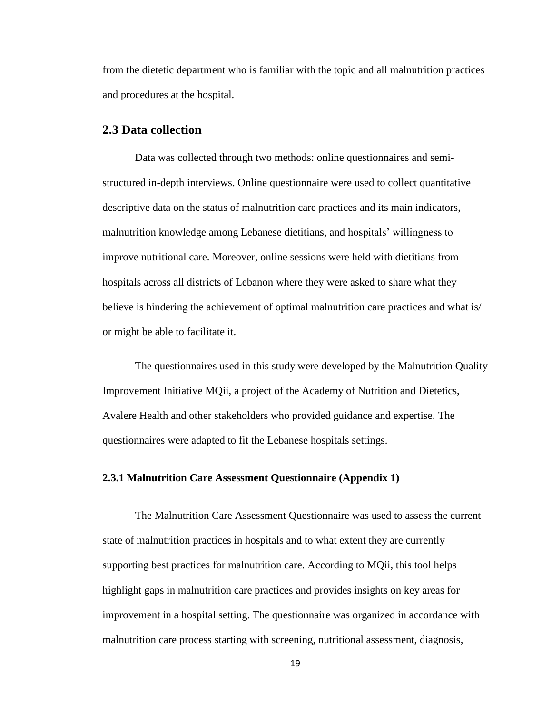from the dietetic department who is familiar with the topic and all malnutrition practices and procedures at the hospital.

## <span id="page-30-0"></span>**2.3 Data collection**

Data was collected through two methods: online questionnaires and semistructured in-depth interviews. Online questionnaire were used to collect quantitative descriptive data on the status of malnutrition care practices and its main indicators, malnutrition knowledge among Lebanese dietitians, and hospitals' willingness to improve nutritional care. Moreover, online sessions were held with dietitians from hospitals across all districts of Lebanon where they were asked to share what they believe is hindering the achievement of optimal malnutrition care practices and what is/ or might be able to facilitate it.

The questionnaires used in this study were developed by the Malnutrition Quality Improvement Initiative MQii, a project of the Academy of Nutrition and Dietetics, Avalere Health and other stakeholders who provided guidance and expertise. The questionnaires were adapted to fit the Lebanese hospitals settings.

## <span id="page-30-1"></span>**2.3.1 Malnutrition Care Assessment Questionnaire (Appendix 1)**

The Malnutrition Care Assessment Questionnaire was used to assess the current state of malnutrition practices in hospitals and to what extent they are currently supporting best practices for malnutrition care. According to MQii, this tool helps highlight gaps in malnutrition care practices and provides insights on key areas for improvement in a hospital setting. The questionnaire was organized in accordance with malnutrition care process starting with screening, nutritional assessment, diagnosis,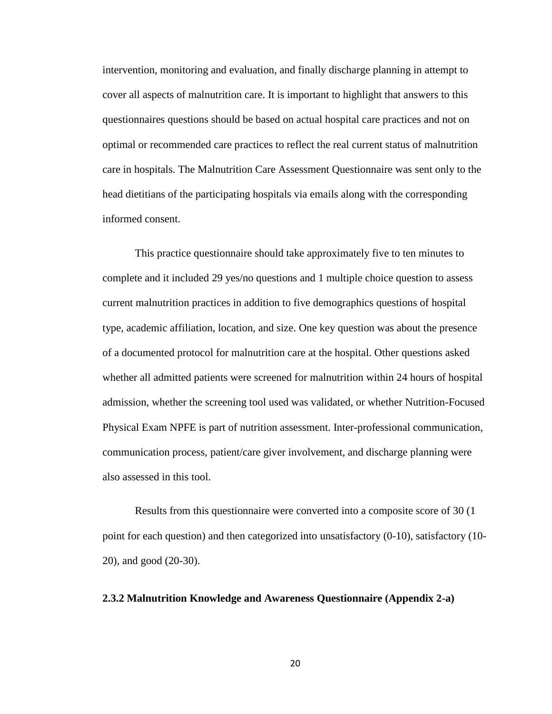intervention, monitoring and evaluation, and finally discharge planning in attempt to cover all aspects of malnutrition care. It is important to highlight that answers to this questionnaires questions should be based on actual hospital care practices and not on optimal or recommended care practices to reflect the real current status of malnutrition care in hospitals. The Malnutrition Care Assessment Questionnaire was sent only to the head dietitians of the participating hospitals via emails along with the corresponding informed consent.

This practice questionnaire should take approximately five to ten minutes to complete and it included 29 yes/no questions and 1 multiple choice question to assess current malnutrition practices in addition to five demographics questions of hospital type, academic affiliation, location, and size. One key question was about the presence of a documented protocol for malnutrition care at the hospital. Other questions asked whether all admitted patients were screened for malnutrition within 24 hours of hospital admission, whether the screening tool used was validated, or whether Nutrition-Focused Physical Exam NPFE is part of nutrition assessment. Inter-professional communication, communication process, patient/care giver involvement, and discharge planning were also assessed in this tool.

Results from this questionnaire were converted into a composite score of 30 (1 point for each question) and then categorized into unsatisfactory (0-10), satisfactory (10- 20), and good (20-30).

#### <span id="page-31-0"></span>**2.3.2 Malnutrition Knowledge and Awareness Questionnaire (Appendix 2-a)**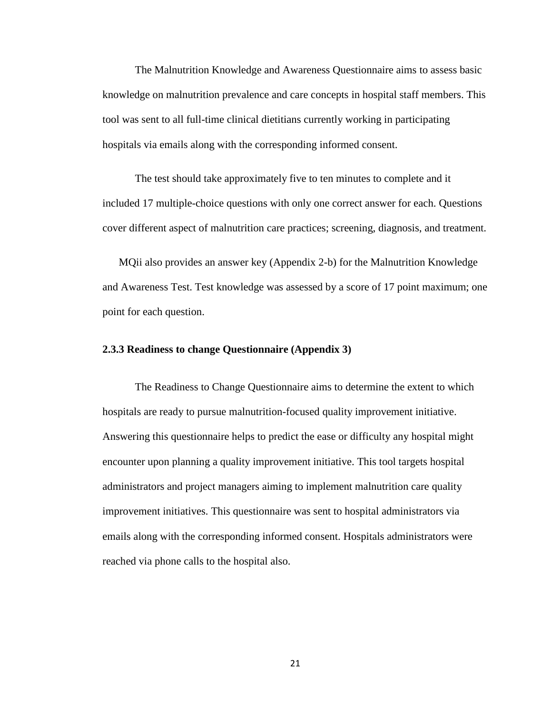The Malnutrition Knowledge and Awareness Questionnaire aims to assess basic knowledge on malnutrition prevalence and care concepts in hospital staff members. This tool was sent to all full-time clinical dietitians currently working in participating hospitals via emails along with the corresponding informed consent.

The test should take approximately five to ten minutes to complete and it included 17 multiple-choice questions with only one correct answer for each. Questions cover different aspect of malnutrition care practices; screening, diagnosis, and treatment.

MQii also provides an answer key (Appendix 2-b) for the Malnutrition Knowledge and Awareness Test. Test knowledge was assessed by a score of 17 point maximum; one point for each question.

#### <span id="page-32-0"></span>**2.3.3 Readiness to change Questionnaire (Appendix 3)**

The Readiness to Change Questionnaire aims to determine the extent to which hospitals are ready to pursue malnutrition-focused quality improvement initiative. Answering this questionnaire helps to predict the ease or difficulty any hospital might encounter upon planning a quality improvement initiative. This tool targets hospital administrators and project managers aiming to implement malnutrition care quality improvement initiatives. This questionnaire was sent to hospital administrators via emails along with the corresponding informed consent. Hospitals administrators were reached via phone calls to the hospital also.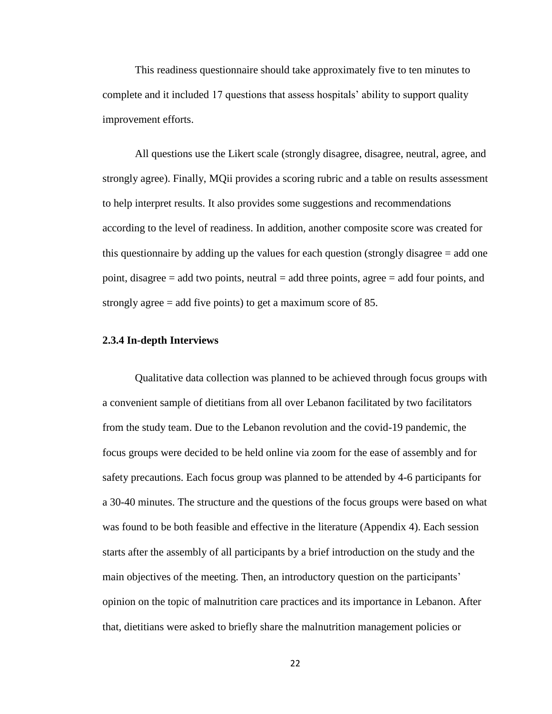This readiness questionnaire should take approximately five to ten minutes to complete and it included 17 questions that assess hospitals' ability to support quality improvement efforts.

All questions use the Likert scale (strongly disagree, disagree, neutral, agree, and strongly agree). Finally, MQii provides a scoring rubric and a table on results assessment to help interpret results. It also provides some suggestions and recommendations according to the level of readiness. In addition, another composite score was created for this questionnaire by adding up the values for each question (strongly disagree = add one point, disagree  $=$  add two points, neutral  $=$  add three points, agree  $=$  add four points, and strongly agree = add five points) to get a maximum score of 85.

#### <span id="page-33-0"></span>**2.3.4 In-depth Interviews**

Qualitative data collection was planned to be achieved through focus groups with a convenient sample of dietitians from all over Lebanon facilitated by two facilitators from the study team. Due to the Lebanon revolution and the covid-19 pandemic, the focus groups were decided to be held online via zoom for the ease of assembly and for safety precautions. Each focus group was planned to be attended by 4-6 participants for a 30-40 minutes. The structure and the questions of the focus groups were based on what was found to be both feasible and effective in the literature (Appendix 4). Each session starts after the assembly of all participants by a brief introduction on the study and the main objectives of the meeting. Then, an introductory question on the participants' opinion on the topic of malnutrition care practices and its importance in Lebanon. After that, dietitians were asked to briefly share the malnutrition management policies or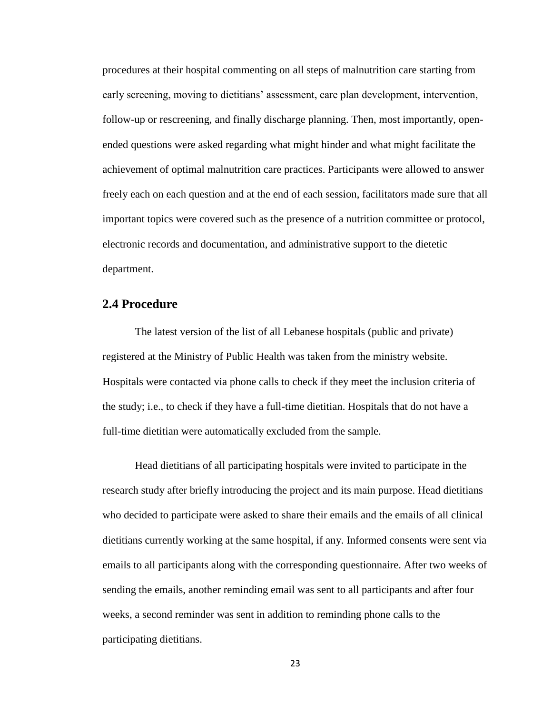procedures at their hospital commenting on all steps of malnutrition care starting from early screening, moving to dietitians' assessment, care plan development, intervention, follow-up or rescreening, and finally discharge planning. Then, most importantly, openended questions were asked regarding what might hinder and what might facilitate the achievement of optimal malnutrition care practices. Participants were allowed to answer freely each on each question and at the end of each session, facilitators made sure that all important topics were covered such as the presence of a nutrition committee or protocol, electronic records and documentation, and administrative support to the dietetic department.

## <span id="page-34-0"></span>**2.4 Procedure**

The latest version of the list of all Lebanese hospitals (public and private) registered at the Ministry of Public Health was taken from the ministry website. Hospitals were contacted via phone calls to check if they meet the inclusion criteria of the study; i.e., to check if they have a full-time dietitian. Hospitals that do not have a full-time dietitian were automatically excluded from the sample.

Head dietitians of all participating hospitals were invited to participate in the research study after briefly introducing the project and its main purpose. Head dietitians who decided to participate were asked to share their emails and the emails of all clinical dietitians currently working at the same hospital, if any. Informed consents were sent via emails to all participants along with the corresponding questionnaire. After two weeks of sending the emails, another reminding email was sent to all participants and after four weeks, a second reminder was sent in addition to reminding phone calls to the participating dietitians.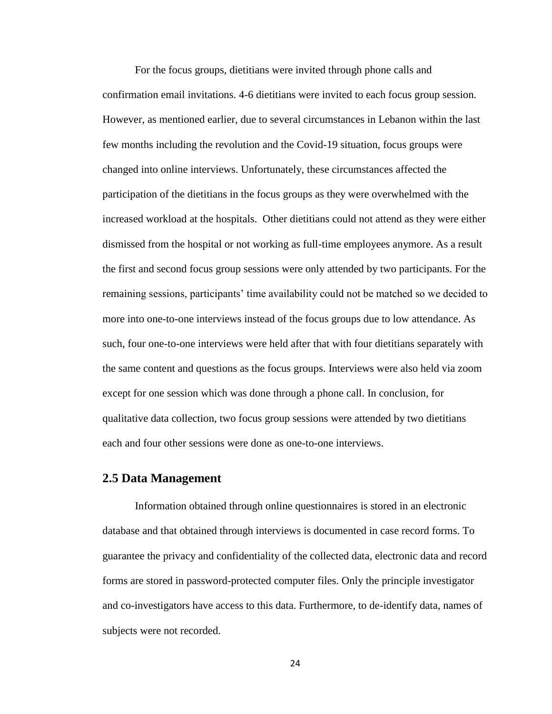For the focus groups, dietitians were invited through phone calls and confirmation email invitations. 4-6 dietitians were invited to each focus group session. However, as mentioned earlier, due to several circumstances in Lebanon within the last few months including the revolution and the Covid-19 situation, focus groups were changed into online interviews. Unfortunately, these circumstances affected the participation of the dietitians in the focus groups as they were overwhelmed with the increased workload at the hospitals. Other dietitians could not attend as they were either dismissed from the hospital or not working as full-time employees anymore. As a result the first and second focus group sessions were only attended by two participants. For the remaining sessions, participants' time availability could not be matched so we decided to more into one-to-one interviews instead of the focus groups due to low attendance. As such, four one-to-one interviews were held after that with four dietitians separately with the same content and questions as the focus groups. Interviews were also held via zoom except for one session which was done through a phone call. In conclusion, for qualitative data collection, two focus group sessions were attended by two dietitians each and four other sessions were done as one-to-one interviews.

## <span id="page-35-0"></span>**2.5 Data Management**

Information obtained through online questionnaires is stored in an electronic database and that obtained through interviews is documented in case record forms. To guarantee the privacy and confidentiality of the collected data, electronic data and record forms are stored in password-protected computer files. Only the principle investigator and co-investigators have access to this data. Furthermore, to de-identify data, names of subjects were not recorded.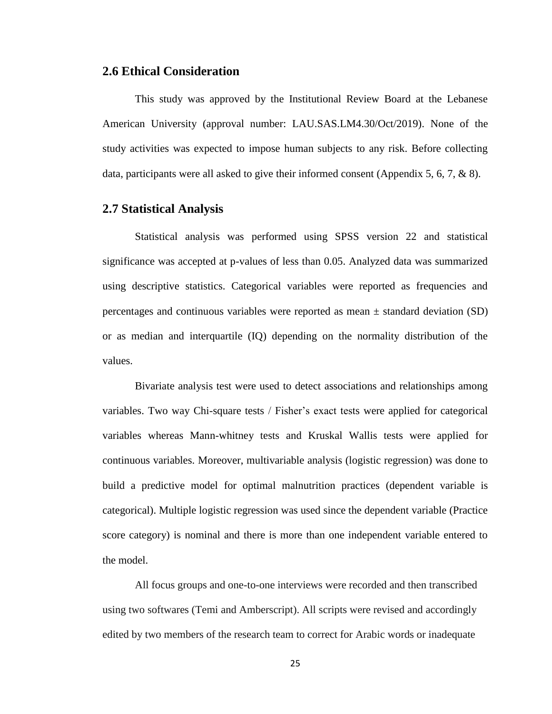#### **2.6 Ethical Consideration**

This study was approved by the Institutional Review Board at the Lebanese American University (approval number: LAU.SAS.LM4.30/Oct/2019). None of the study activities was expected to impose human subjects to any risk. Before collecting data, participants were all asked to give their informed consent (Appendix 5, 6, 7, & 8).

#### **2.7 Statistical Analysis**

Statistical analysis was performed using SPSS version 22 and statistical significance was accepted at p-values of less than 0.05. Analyzed data was summarized using descriptive statistics. Categorical variables were reported as frequencies and percentages and continuous variables were reported as mean  $\pm$  standard deviation (SD) or as median and interquartile (IQ) depending on the normality distribution of the values.

Bivariate analysis test were used to detect associations and relationships among variables. Two way Chi-square tests / Fisher's exact tests were applied for categorical variables whereas Mann-whitney tests and Kruskal Wallis tests were applied for continuous variables. Moreover, multivariable analysis (logistic regression) was done to build a predictive model for optimal malnutrition practices (dependent variable is categorical). Multiple logistic regression was used since the dependent variable (Practice score category) is nominal and there is more than one independent variable entered to the model.

All focus groups and one-to-one interviews were recorded and then transcribed using two softwares (Temi and Amberscript). All scripts were revised and accordingly edited by two members of the research team to correct for Arabic words or inadequate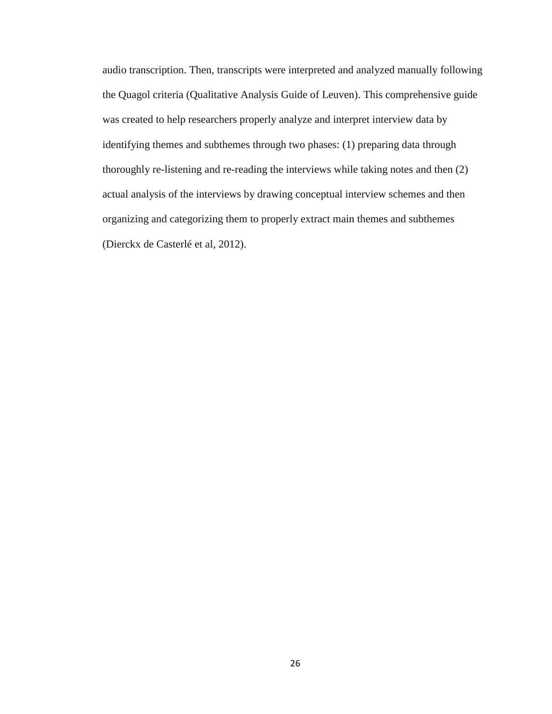audio transcription. Then, transcripts were interpreted and analyzed manually following the Quagol criteria (Qualitative Analysis Guide of Leuven). This comprehensive guide was created to help researchers properly analyze and interpret interview data by identifying themes and subthemes through two phases: (1) preparing data through thoroughly re-listening and re-reading the interviews while taking notes and then (2) actual analysis of the interviews by drawing conceptual interview schemes and then organizing and categorizing them to properly extract main themes and subthemes (Dierckx de Casterlé et al, 2012).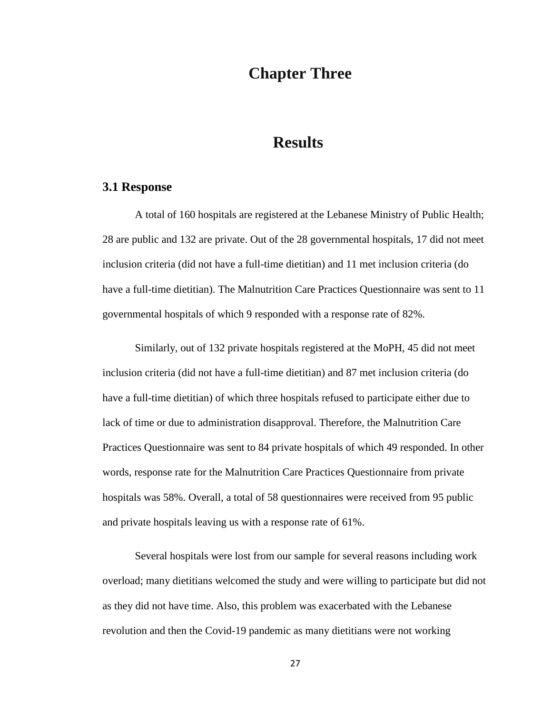## **Chapter Three**

## **Results**

#### **3.1 Response**

A total of 160 hospitals are registered at the Lebanese Ministry of Public Health; 28 are public and 132 are private. Out of the 28 governmental hospitals, 17 did not meet inclusion criteria (did not have a full-time dietitian) and 11 met inclusion criteria (do have a full-time dietitian). The Malnutrition Care Practices Questionnaire was sent to 11 governmental hospitals of which 9 responded with a response rate of 82%.

Similarly, out of 132 private hospitals registered at the MoPH, 45 did not meet inclusion criteria (did not have a full-time dietitian) and 87 met inclusion criteria (do have a full-time dietitian) of which three hospitals refused to participate either due to lack of time or due to administration disapproval. Therefore, the Malnutrition Care Practices Questionnaire was sent to 84 private hospitals of which 49 responded. In other words, response rate for the Malnutrition Care Practices Questionnaire from private hospitals was 58%. Overall, a total of 58 questionnaires were received from 95 public and private hospitals leaving us with a response rate of 61%.

Several hospitals were lost from our sample for several reasons including work overload; many dietitians welcomed the study and were willing to participate but did not as they did not have time. Also, this problem was exacerbated with the Lebanese revolution and then the Covid-19 pandemic as many dietitians were not working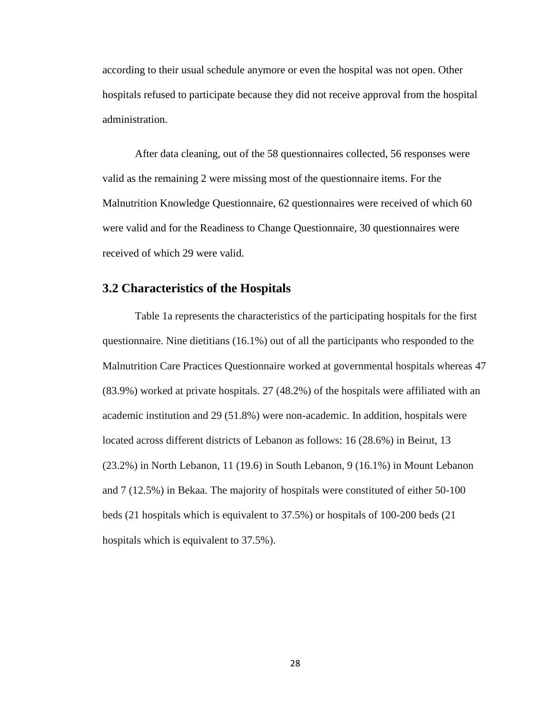according to their usual schedule anymore or even the hospital was not open. Other hospitals refused to participate because they did not receive approval from the hospital administration.

After data cleaning, out of the 58 questionnaires collected, 56 responses were valid as the remaining 2 were missing most of the questionnaire items. For the Malnutrition Knowledge Questionnaire, 62 questionnaires were received of which 60 were valid and for the Readiness to Change Questionnaire, 30 questionnaires were received of which 29 were valid.

#### **3.2 Characteristics of the Hospitals**

Table 1a represents the characteristics of the participating hospitals for the first questionnaire. Nine dietitians (16.1%) out of all the participants who responded to the Malnutrition Care Practices Questionnaire worked at governmental hospitals whereas 47 (83.9%) worked at private hospitals. 27 (48.2%) of the hospitals were affiliated with an academic institution and 29 (51.8%) were non-academic. In addition, hospitals were located across different districts of Lebanon as follows: 16 (28.6%) in Beirut, 13 (23.2%) in North Lebanon, 11 (19.6) in South Lebanon, 9 (16.1%) in Mount Lebanon and 7 (12.5%) in Bekaa. The majority of hospitals were constituted of either 50-100 beds (21 hospitals which is equivalent to 37.5%) or hospitals of 100-200 beds (21 hospitals which is equivalent to 37.5%).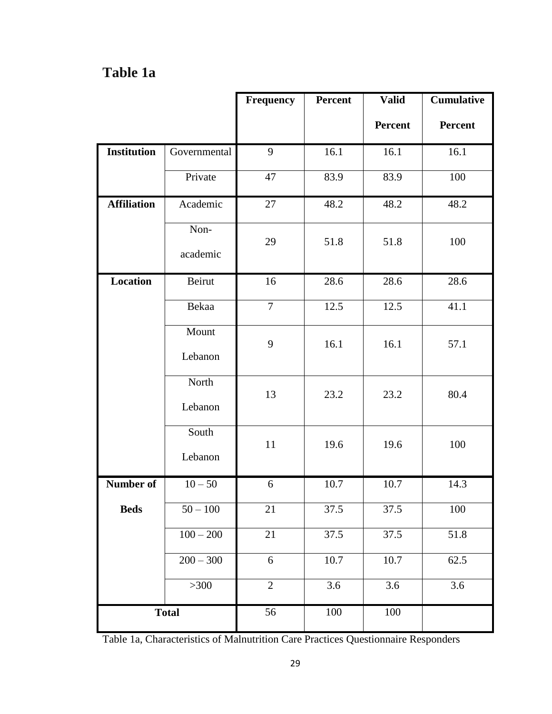# **Table 1a**

|                    |                       | <b>Frequency</b> | Percent | <b>Valid</b>   | <b>Cumulative</b> |
|--------------------|-----------------------|------------------|---------|----------------|-------------------|
|                    |                       |                  |         | <b>Percent</b> | <b>Percent</b>    |
| <b>Institution</b> | Governmental          | 9                | 16.1    | 16.1           | 16.1              |
|                    | Private               | 47               | 83.9    | 83.9           | 100               |
| <b>Affiliation</b> | Academic              | 27               | 48.2    | 48.2           | 48.2              |
|                    | Non-<br>academic      | 29               | 51.8    | 51.8           | 100               |
| <b>Location</b>    | Beirut                | 16               | 28.6    | 28.6           | 28.6              |
|                    | Bekaa                 | $\overline{7}$   | 12.5    | 12.5           | 41.1              |
|                    | Mount<br>Lebanon      | 9                | 16.1    | 16.1           | 57.1              |
|                    | North<br>Lebanon      | 13               | 23.2    | 23.2           | 80.4              |
|                    | South<br>Lebanon      | 11               | 19.6    | 19.6           | 100               |
| Number of          | $10 - 50$             | 6                | 10.7    | 10.7           | 14.3              |
| <b>Beds</b>        | $50 - 100$            | 21               | 37.5    | 37.5           | 100               |
|                    | $\frac{100 - 200}{ }$ | 21               | 37.5    | 37.5           | 51.8              |
|                    | $200 - 300$           | 6                | 10.7    | 10.7           | 62.5              |
|                    | $>300$                | $\overline{2}$   | 3.6     | 3.6            | 3.6               |
| <b>Total</b>       |                       | 56               | 100     | 100            |                   |

Table 1a, Characteristics of Malnutrition Care Practices Questionnaire Responders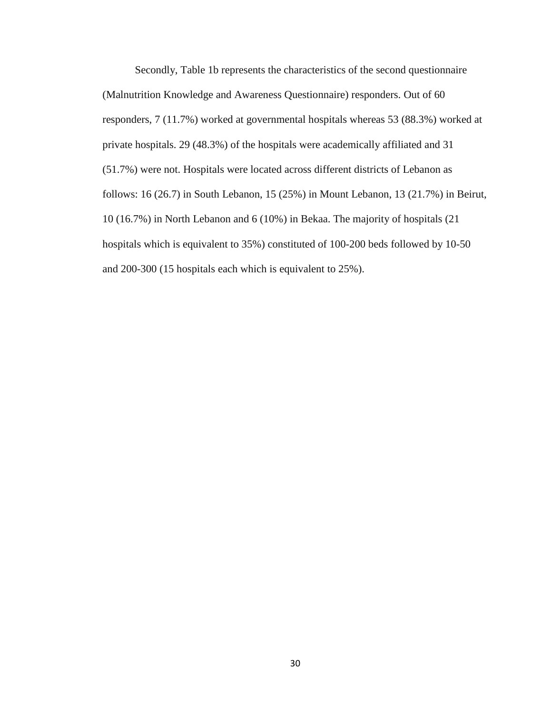Secondly, Table 1b represents the characteristics of the second questionnaire (Malnutrition Knowledge and Awareness Questionnaire) responders. Out of 60 responders, 7 (11.7%) worked at governmental hospitals whereas 53 (88.3%) worked at private hospitals. 29 (48.3%) of the hospitals were academically affiliated and 31 (51.7%) were not. Hospitals were located across different districts of Lebanon as follows: 16 (26.7) in South Lebanon, 15 (25%) in Mount Lebanon, 13 (21.7%) in Beirut, 10 (16.7%) in North Lebanon and 6 (10%) in Bekaa. The majority of hospitals (21 hospitals which is equivalent to 35%) constituted of 100-200 beds followed by 10-50 and 200-300 (15 hospitals each which is equivalent to 25%).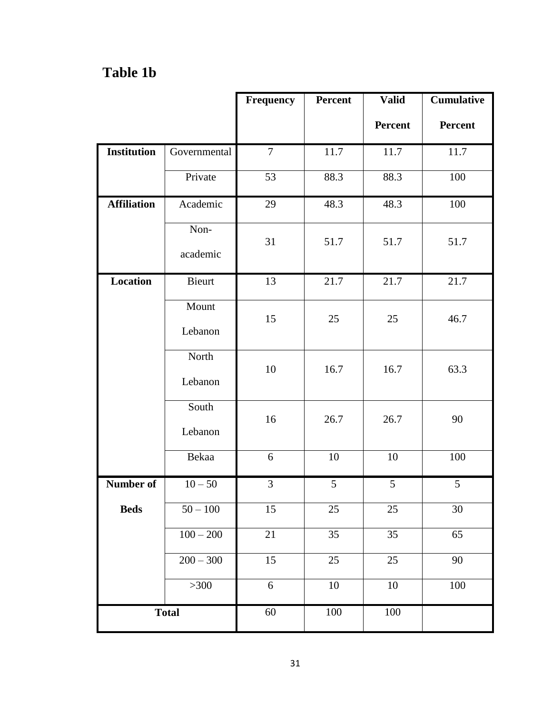# **Table 1b**

|                    |                  | <b>Frequency</b> | Percent | <b>Valid</b>    | <b>Cumulative</b> |
|--------------------|------------------|------------------|---------|-----------------|-------------------|
|                    |                  |                  |         | Percent         | <b>Percent</b>    |
| <b>Institution</b> | Governmental     | $\tau$           | 11.7    | 11.7            | 11.7              |
|                    | Private          | 53               | 88.3    | 88.3            | 100               |
| <b>Affiliation</b> | Academic         | 29               | 48.3    | 48.3            | 100               |
|                    | Non-<br>academic | 31               | 51.7    | 51.7            | 51.7              |
| <b>Location</b>    | Bieurt           | 13               | 21.7    | 21.7            | 21.7              |
|                    | Mount<br>Lebanon | 15               | 25      | 25              | 46.7              |
|                    | North<br>Lebanon | 10               | 16.7    | 16.7            | 63.3              |
|                    | South<br>Lebanon | 16               | 26.7    | 26.7            | 90                |
|                    | Bekaa            | 6                | 10      | 10              | 100               |
| Number of          | $10 - 50$        | $\overline{3}$   | 5       | 5               | 5                 |
| <b>Beds</b>        | $50 - 100$       | 15               | 25      | 25              | 30                |
|                    | $100 - 200$      | 21               | 35      | $\overline{35}$ | 65                |
|                    | $200 - 300$      | 15               | 25      | 25              | 90                |
|                    | $>300$           | 6                | $10\,$  | 10              | 100               |
|                    | <b>Total</b>     | 60               | 100     | 100             |                   |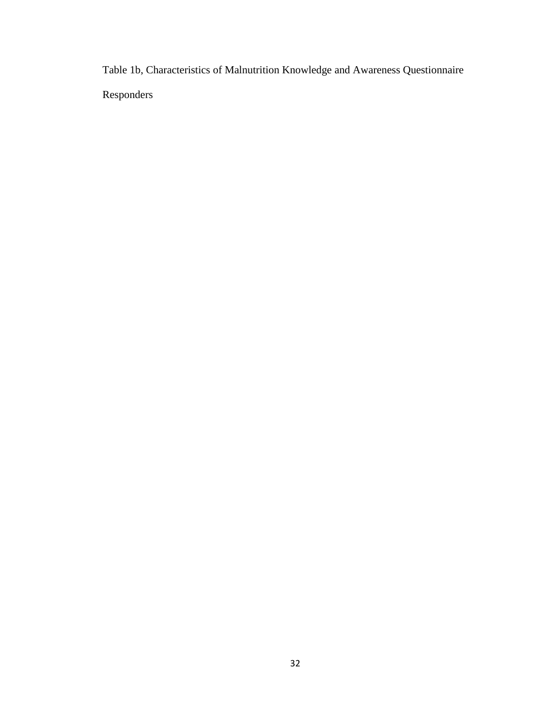Table 1b, Characteristics of Malnutrition Knowledge and Awareness Questionnaire Responders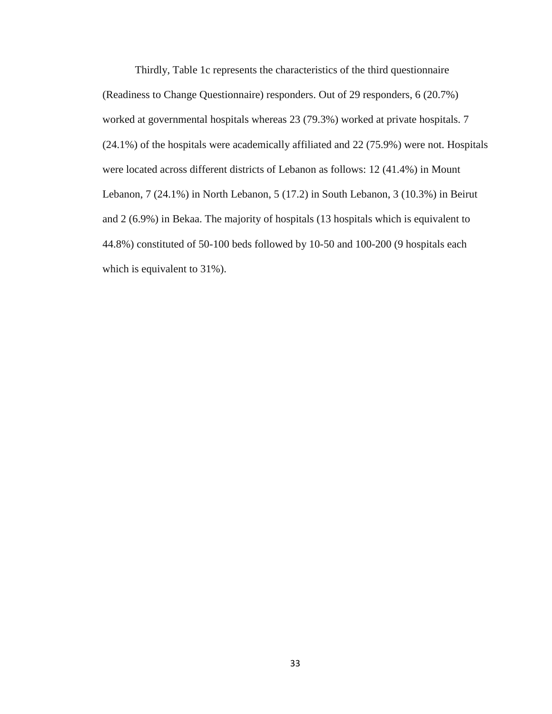Thirdly, Table 1c represents the characteristics of the third questionnaire (Readiness to Change Questionnaire) responders. Out of 29 responders, 6 (20.7%) worked at governmental hospitals whereas 23 (79.3%) worked at private hospitals. 7 (24.1%) of the hospitals were academically affiliated and 22 (75.9%) were not. Hospitals were located across different districts of Lebanon as follows: 12 (41.4%) in Mount Lebanon, 7 (24.1%) in North Lebanon, 5 (17.2) in South Lebanon, 3 (10.3%) in Beirut and 2 (6.9%) in Bekaa. The majority of hospitals (13 hospitals which is equivalent to 44.8%) constituted of 50-100 beds followed by 10-50 and 100-200 (9 hospitals each which is equivalent to 31%).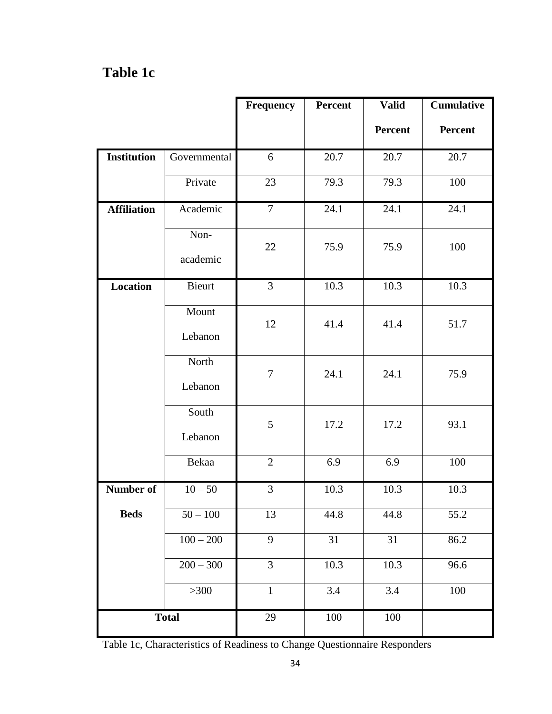# **Table 1c**

|                    |                  | <b>Frequency</b> | Percent | <b>Valid</b>    | <b>Cumulative</b> |
|--------------------|------------------|------------------|---------|-----------------|-------------------|
|                    |                  |                  |         | <b>Percent</b>  | <b>Percent</b>    |
| <b>Institution</b> | Governmental     | 6                | 20.7    | 20.7            | 20.7              |
|                    | Private          | 23               | 79.3    | 79.3            | 100               |
| <b>Affiliation</b> | Academic         | $\overline{7}$   | 24.1    | 24.1            | 24.1              |
|                    | Non-<br>academic | 22               | 75.9    | 75.9            | 100               |
| Location           | Bieurt           | $\overline{3}$   | 10.3    | 10.3            | 10.3              |
|                    | Mount<br>Lebanon | 12               | 41.4    | 41.4            | 51.7              |
|                    | North<br>Lebanon | $\tau$           | 24.1    | 24.1            | 75.9              |
|                    | South<br>Lebanon | 5                | 17.2    | 17.2            | 93.1              |
|                    | Bekaa            | $\overline{2}$   | 6.9     | 6.9             | 100               |
| Number of          | $10 - 50$        | 3                | 10.3    | 10.3            | 10.3              |
| <b>Beds</b>        | $50 - 100$       | 13               | 44.8    | 44.8            | 55.2              |
|                    | $100 - 200$      | $\overline{9}$   | 31      | $\overline{31}$ | 86.2              |
|                    | $200 - 300$      | 3                | 10.3    | 10.3            | 96.6              |
|                    | $>300$           | $\mathbf{1}$     | 3.4     | 3.4             | 100               |
|                    | <b>Total</b>     | 29               | 100     | 100             |                   |

Table 1c, Characteristics of Readiness to Change Questionnaire Responders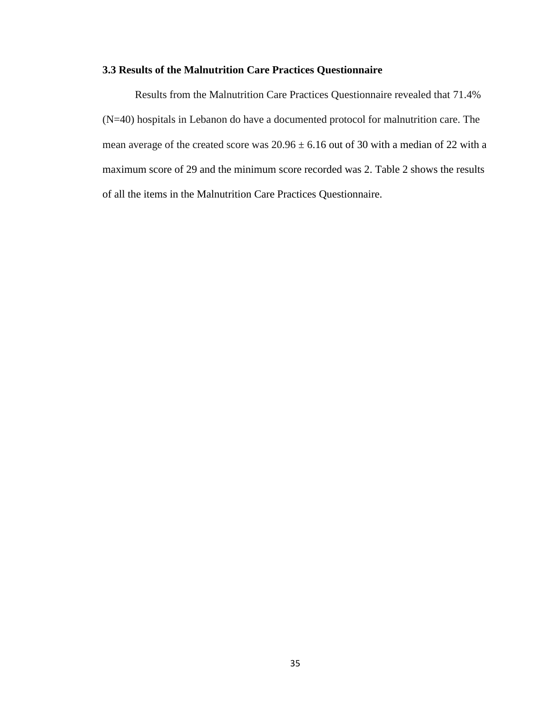#### **3.3 Results of the Malnutrition Care Practices Questionnaire**

Results from the Malnutrition Care Practices Questionnaire revealed that 71.4% (N=40) hospitals in Lebanon do have a documented protocol for malnutrition care. The mean average of the created score was  $20.96 \pm 6.16$  out of 30 with a median of 22 with a maximum score of 29 and the minimum score recorded was 2. Table 2 shows the results of all the items in the Malnutrition Care Practices Questionnaire.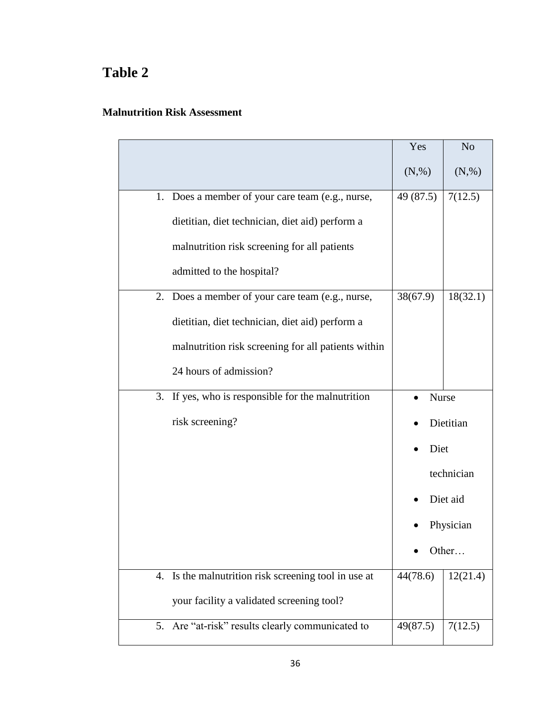# **Table 2**

#### **Malnutrition Risk Assessment**

|    |                                                      | Yes       | N <sub>o</sub> |
|----|------------------------------------------------------|-----------|----------------|
|    |                                                      | (N,%)     | (N,%)          |
| 1. | Does a member of your care team (e.g., nurse,        | 49 (87.5) | 7(12.5)        |
|    | dietitian, diet technician, diet aid) perform a      |           |                |
|    | malnutrition risk screening for all patients         |           |                |
|    | admitted to the hospital?                            |           |                |
| 2. | Does a member of your care team (e.g., nurse,        | 38(67.9)  | 18(32.1)       |
|    | dietitian, diet technician, diet aid) perform a      |           |                |
|    | malnutrition risk screening for all patients within  |           |                |
|    | 24 hours of admission?                               |           |                |
| 3. | If yes, who is responsible for the malnutrition      | Nurse     |                |
|    | risk screening?                                      |           | Dietitian      |
|    |                                                      | Diet      |                |
|    |                                                      |           | technician     |
|    |                                                      |           | Diet aid       |
|    |                                                      |           | Physician      |
|    |                                                      |           | Other          |
|    | 4. Is the malnutrition risk screening tool in use at | 44(78.6)  | 12(21.4)       |
|    | your facility a validated screening tool?            |           |                |
| 5. | Are "at-risk" results clearly communicated to        | 49(87.5)  | 7(12.5)        |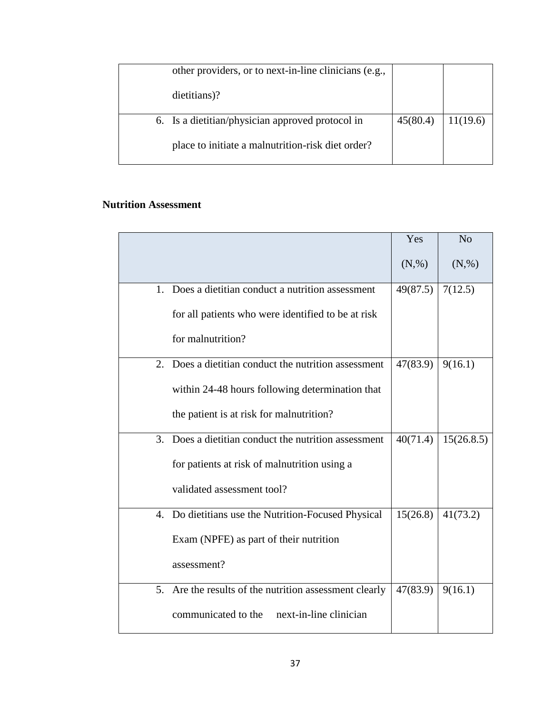| other providers, or to next-in-line clinicians (e.g., |          |          |
|-------------------------------------------------------|----------|----------|
| dietitians)?                                          |          |          |
| 6. Is a dietitian/physician approved protocol in      | 45(80.4) | 11(19.6) |
| place to initiate a malnutrition-risk diet order?     |          |          |

#### **Nutrition Assessment**

|    |                                                     | Yes        | N <sub>o</sub> |
|----|-----------------------------------------------------|------------|----------------|
|    |                                                     | $(N, \% )$ | $(N, \% )$     |
| 1. | Does a dietitian conduct a nutrition assessment     | 49(87.5)   | 7(12.5)        |
|    | for all patients who were identified to be at risk  |            |                |
|    | for malnutrition?                                   |            |                |
| 2. | Does a dietitian conduct the nutrition assessment   | 47(83.9)   | 9(16.1)        |
|    | within 24-48 hours following determination that     |            |                |
|    | the patient is at risk for malnutrition?            |            |                |
| 3. | Does a dietitian conduct the nutrition assessment   | 40(71.4)   | 15(26.8.5)     |
|    | for patients at risk of malnutrition using a        |            |                |
|    | validated assessment tool?                          |            |                |
| 4. | Do dietitians use the Nutrition-Focused Physical    | 15(26.8)   | 41(73.2)       |
|    | Exam (NPFE) as part of their nutrition              |            |                |
|    | assessment?                                         |            |                |
| 5. | Are the results of the nutrition assessment clearly | 47(83.9)   | 9(16.1)        |
|    | communicated to the<br>next-in-line clinician       |            |                |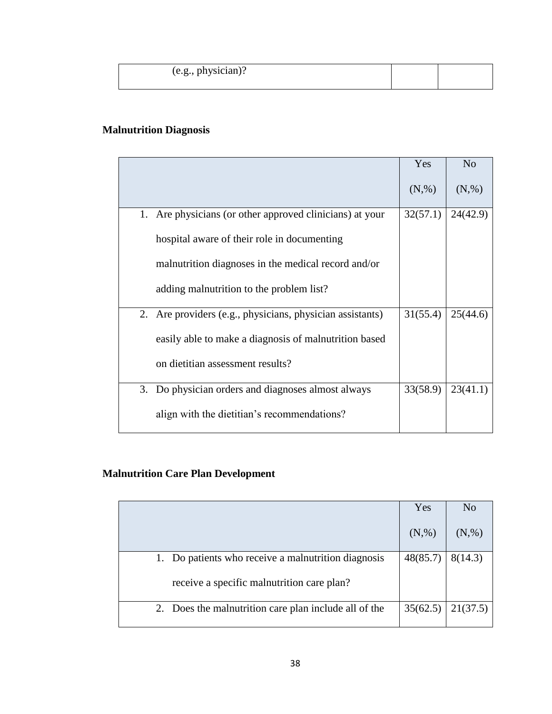| (e.g., physician)? |  |
|--------------------|--|
|                    |  |

## **Malnutrition Diagnosis**

|                                                           | Yes      | N <sub>o</sub> |
|-----------------------------------------------------------|----------|----------------|
|                                                           | (N,%)    | (N,%)          |
| 1. Are physicians (or other approved clinicians) at your  | 32(57.1) | 24(42.9)       |
| hospital aware of their role in documenting               |          |                |
| malnutrition diagnoses in the medical record and/or       |          |                |
| adding malnutrition to the problem list?                  |          |                |
| 2. Are providers (e.g., physicians, physician assistants) | 31(55.4) | 25(44.6)       |
| easily able to make a diagnosis of malnutrition based     |          |                |
| on dietitian assessment results?                          |          |                |
| 3. Do physician orders and diagnoses almost always        | 33(58.9) | 23(41.1)       |
| align with the dietitian's recommendations?               |          |                |

## **Malnutrition Care Plan Development**

|                                                       | Yes      | N <sub>o</sub> |
|-------------------------------------------------------|----------|----------------|
|                                                       | (N,%)    | (N,%)          |
| 1. Do patients who receive a malnutrition diagnosis   | 48(85.7) | 8(14.3)        |
| receive a specific malnutrition care plan?            |          |                |
| 2. Does the malnutrition care plan include all of the | 35(62.5) | 21(37.5)       |
|                                                       |          |                |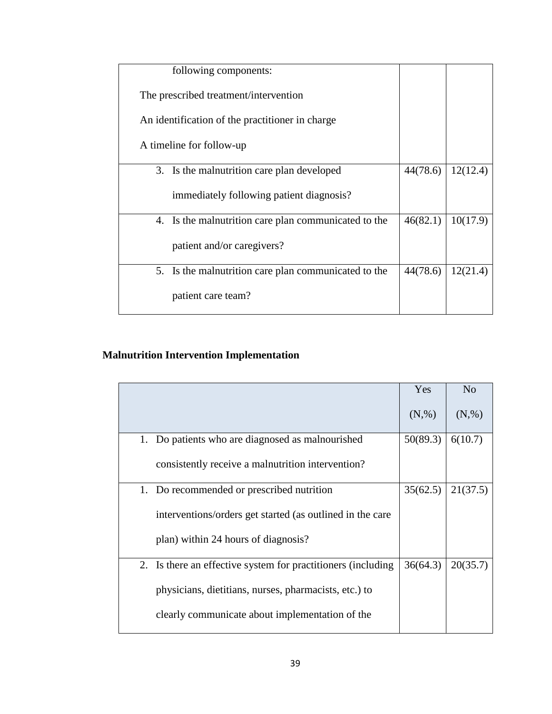| following components:                                |          |          |
|------------------------------------------------------|----------|----------|
| The prescribed treatment/intervention                |          |          |
| An identification of the practitioner in charge      |          |          |
| A timeline for follow-up                             |          |          |
| 3. Is the malnutrition care plan developed           | 44(78.6) | 12(12.4) |
| immediately following patient diagnosis?             |          |          |
| 4. Is the malnutrition care plan communicated to the | 46(82.1) | 10(17.9) |
| patient and/or caregivers?                           |          |          |
| 5. Is the malnutrition care plan communicated to the | 44(78.6) | 12(21.4) |
| patient care team?                                   |          |          |

# **Malnutrition Intervention Implementation**

|                                                              | Yes        | N <sub>o</sub> |
|--------------------------------------------------------------|------------|----------------|
|                                                              | $(N, \% )$ | $(N, \% )$     |
| 1. Do patients who are diagnosed as malnourished             | 50(89.3)   | 6(10.7)        |
| consistently receive a malnutrition intervention?            |            |                |
| 1. Do recommended or prescribed nutrition                    | 35(62.5)   | 21(37.5)       |
| interventions/orders get started (as outlined in the care    |            |                |
| plan) within 24 hours of diagnosis?                          |            |                |
| 2. Is there an effective system for practitioners (including | 36(64.3)   | 20(35.7)       |
| physicians, dietitians, nurses, pharmacists, etc.) to        |            |                |
| clearly communicate about implementation of the              |            |                |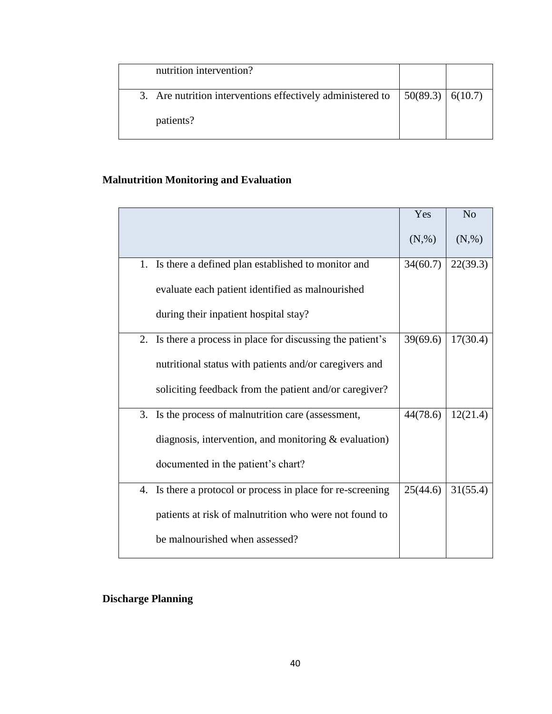| nutrition intervention?                                    |                    |  |
|------------------------------------------------------------|--------------------|--|
| 3. Are nutrition interventions effectively administered to | 50(89.3)   6(10.7) |  |
| patients?                                                  |                    |  |

## **Malnutrition Monitoring and Evaluation**

|                                                                | Yes      | N <sub>o</sub> |
|----------------------------------------------------------------|----------|----------------|
|                                                                | (N,%)    | $(N, \% )$     |
| 1. Is there a defined plan established to monitor and          | 34(60.7) | 22(39.3)       |
| evaluate each patient identified as malnourished               |          |                |
| during their inpatient hospital stay?                          |          |                |
| 2. Is there a process in place for discussing the patient's    | 39(69.6) | 17(30.4)       |
| nutritional status with patients and/or caregivers and         |          |                |
| soliciting feedback from the patient and/or caregiver?         |          |                |
| 3. Is the process of malnutrition care (assessment,            | 44(78.6) | 12(21.4)       |
| diagnosis, intervention, and monitoring $&$ evaluation)        |          |                |
| documented in the patient's chart?                             |          |                |
| Is there a protocol or process in place for re-screening<br>4. | 25(44.6) | 31(55.4)       |
| patients at risk of malnutrition who were not found to         |          |                |
| be malnourished when assessed?                                 |          |                |

## **Discharge Planning**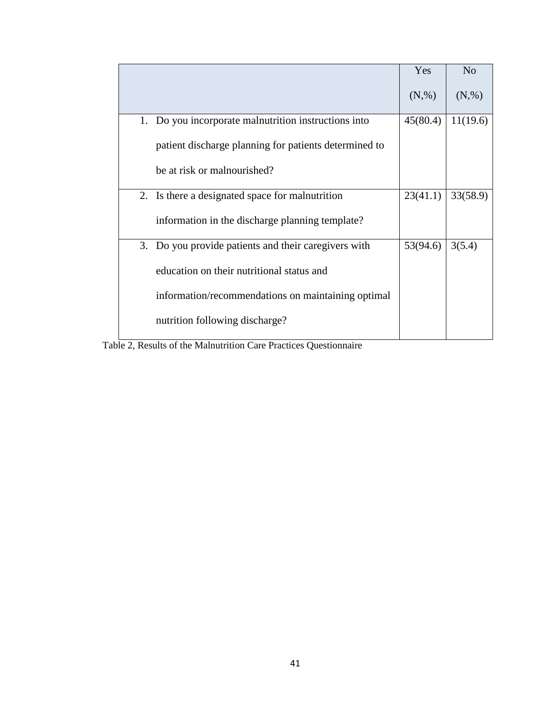|                                                         | Yes        | N <sub>o</sub> |
|---------------------------------------------------------|------------|----------------|
|                                                         | $(N, \% )$ | (N,%)          |
| Do you incorporate malnutrition instructions into<br>1. | 45(80.4)   | 11(19.6)       |
| patient discharge planning for patients determined to   |            |                |
| be at risk or malnourished?                             |            |                |
| 2. Is there a designated space for malnutrition         | 23(41.1)   | 33(58.9)       |
| information in the discharge planning template?         |            |                |
| 3. Do you provide patients and their caregivers with    | 53(94.6)   | 3(5.4)         |
| education on their nutritional status and               |            |                |
| information/recommendations on maintaining optimal      |            |                |
| nutrition following discharge?                          |            |                |

Table 2, Results of the Malnutrition Care Practices Questionnaire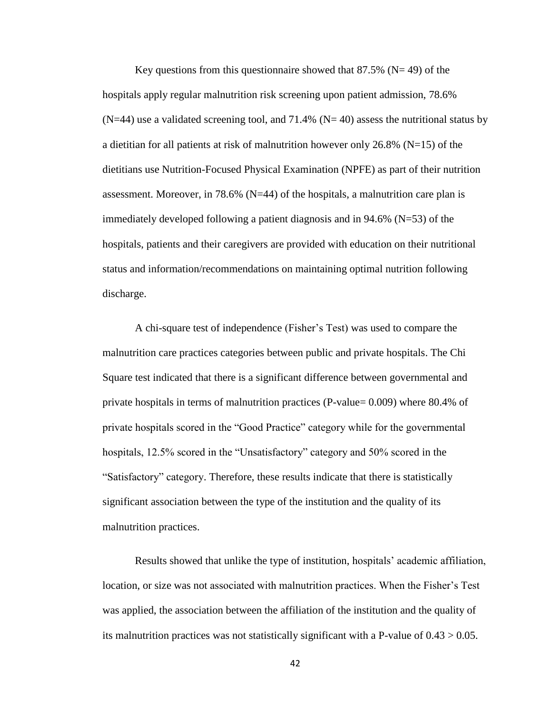Key questions from this questionnaire showed that  $87.5\%$  (N= 49) of the hospitals apply regular malnutrition risk screening upon patient admission, 78.6%  $(N=44)$  use a validated screening tool, and 71.4%  $(N=40)$  assess the nutritional status by a dietitian for all patients at risk of malnutrition however only  $26.8\%$  (N=15) of the dietitians use Nutrition-Focused Physical Examination (NPFE) as part of their nutrition assessment. Moreover, in 78.6% (N=44) of the hospitals, a malnutrition care plan is immediately developed following a patient diagnosis and in 94.6% (N=53) of the hospitals, patients and their caregivers are provided with education on their nutritional status and information/recommendations on maintaining optimal nutrition following discharge.

A chi-square test of independence (Fisher's Test) was used to compare the malnutrition care practices categories between public and private hospitals. The Chi Square test indicated that there is a significant difference between governmental and private hospitals in terms of malnutrition practices (P-value= 0.009) where 80.4% of private hospitals scored in the "Good Practice" category while for the governmental hospitals, 12.5% scored in the "Unsatisfactory" category and 50% scored in the "Satisfactory" category. Therefore, these results indicate that there is statistically significant association between the type of the institution and the quality of its malnutrition practices.

Results showed that unlike the type of institution, hospitals' academic affiliation, location, or size was not associated with malnutrition practices. When the Fisher's Test was applied, the association between the affiliation of the institution and the quality of its malnutrition practices was not statistically significant with a P-value of  $0.43 > 0.05$ .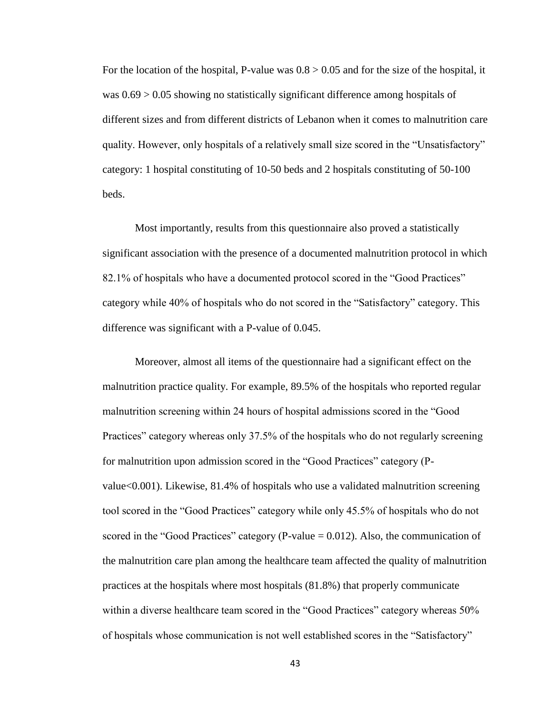For the location of the hospital, P-value was  $0.8 > 0.05$  and for the size of the hospital, it was 0.69 > 0.05 showing no statistically significant difference among hospitals of different sizes and from different districts of Lebanon when it comes to malnutrition care quality. However, only hospitals of a relatively small size scored in the "Unsatisfactory" category: 1 hospital constituting of 10-50 beds and 2 hospitals constituting of 50-100 beds.

Most importantly, results from this questionnaire also proved a statistically significant association with the presence of a documented malnutrition protocol in which 82.1% of hospitals who have a documented protocol scored in the "Good Practices" category while 40% of hospitals who do not scored in the "Satisfactory" category. This difference was significant with a P-value of 0.045.

Moreover, almost all items of the questionnaire had a significant effect on the malnutrition practice quality. For example, 89.5% of the hospitals who reported regular malnutrition screening within 24 hours of hospital admissions scored in the "Good Practices" category whereas only 37.5% of the hospitals who do not regularly screening for malnutrition upon admission scored in the "Good Practices" category (Pvalue<0.001). Likewise, 81.4% of hospitals who use a validated malnutrition screening tool scored in the "Good Practices" category while only 45.5% of hospitals who do not scored in the "Good Practices" category (P-value  $= 0.012$ ). Also, the communication of the malnutrition care plan among the healthcare team affected the quality of malnutrition practices at the hospitals where most hospitals (81.8%) that properly communicate within a diverse healthcare team scored in the "Good Practices" category whereas 50% of hospitals whose communication is not well established scores in the "Satisfactory"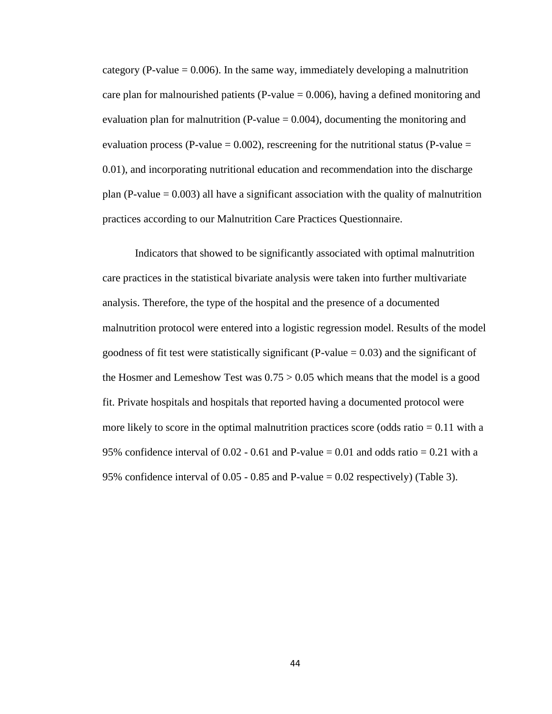category (P-value  $= 0.006$ ). In the same way, immediately developing a malnutrition care plan for malnourished patients (P-value  $= 0.006$ ), having a defined monitoring and evaluation plan for malnutrition (P-value  $= 0.004$ ), documenting the monitoring and evaluation process (P-value =  $0.002$ ), rescreening for the nutritional status (P-value = 0.01), and incorporating nutritional education and recommendation into the discharge plan (P-value  $= 0.003$ ) all have a significant association with the quality of malnutrition practices according to our Malnutrition Care Practices Questionnaire.

Indicators that showed to be significantly associated with optimal malnutrition care practices in the statistical bivariate analysis were taken into further multivariate analysis. Therefore, the type of the hospital and the presence of a documented malnutrition protocol were entered into a logistic regression model. Results of the model goodness of fit test were statistically significant (P-value  $= 0.03$ ) and the significant of the Hosmer and Lemeshow Test was  $0.75 > 0.05$  which means that the model is a good fit. Private hospitals and hospitals that reported having a documented protocol were more likely to score in the optimal malnutrition practices score (odds ratio  $= 0.11$  with a 95% confidence interval of 0.02 - 0.61 and P-value  $= 0.01$  and odds ratio  $= 0.21$  with a 95% confidence interval of 0.05 - 0.85 and P-value = 0.02 respectively) (Table 3).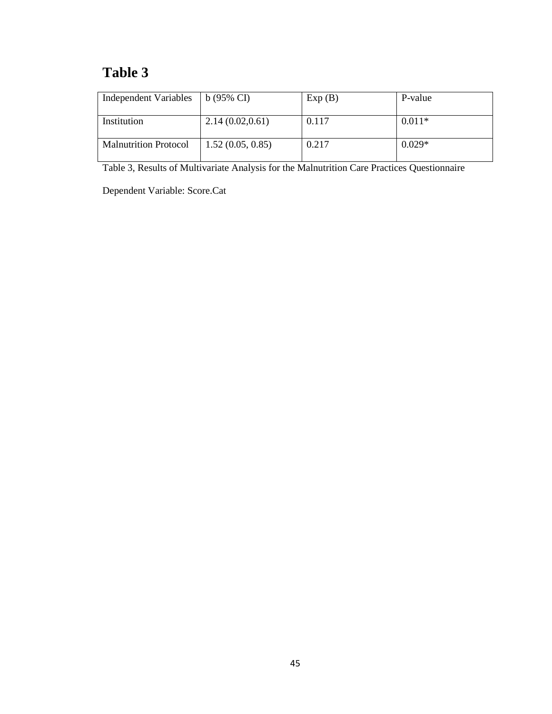# **Table 3**

| Independent Variables        | $b(95\% \text{ CI})$ | Exp(B) | P-value  |
|------------------------------|----------------------|--------|----------|
| Institution                  | 2.14(0.02, 0.61)     | 0.117  | $0.011*$ |
| <b>Malnutrition Protocol</b> | 1.52(0.05, 0.85)     | 0.217  | $0.029*$ |

Table 3, Results of Multivariate Analysis for the Malnutrition Care Practices Questionnaire

Dependent Variable: Score.Cat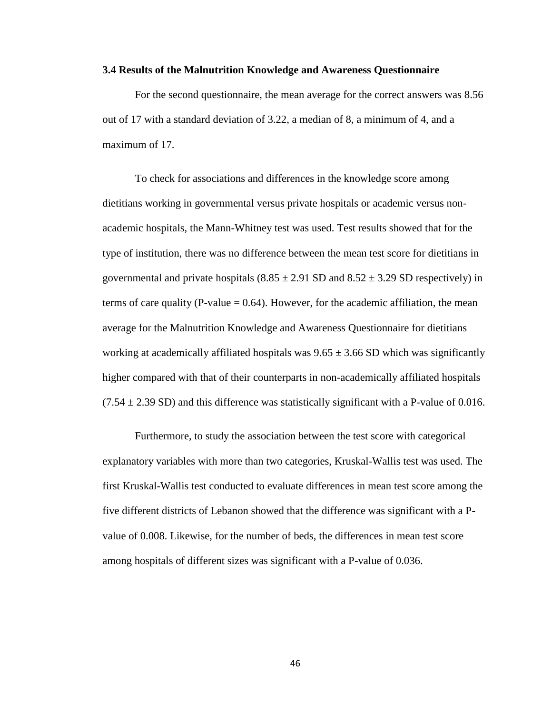#### **3.4 Results of the Malnutrition Knowledge and Awareness Questionnaire**

For the second questionnaire, the mean average for the correct answers was 8.56 out of 17 with a standard deviation of 3.22, a median of 8, a minimum of 4, and a maximum of 17.

To check for associations and differences in the knowledge score among dietitians working in governmental versus private hospitals or academic versus nonacademic hospitals, the Mann-Whitney test was used. Test results showed that for the type of institution, there was no difference between the mean test score for dietitians in governmental and private hospitals  $(8.85 \pm 2.91 \text{ SD} \text{ and } 8.52 \pm 3.29 \text{ SD} \text{ respectively})$  in terms of care quality (P-value  $= 0.64$ ). However, for the academic affiliation, the mean average for the Malnutrition Knowledge and Awareness Questionnaire for dietitians working at academically affiliated hospitals was  $9.65 \pm 3.66$  SD which was significantly higher compared with that of their counterparts in non-academically affiliated hospitals  $(7.54 \pm 2.39 \text{ SD})$  and this difference was statistically significant with a P-value of 0.016.

Furthermore, to study the association between the test score with categorical explanatory variables with more than two categories, Kruskal-Wallis test was used. The first Kruskal-Wallis test conducted to evaluate differences in mean test score among the five different districts of Lebanon showed that the difference was significant with a Pvalue of 0.008. Likewise, for the number of beds, the differences in mean test score among hospitals of different sizes was significant with a P-value of 0.036.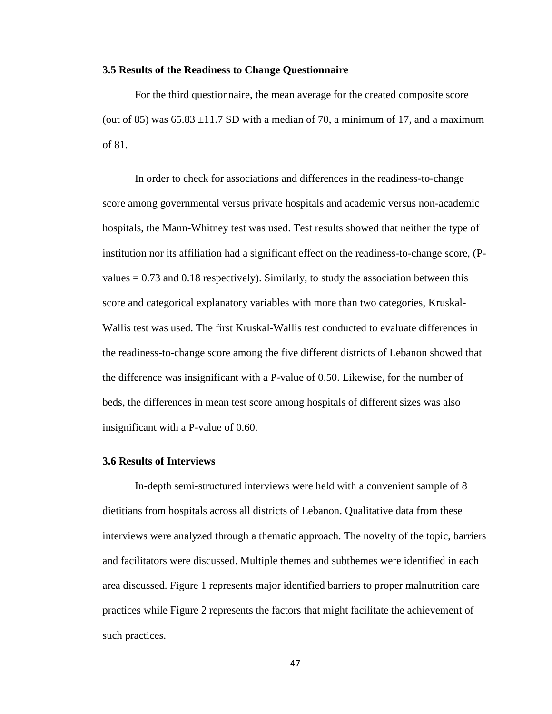#### **3.5 Results of the Readiness to Change Questionnaire**

For the third questionnaire, the mean average for the created composite score (out of 85) was  $65.83 \pm 11.7$  SD with a median of 70, a minimum of 17, and a maximum of 81.

In order to check for associations and differences in the readiness-to-change score among governmental versus private hospitals and academic versus non-academic hospitals, the Mann-Whitney test was used. Test results showed that neither the type of institution nor its affiliation had a significant effect on the readiness-to-change score, (Pvalues  $= 0.73$  and 0.18 respectively). Similarly, to study the association between this score and categorical explanatory variables with more than two categories, Kruskal-Wallis test was used. The first Kruskal-Wallis test conducted to evaluate differences in the readiness-to-change score among the five different districts of Lebanon showed that the difference was insignificant with a P-value of 0.50. Likewise, for the number of beds, the differences in mean test score among hospitals of different sizes was also insignificant with a P-value of 0.60.

#### **3.6 Results of Interviews**

In-depth semi-structured interviews were held with a convenient sample of 8 dietitians from hospitals across all districts of Lebanon. Qualitative data from these interviews were analyzed through a thematic approach. The novelty of the topic, barriers and facilitators were discussed. Multiple themes and subthemes were identified in each area discussed. Figure 1 represents major identified barriers to proper malnutrition care practices while Figure 2 represents the factors that might facilitate the achievement of such practices.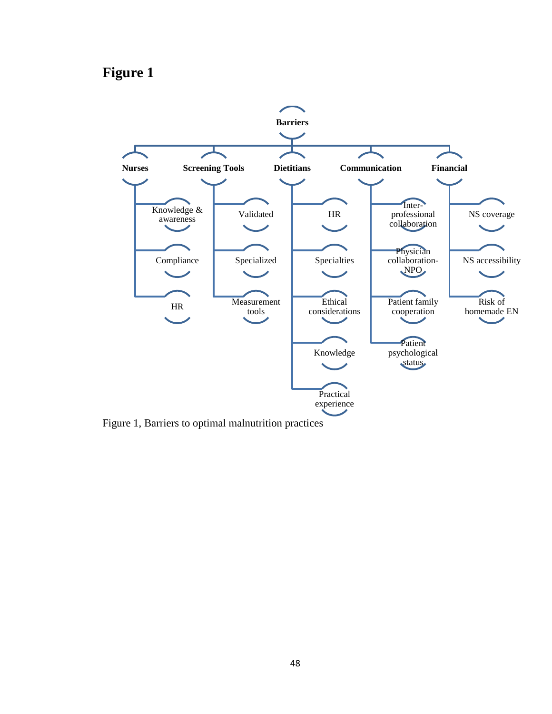# **Figure 1**



Figure 1, Barriers to optimal malnutrition practices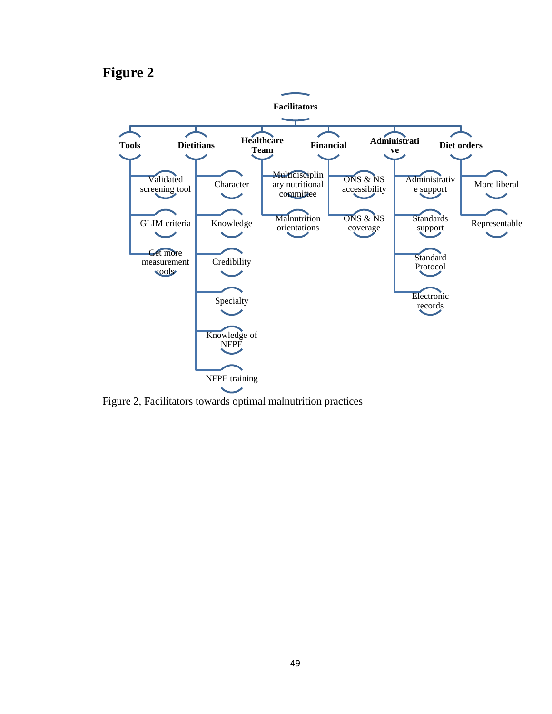# **Figure 2**



Figure 2, Facilitators towards optimal malnutrition practices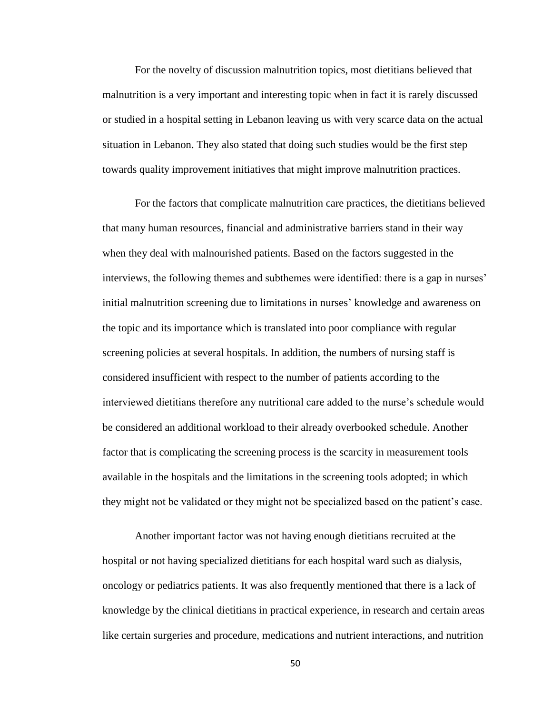For the novelty of discussion malnutrition topics, most dietitians believed that malnutrition is a very important and interesting topic when in fact it is rarely discussed or studied in a hospital setting in Lebanon leaving us with very scarce data on the actual situation in Lebanon. They also stated that doing such studies would be the first step towards quality improvement initiatives that might improve malnutrition practices.

For the factors that complicate malnutrition care practices, the dietitians believed that many human resources, financial and administrative barriers stand in their way when they deal with malnourished patients. Based on the factors suggested in the interviews, the following themes and subthemes were identified: there is a gap in nurses' initial malnutrition screening due to limitations in nurses' knowledge and awareness on the topic and its importance which is translated into poor compliance with regular screening policies at several hospitals. In addition, the numbers of nursing staff is considered insufficient with respect to the number of patients according to the interviewed dietitians therefore any nutritional care added to the nurse's schedule would be considered an additional workload to their already overbooked schedule. Another factor that is complicating the screening process is the scarcity in measurement tools available in the hospitals and the limitations in the screening tools adopted; in which they might not be validated or they might not be specialized based on the patient's case.

Another important factor was not having enough dietitians recruited at the hospital or not having specialized dietitians for each hospital ward such as dialysis, oncology or pediatrics patients. It was also frequently mentioned that there is a lack of knowledge by the clinical dietitians in practical experience, in research and certain areas like certain surgeries and procedure, medications and nutrient interactions, and nutrition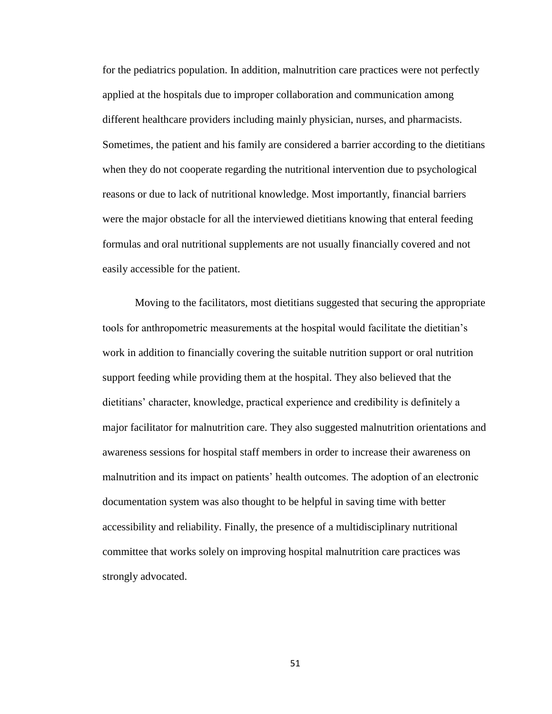for the pediatrics population. In addition, malnutrition care practices were not perfectly applied at the hospitals due to improper collaboration and communication among different healthcare providers including mainly physician, nurses, and pharmacists. Sometimes, the patient and his family are considered a barrier according to the dietitians when they do not cooperate regarding the nutritional intervention due to psychological reasons or due to lack of nutritional knowledge. Most importantly, financial barriers were the major obstacle for all the interviewed dietitians knowing that enteral feeding formulas and oral nutritional supplements are not usually financially covered and not easily accessible for the patient.

Moving to the facilitators, most dietitians suggested that securing the appropriate tools for anthropometric measurements at the hospital would facilitate the dietitian's work in addition to financially covering the suitable nutrition support or oral nutrition support feeding while providing them at the hospital. They also believed that the dietitians' character, knowledge, practical experience and credibility is definitely a major facilitator for malnutrition care. They also suggested malnutrition orientations and awareness sessions for hospital staff members in order to increase their awareness on malnutrition and its impact on patients' health outcomes. The adoption of an electronic documentation system was also thought to be helpful in saving time with better accessibility and reliability. Finally, the presence of a multidisciplinary nutritional committee that works solely on improving hospital malnutrition care practices was strongly advocated.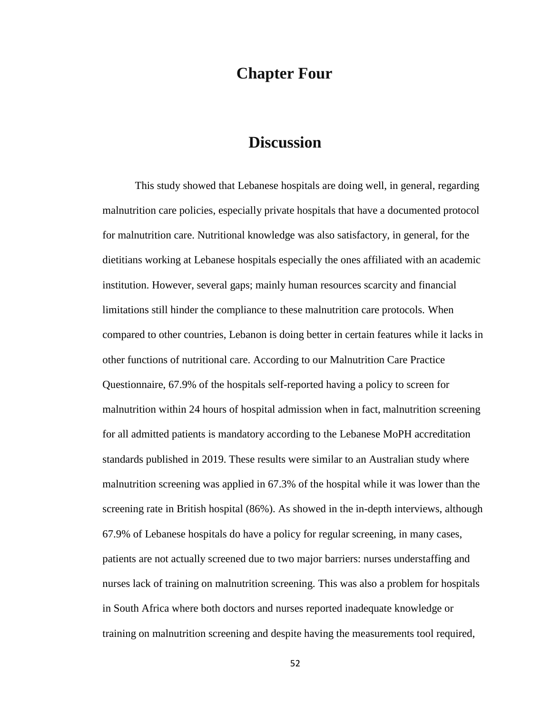## **Chapter Four**

## **Discussion**

This study showed that Lebanese hospitals are doing well, in general, regarding malnutrition care policies, especially private hospitals that have a documented protocol for malnutrition care. Nutritional knowledge was also satisfactory, in general, for the dietitians working at Lebanese hospitals especially the ones affiliated with an academic institution. However, several gaps; mainly human resources scarcity and financial limitations still hinder the compliance to these malnutrition care protocols. When compared to other countries, Lebanon is doing better in certain features while it lacks in other functions of nutritional care. According to our Malnutrition Care Practice Questionnaire, 67.9% of the hospitals self-reported having a policy to screen for malnutrition within 24 hours of hospital admission when in fact, malnutrition screening for all admitted patients is mandatory according to the Lebanese MoPH accreditation standards published in 2019. These results were similar to an Australian study where malnutrition screening was applied in 67.3% of the hospital while it was lower than the screening rate in British hospital (86%). As showed in the in-depth interviews, although 67.9% of Lebanese hospitals do have a policy for regular screening, in many cases, patients are not actually screened due to two major barriers: nurses understaffing and nurses lack of training on malnutrition screening. This was also a problem for hospitals in South Africa where both doctors and nurses reported inadequate knowledge or training on malnutrition screening and despite having the measurements tool required,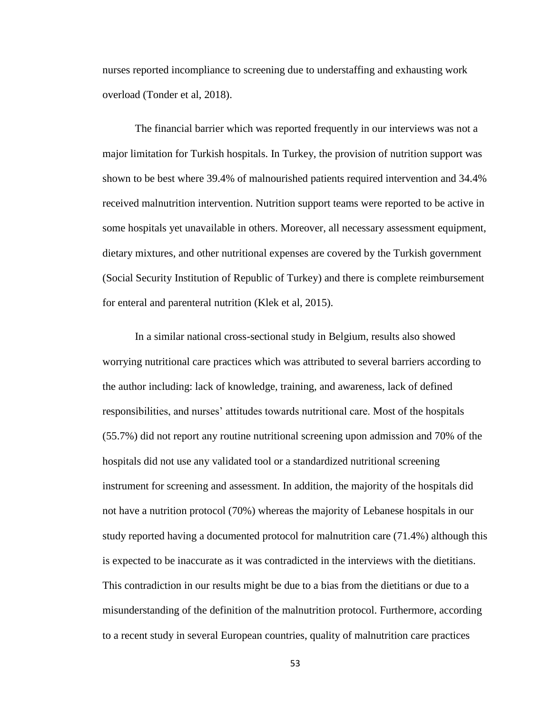nurses reported incompliance to screening due to understaffing and exhausting work overload (Tonder et al, 2018).

The financial barrier which was reported frequently in our interviews was not a major limitation for Turkish hospitals. In Turkey, the provision of nutrition support was shown to be best where 39.4% of malnourished patients required intervention and 34.4% received malnutrition intervention. Nutrition support teams were reported to be active in some hospitals yet unavailable in others. Moreover, all necessary assessment equipment, dietary mixtures, and other nutritional expenses are covered by the Turkish government (Social Security Institution of Republic of Turkey) and there is complete reimbursement for enteral and parenteral nutrition (Klek et al, 2015).

In a similar national cross-sectional study in Belgium, results also showed worrying nutritional care practices which was attributed to several barriers according to the author including: lack of knowledge, training, and awareness, lack of defined responsibilities, and nurses' attitudes towards nutritional care. Most of the hospitals (55.7%) did not report any routine nutritional screening upon admission and 70% of the hospitals did not use any validated tool or a standardized nutritional screening instrument for screening and assessment. In addition, the majority of the hospitals did not have a nutrition protocol (70%) whereas the majority of Lebanese hospitals in our study reported having a documented protocol for malnutrition care (71.4%) although this is expected to be inaccurate as it was contradicted in the interviews with the dietitians. This contradiction in our results might be due to a bias from the dietitians or due to a misunderstanding of the definition of the malnutrition protocol. Furthermore, according to a recent study in several European countries, quality of malnutrition care practices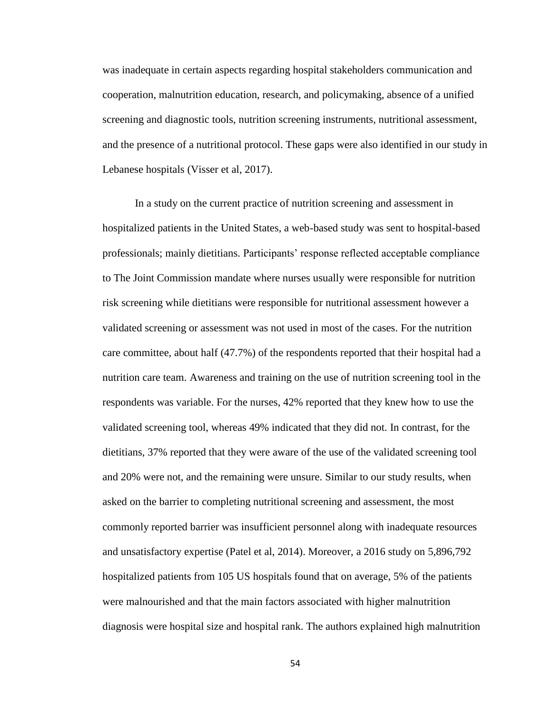was inadequate in certain aspects regarding hospital stakeholders communication and cooperation, malnutrition education, research, and policymaking, absence of a unified screening and diagnostic tools, nutrition screening instruments, nutritional assessment, and the presence of a nutritional protocol. These gaps were also identified in our study in Lebanese hospitals (Visser et al, 2017).

In a study on the current practice of nutrition screening and assessment in hospitalized patients in the United States, a web-based study was sent to hospital-based professionals; mainly dietitians. Participants' response reflected acceptable compliance to The Joint Commission mandate where nurses usually were responsible for nutrition risk screening while dietitians were responsible for nutritional assessment however a validated screening or assessment was not used in most of the cases. For the nutrition care committee, about half (47.7%) of the respondents reported that their hospital had a nutrition care team. Awareness and training on the use of nutrition screening tool in the respondents was variable. For the nurses, 42% reported that they knew how to use the validated screening tool, whereas 49% indicated that they did not. In contrast, for the dietitians, 37% reported that they were aware of the use of the validated screening tool and 20% were not, and the remaining were unsure. Similar to our study results, when asked on the barrier to completing nutritional screening and assessment, the most commonly reported barrier was insufficient personnel along with inadequate resources and unsatisfactory expertise (Patel et al, 2014). Moreover, a 2016 study on 5,896,792 hospitalized patients from 105 US hospitals found that on average, 5% of the patients were malnourished and that the main factors associated with higher malnutrition diagnosis were hospital size and hospital rank. The authors explained high malnutrition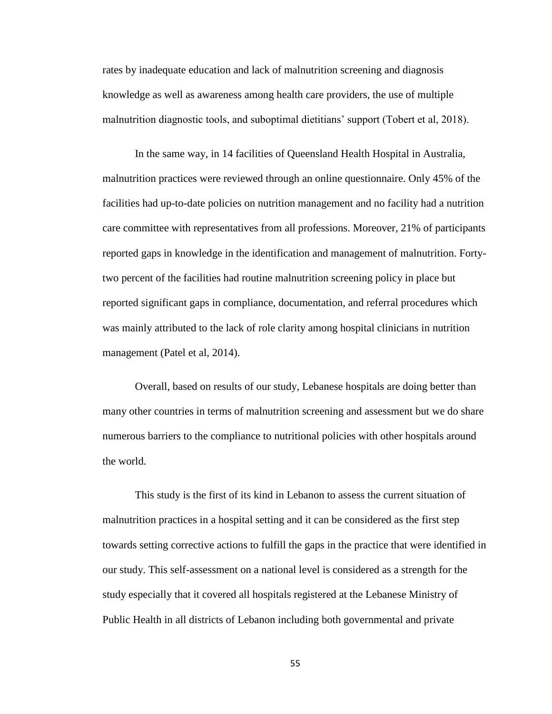rates by inadequate education and lack of malnutrition screening and diagnosis knowledge as well as awareness among health care providers, the use of multiple malnutrition diagnostic tools, and suboptimal dietitians' support (Tobert et al, 2018).

In the same way, in 14 facilities of Queensland Health Hospital in Australia, malnutrition practices were reviewed through an online questionnaire. Only 45% of the facilities had up-to-date policies on nutrition management and no facility had a nutrition care committee with representatives from all professions. Moreover, 21% of participants reported gaps in knowledge in the identification and management of malnutrition. Fortytwo percent of the facilities had routine malnutrition screening policy in place but reported significant gaps in compliance, documentation, and referral procedures which was mainly attributed to the lack of role clarity among hospital clinicians in nutrition management (Patel et al, 2014).

Overall, based on results of our study, Lebanese hospitals are doing better than many other countries in terms of malnutrition screening and assessment but we do share numerous barriers to the compliance to nutritional policies with other hospitals around the world.

This study is the first of its kind in Lebanon to assess the current situation of malnutrition practices in a hospital setting and it can be considered as the first step towards setting corrective actions to fulfill the gaps in the practice that were identified in our study. This self-assessment on a national level is considered as a strength for the study especially that it covered all hospitals registered at the Lebanese Ministry of Public Health in all districts of Lebanon including both governmental and private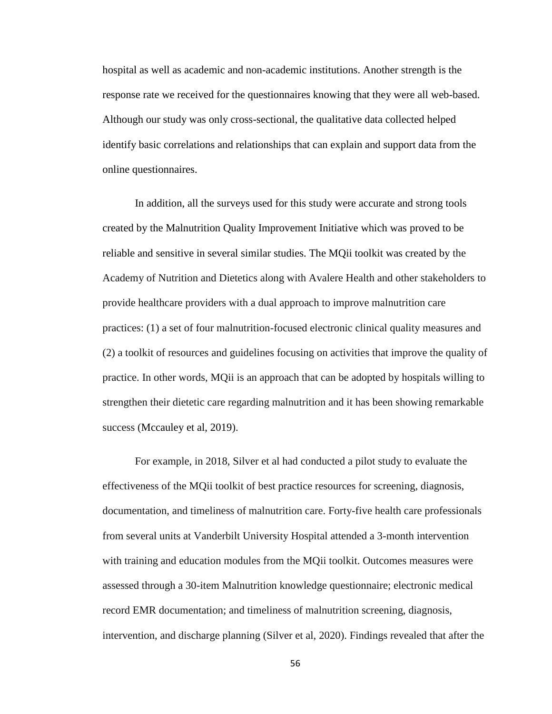hospital as well as academic and non-academic institutions. Another strength is the response rate we received for the questionnaires knowing that they were all web-based. Although our study was only cross-sectional, the qualitative data collected helped identify basic correlations and relationships that can explain and support data from the online questionnaires.

In addition, all the surveys used for this study were accurate and strong tools created by the Malnutrition Quality Improvement Initiative which was proved to be reliable and sensitive in several similar studies. The MQii toolkit was created by the Academy of Nutrition and Dietetics along with Avalere Health and other stakeholders to provide healthcare providers with a dual approach to improve malnutrition care practices: (1) a set of four malnutrition-focused electronic clinical quality measures and (2) a toolkit of resources and guidelines focusing on activities that improve the quality of practice. In other words, MQii is an approach that can be adopted by hospitals willing to strengthen their dietetic care regarding malnutrition and it has been showing remarkable success (Mccauley et al, 2019).

For example, in 2018, Silver et al had conducted a pilot study to evaluate the effectiveness of the MQii toolkit of best practice resources for screening, diagnosis, documentation, and timeliness of malnutrition care. Forty-five health care professionals from several units at Vanderbilt University Hospital attended a 3-month intervention with training and education modules from the MQii toolkit. Outcomes measures were assessed through a 30-item Malnutrition knowledge questionnaire; electronic medical record EMR documentation; and timeliness of malnutrition screening, diagnosis, intervention, and discharge planning (Silver et al, 2020). Findings revealed that after the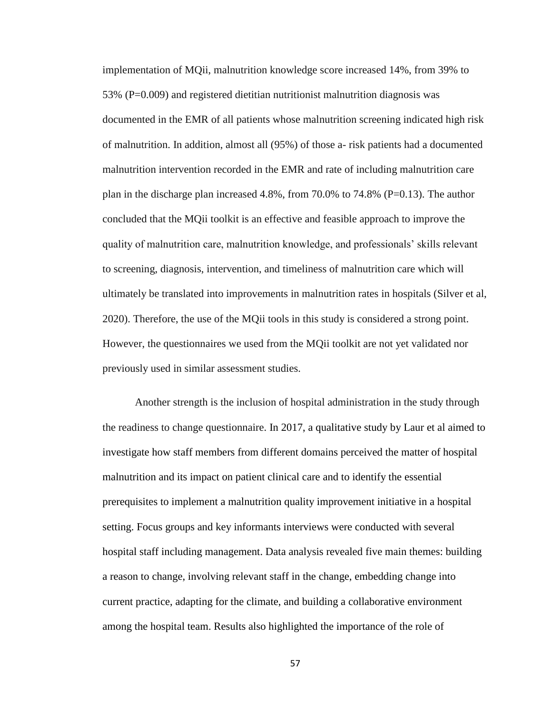implementation of MQii, malnutrition knowledge score increased 14%, from 39% to 53% (P=0.009) and registered dietitian nutritionist malnutrition diagnosis was documented in the EMR of all patients whose malnutrition screening indicated high risk of malnutrition. In addition, almost all (95%) of those a- risk patients had a documented malnutrition intervention recorded in the EMR and rate of including malnutrition care plan in the discharge plan increased 4.8%, from 70.0% to 74.8% (P=0.13). The author concluded that the MQii toolkit is an effective and feasible approach to improve the quality of malnutrition care, malnutrition knowledge, and professionals' skills relevant to screening, diagnosis, intervention, and timeliness of malnutrition care which will ultimately be translated into improvements in malnutrition rates in hospitals (Silver et al, 2020). Therefore, the use of the MQii tools in this study is considered a strong point. However, the questionnaires we used from the MQii toolkit are not yet validated nor previously used in similar assessment studies.

Another strength is the inclusion of hospital administration in the study through the readiness to change questionnaire. In 2017, a qualitative study by Laur et al aimed to investigate how staff members from different domains perceived the matter of hospital malnutrition and its impact on patient clinical care and to identify the essential prerequisites to implement a malnutrition quality improvement initiative in a hospital setting. Focus groups and key informants interviews were conducted with several hospital staff including management. Data analysis revealed five main themes: building a reason to change, involving relevant staff in the change, embedding change into current practice, adapting for the climate, and building a collaborative environment among the hospital team. Results also highlighted the importance of the role of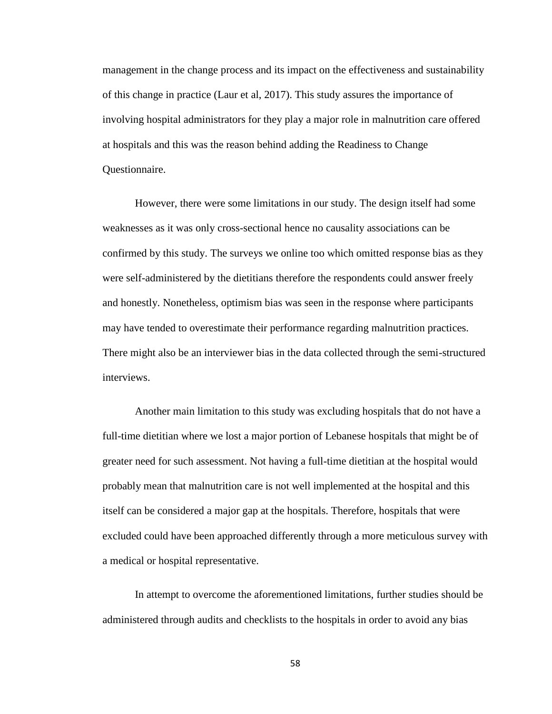management in the change process and its impact on the effectiveness and sustainability of this change in practice (Laur et al, 2017). This study assures the importance of involving hospital administrators for they play a major role in malnutrition care offered at hospitals and this was the reason behind adding the Readiness to Change Questionnaire.

However, there were some limitations in our study. The design itself had some weaknesses as it was only cross-sectional hence no causality associations can be confirmed by this study. The surveys we online too which omitted response bias as they were self-administered by the dietitians therefore the respondents could answer freely and honestly. Nonetheless, optimism bias was seen in the response where participants may have tended to overestimate their performance regarding malnutrition practices. There might also be an interviewer bias in the data collected through the semi-structured interviews.

Another main limitation to this study was excluding hospitals that do not have a full-time dietitian where we lost a major portion of Lebanese hospitals that might be of greater need for such assessment. Not having a full-time dietitian at the hospital would probably mean that malnutrition care is not well implemented at the hospital and this itself can be considered a major gap at the hospitals. Therefore, hospitals that were excluded could have been approached differently through a more meticulous survey with a medical or hospital representative.

In attempt to overcome the aforementioned limitations, further studies should be administered through audits and checklists to the hospitals in order to avoid any bias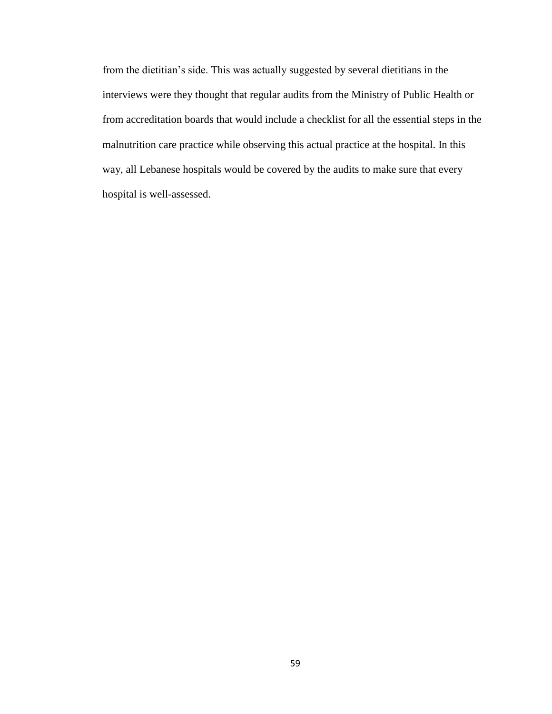from the dietitian's side. This was actually suggested by several dietitians in the interviews were they thought that regular audits from the Ministry of Public Health or from accreditation boards that would include a checklist for all the essential steps in the malnutrition care practice while observing this actual practice at the hospital. In this way, all Lebanese hospitals would be covered by the audits to make sure that every hospital is well-assessed.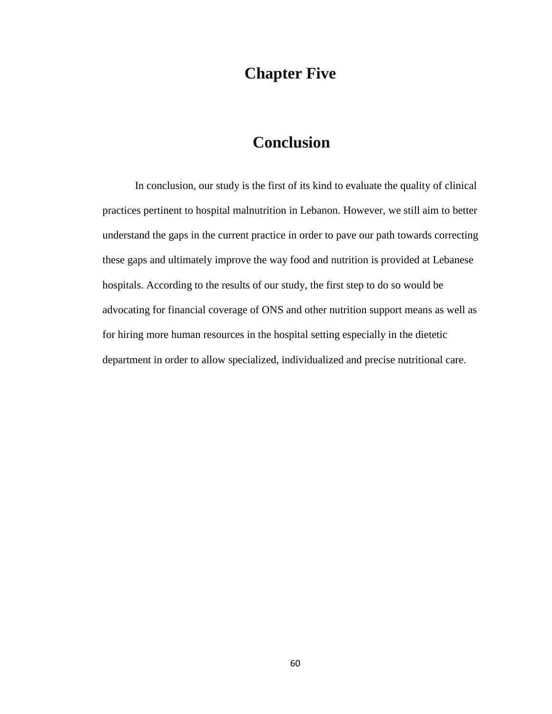## **Chapter Five**

## **Conclusion**

In conclusion, our study is the first of its kind to evaluate the quality of clinical practices pertinent to hospital malnutrition in Lebanon. However, we still aim to better understand the gaps in the current practice in order to pave our path towards correcting these gaps and ultimately improve the way food and nutrition is provided at Lebanese hospitals. According to the results of our study, the first step to do so would be advocating for financial coverage of ONS and other nutrition support means as well as for hiring more human resources in the hospital setting especially in the dietetic department in order to allow specialized, individualized and precise nutritional care.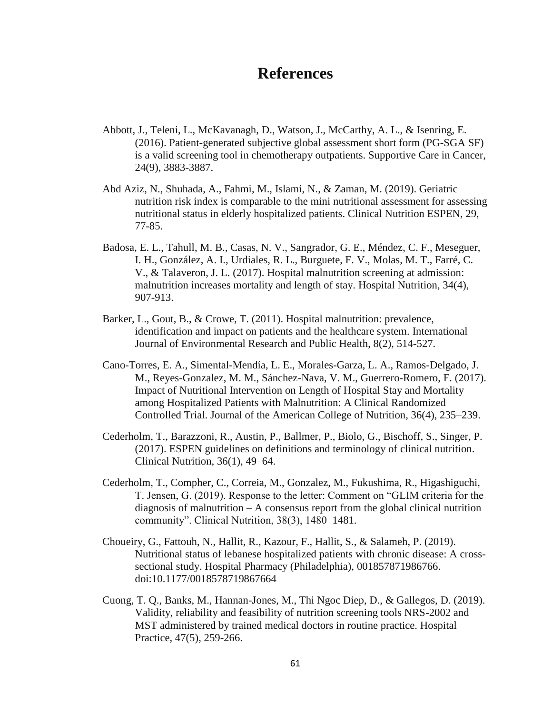## **References**

- Abbott, J., Teleni, L., McKavanagh, D., Watson, J., McCarthy, A. L., & Isenring, E. (2016). Patient-generated subjective global assessment short form (PG-SGA SF) is a valid screening tool in chemotherapy outpatients. Supportive Care in Cancer, 24(9), 3883-3887.
- Abd Aziz, N., Shuhada, A., Fahmi, M., Islami, N., & Zaman, M. (2019). Geriatric nutrition risk index is comparable to the mini nutritional assessment for assessing nutritional status in elderly hospitalized patients. Clinical Nutrition ESPEN, 29, 77-85.
- Badosa, E. L., Tahull, M. B., Casas, N. V., Sangrador, G. E., Méndez, C. F., Meseguer, I. H., González, A. I., Urdiales, R. L., Burguete, F. V., Molas, M. T., Farré, C. V., & Talaveron, J. L. (2017). Hospital malnutrition screening at admission: malnutrition increases mortality and length of stay. Hospital Nutrition, 34(4), 907-913.
- Barker, L., Gout, B., & Crowe, T. (2011). Hospital malnutrition: prevalence, identification and impact on patients and the healthcare system. International Journal of Environmental Research and Public Health, 8(2), 514-527.
- Cano-Torres, E. A., Simental-Mendía, L. E., Morales-Garza, L. A., Ramos-Delgado, J. M., Reyes-Gonzalez, M. M., Sánchez-Nava, V. M., Guerrero-Romero, F. (2017). Impact of Nutritional Intervention on Length of Hospital Stay and Mortality among Hospitalized Patients with Malnutrition: A Clinical Randomized Controlled Trial. Journal of the American College of Nutrition, 36(4), 235–239.
- Cederholm, T., Barazzoni, R., Austin, P., Ballmer, P., Biolo, G., Bischoff, S., Singer, P. (2017). ESPEN guidelines on definitions and terminology of clinical nutrition. Clinical Nutrition, 36(1), 49–64.
- Cederholm, T., Compher, C., Correia, M., Gonzalez, M., Fukushima, R., Higashiguchi, T. Jensen, G. (2019). Response to the letter: Comment on "GLIM criteria for the diagnosis of malnutrition – A consensus report from the global clinical nutrition community". Clinical Nutrition, 38(3), 1480–1481.
- Choueiry, G., Fattouh, N., Hallit, R., Kazour, F., Hallit, S., & Salameh, P. (2019). Nutritional status of lebanese hospitalized patients with chronic disease: A crosssectional study. Hospital Pharmacy (Philadelphia), 001857871986766. doi:10.1177/0018578719867664
- Cuong, T. Q., Banks, M., Hannan-Jones, M., Thi Ngoc Diep, D., & Gallegos, D. (2019). Validity, reliability and feasibility of nutrition screening tools NRS-2002 and MST administered by trained medical doctors in routine practice. Hospital Practice, 47(5), 259-266.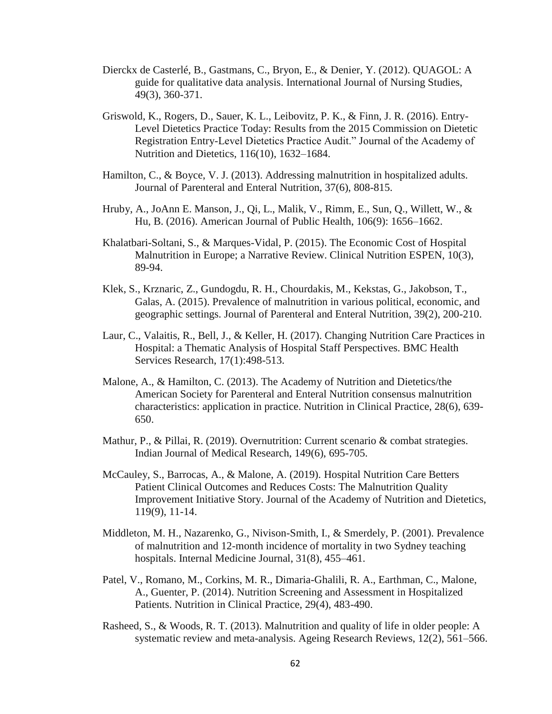- Dierckx de Casterlé, B., Gastmans, C., Bryon, E., & Denier, Y. (2012). QUAGOL: A guide for qualitative data analysis. International Journal of Nursing Studies, 49(3), 360-371.
- Griswold, K., Rogers, D., Sauer, K. L., Leibovitz, P. K., & Finn, J. R. (2016). Entry-Level Dietetics Practice Today: Results from the 2015 Commission on Dietetic Registration Entry-Level Dietetics Practice Audit." Journal of the Academy of Nutrition and Dietetics, 116(10), 1632–1684.
- Hamilton, C., & Boyce, V. J. (2013). Addressing malnutrition in hospitalized adults. Journal of Parenteral and Enteral Nutrition, 37(6), 808-815.
- Hruby, A., JoAnn E. Manson, J., Qi, L., Malik, V., Rimm, E., Sun, Q., Willett, W., & Hu, B. (2016). American Journal of Public Health, 106(9): 1656–1662.
- Khalatbari-Soltani, S., & Marques-Vidal, P. (2015). The Economic Cost of Hospital Malnutrition in Europe; a Narrative Review. Clinical Nutrition ESPEN, 10(3), 89-94.
- Klek, S., Krznaric, Z., Gundogdu, R. H., Chourdakis, M., Kekstas, G., Jakobson, T., Galas, A. (2015). Prevalence of malnutrition in various political, economic, and geographic settings. Journal of Parenteral and Enteral Nutrition, 39(2), 200-210.
- Laur, C., Valaitis, R., Bell, J., & Keller, H. (2017). Changing Nutrition Care Practices in Hospital: a Thematic Analysis of Hospital Staff Perspectives. BMC Health Services Research, 17(1):498-513.
- Malone, A., & Hamilton, C. (2013). The Academy of Nutrition and Dietetics/the American Society for Parenteral and Enteral Nutrition consensus malnutrition characteristics: application in practice. Nutrition in Clinical Practice, 28(6), 639- 650.
- Mathur, P., & Pillai, R. (2019). Overnutrition: Current scenario & combat strategies. Indian Journal of Medical Research, 149(6), 695-705.
- McCauley, S., Barrocas, A., & Malone, A. (2019). Hospital Nutrition Care Betters Patient Clinical Outcomes and Reduces Costs: The Malnutrition Quality Improvement Initiative Story. Journal of the Academy of Nutrition and Dietetics, 119(9), 11-14.
- Middleton, M. H., Nazarenko, G., Nivison-Smith, I., & Smerdely, P. (2001). Prevalence of malnutrition and 12-month incidence of mortality in two Sydney teaching hospitals. Internal Medicine Journal, 31(8), 455–461.
- Patel, V., Romano, M., Corkins, M. R., Dimaria-Ghalili, R. A., Earthman, C., Malone, A., Guenter, P. (2014). Nutrition Screening and Assessment in Hospitalized Patients. Nutrition in Clinical Practice, 29(4), 483-490.
- Rasheed, S., & Woods, R. T. (2013). Malnutrition and quality of life in older people: A systematic review and meta-analysis. Ageing Research Reviews, 12(2), 561–566.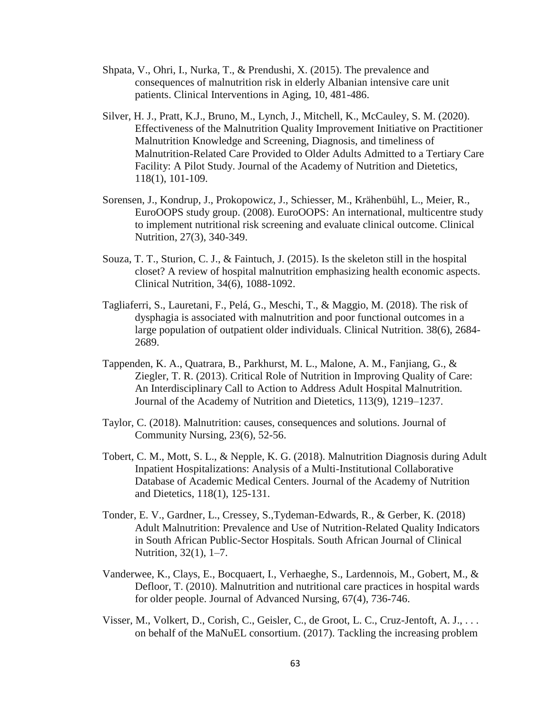- Shpata, V., Ohri, I., Nurka, T., & Prendushi, X. (2015). The prevalence and consequences of malnutrition risk in elderly Albanian intensive care unit patients. Clinical Interventions in Aging, 10, 481-486.
- Silver, H. J., Pratt, K.J., Bruno, M., Lynch, J., Mitchell, K., McCauley, S. M. (2020). Effectiveness of the Malnutrition Quality Improvement Initiative on Practitioner Malnutrition Knowledge and Screening, Diagnosis, and timeliness of Malnutrition-Related Care Provided to Older Adults Admitted to a Tertiary Care Facility: A Pilot Study. Journal of the Academy of Nutrition and Dietetics, 118(1), 101-109.
- Sorensen, J., Kondrup, J., Prokopowicz, J., Schiesser, M., Krähenbühl, L., Meier, R., EuroOOPS study group. (2008). EuroOOPS: An international, multicentre study to implement nutritional risk screening and evaluate clinical outcome. Clinical Nutrition, 27(3), 340-349.
- Souza, T. T., Sturion, C. J., & Faintuch, J. (2015). Is the skeleton still in the hospital closet? A review of hospital malnutrition emphasizing health economic aspects. Clinical Nutrition, 34(6), 1088-1092.
- Tagliaferri, S., Lauretani, F., Pelá, G., Meschi, T., & Maggio, M. (2018). The risk of dysphagia is associated with malnutrition and poor functional outcomes in a large population of outpatient older individuals. Clinical Nutrition. 38(6), 2684- 2689.
- Tappenden, K. A., Quatrara, B., Parkhurst, M. L., Malone, A. M., Fanjiang, G., & Ziegler, T. R. (2013). Critical Role of Nutrition in Improving Quality of Care: An Interdisciplinary Call to Action to Address Adult Hospital Malnutrition. Journal of the Academy of Nutrition and Dietetics, 113(9), 1219–1237.
- Taylor, C. (2018). Malnutrition: causes, consequences and solutions. Journal of Community Nursing, 23(6), 52-56.
- Tobert, C. M., Mott, S. L., & Nepple, K. G. (2018). Malnutrition Diagnosis during Adult Inpatient Hospitalizations: Analysis of a Multi-Institutional Collaborative Database of Academic Medical Centers. Journal of the Academy of Nutrition and Dietetics, 118(1), 125-131.
- Tonder, E. V., Gardner, L., Cressey, S.,Tydeman-Edwards, R., & Gerber, K. (2018) Adult Malnutrition: Prevalence and Use of Nutrition-Related Quality Indicators in South African Public-Sector Hospitals. South African Journal of Clinical Nutrition, 32(1), 1–7.
- Vanderwee, K., Clays, E., Bocquaert, I., Verhaeghe, S., Lardennois, M., Gobert, M., & Defloor, T. (2010). Malnutrition and nutritional care practices in hospital wards for older people. Journal of Advanced Nursing, 67(4), 736-746.
- Visser, M., Volkert, D., Corish, C., Geisler, C., de Groot, L. C., Cruz-Jentoft, A. J., . . . on behalf of the MaNuEL consortium. (2017). Tackling the increasing problem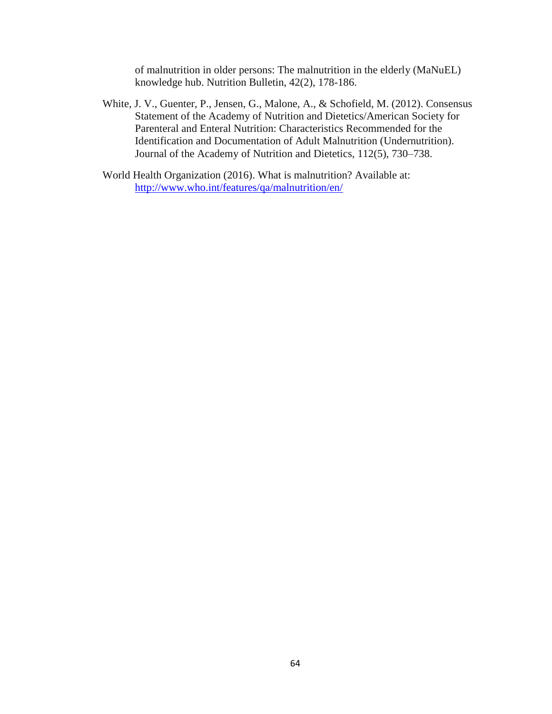of malnutrition in older persons: The malnutrition in the elderly (MaNuEL) knowledge hub. Nutrition Bulletin, 42(2), 178-186.

- White, J. V., Guenter, P., Jensen, G., Malone, A., & Schofield, M. (2012). Consensus Statement of the Academy of Nutrition and Dietetics/American Society for Parenteral and Enteral Nutrition: Characteristics Recommended for the Identification and Documentation of Adult Malnutrition (Undernutrition). Journal of the Academy of Nutrition and Dietetics, 112(5), 730–738.
- World Health Organization (2016). What is malnutrition? Available at: <http://www.who.int/features/qa/malnutrition/en/>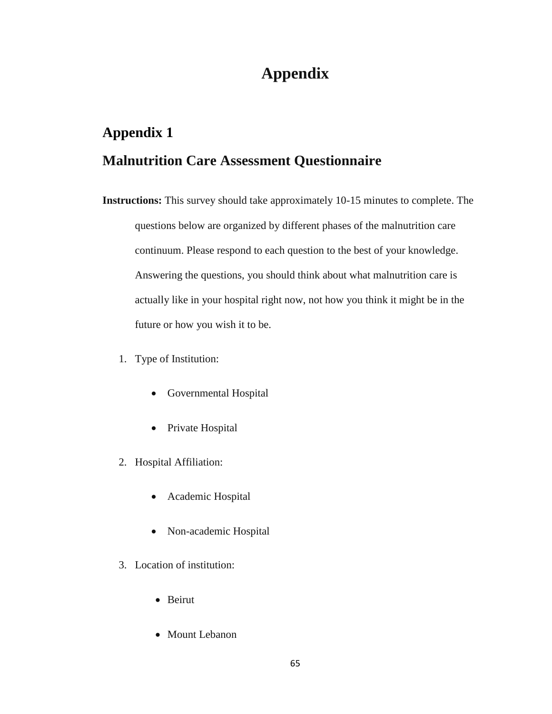# **Appendix 1**

## **Malnutrition Care Assessment Questionnaire**

- **Instructions:** This survey should take approximately 10-15 minutes to complete. The questions below are organized by different phases of the malnutrition care continuum. Please respond to each question to the best of your knowledge. Answering the questions, you should think about what malnutrition care is actually like in your hospital right now, not how you think it might be in the future or how you wish it to be.
	- 1. Type of Institution:
		- Governmental Hospital
		- Private Hospital
	- 2. Hospital Affiliation:
		- Academic Hospital
		- Non-academic Hospital
	- 3. Location of institution:
		- Beirut
		- Mount Lebanon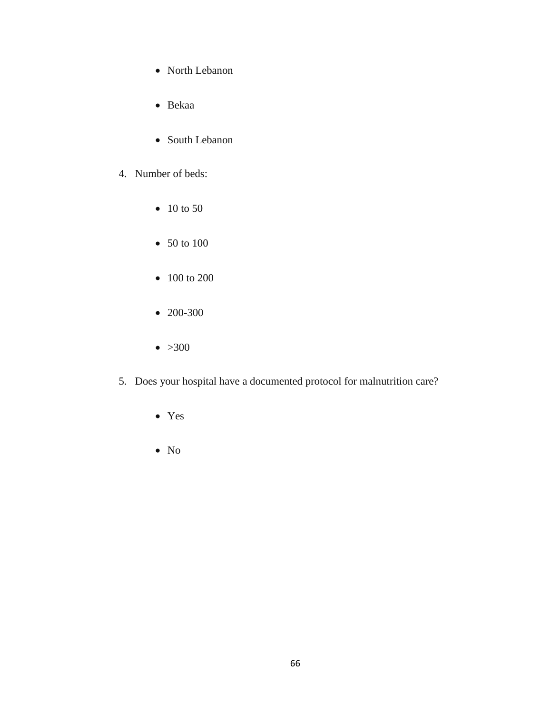- North Lebanon
- Bekaa
- South Lebanon
- 4. Number of beds:
	- 10 to 50
	- 50 to 100
	- 100 to 200
	- 200-300
	- $\bullet >300$
- 5. Does your hospital have a documented protocol for malnutrition care?
	- Yes
	- No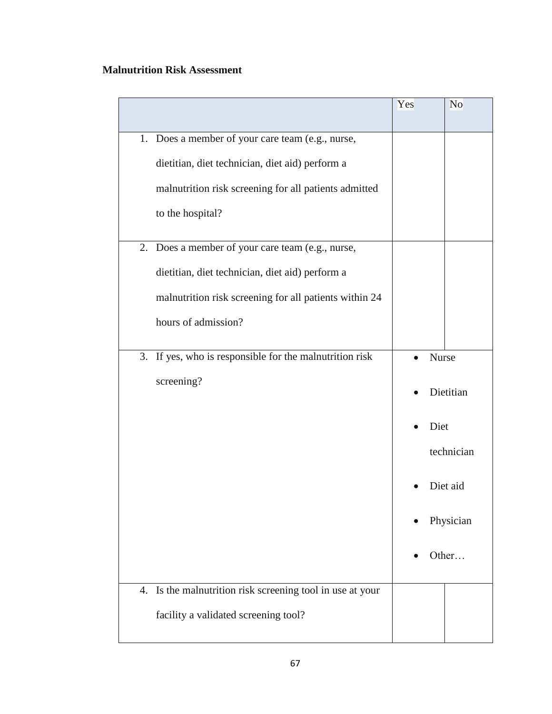#### **Malnutrition Risk Assessment**

|                                                           | Yes       |       | N <sub>o</sub> |
|-----------------------------------------------------------|-----------|-------|----------------|
| 1. Does a member of your care team (e.g., nurse,          |           |       |                |
| dietitian, diet technician, diet aid) perform a           |           |       |                |
| malnutrition risk screening for all patients admitted     |           |       |                |
| to the hospital?                                          |           |       |                |
| 2. Does a member of your care team (e.g., nurse,          |           |       |                |
| dietitian, diet technician, diet aid) perform a           |           |       |                |
| malnutrition risk screening for all patients within 24    |           |       |                |
| hours of admission?                                       |           |       |                |
| 3. If yes, who is responsible for the malnutrition risk   |           | Nurse |                |
| screening?                                                | Dietitian |       |                |
|                                                           |           | Diet  |                |
|                                                           |           |       | technician     |
|                                                           |           |       | Diet aid       |
|                                                           |           |       | Physician      |
|                                                           |           |       | Other          |
| 4. Is the malnutrition risk screening tool in use at your |           |       |                |
| facility a validated screening tool?                      |           |       |                |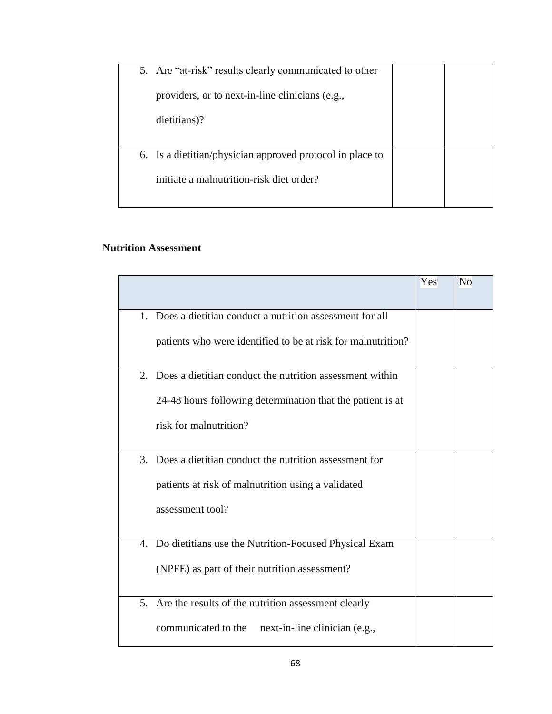| 5. Are "at-risk" results clearly communicated to other    |  |
|-----------------------------------------------------------|--|
| providers, or to next-in-line clinicians (e.g.,           |  |
| dietitians)?                                              |  |
|                                                           |  |
| 6. Is a dietitian/physician approved protocol in place to |  |
| initiate a malnutrition-risk diet order?                  |  |
|                                                           |  |

#### **Nutrition Assessment**

|         |                                                              | Yes | N <sub>o</sub> |
|---------|--------------------------------------------------------------|-----|----------------|
|         |                                                              |     |                |
| $1_{-}$ | Does a dietitian conduct a nutrition assessment for all      |     |                |
|         | patients who were identified to be at risk for malnutrition? |     |                |
| 2.      | Does a dietitian conduct the nutrition assessment within     |     |                |
|         | 24-48 hours following determination that the patient is at   |     |                |
|         | risk for malnutrition?                                       |     |                |
|         | 3. Does a dietitian conduct the nutrition assessment for     |     |                |
|         | patients at risk of malnutrition using a validated           |     |                |
|         | assessment tool?                                             |     |                |
|         | 4. Do dietitians use the Nutrition-Focused Physical Exam     |     |                |
|         | (NPFE) as part of their nutrition assessment?                |     |                |
|         | 5. Are the results of the nutrition assessment clearly       |     |                |
|         | communicated to the<br>next-in-line clinician (e.g.,         |     |                |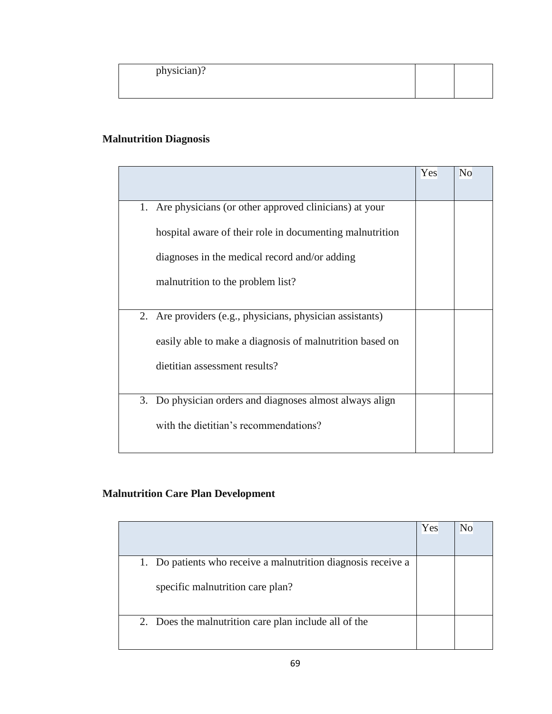| physician)? |
|-------------|
|-------------|

#### **Malnutrition Diagnosis**

|                                                             | Yes | N <sub>o</sub> |
|-------------------------------------------------------------|-----|----------------|
| Are physicians (or other approved clinicians) at your<br>1. |     |                |
| hospital aware of their role in documenting malnutrition    |     |                |
| diagnoses in the medical record and/or adding               |     |                |
| malnutrition to the problem list?                           |     |                |
| 2. Are providers (e.g., physicians, physician assistants)   |     |                |
| easily able to make a diagnosis of malnutrition based on    |     |                |
| dietitian assessment results?                               |     |                |
|                                                             |     |                |
| 3. Do physician orders and diagnoses almost always align    |     |                |
| with the dietitian's recommendations?                       |     |                |
|                                                             |     |                |

## **Malnutrition Care Plan Development**

|                                                                                                   | Yes | No |
|---------------------------------------------------------------------------------------------------|-----|----|
| 1. Do patients who receive a malnutrition diagnosis receive a<br>specific malnutrition care plan? |     |    |
| 2. Does the malnutrition care plan include all of the                                             |     |    |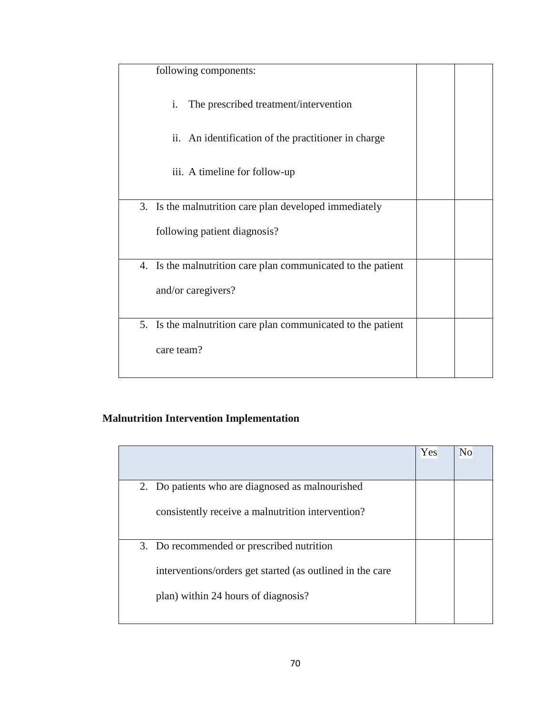| following components:                                        |  |
|--------------------------------------------------------------|--|
| i.<br>The prescribed treatment/intervention                  |  |
| ii. An identification of the practitioner in charge          |  |
| iii. A timeline for follow-up                                |  |
| Is the malnutrition care plan developed immediately<br>3.    |  |
| following patient diagnosis?                                 |  |
| 4. Is the malnutrition care plan communicated to the patient |  |
| and/or caregivers?                                           |  |
| 5. Is the malnutrition care plan communicated to the patient |  |
| care team?                                                   |  |

## **Malnutrition Intervention Implementation**

|                                                           | Yes | No |
|-----------------------------------------------------------|-----|----|
| 2. Do patients who are diagnosed as malnourished          |     |    |
| consistently receive a malnutrition intervention?         |     |    |
| 3. Do recommended or prescribed nutrition                 |     |    |
| interventions/orders get started (as outlined in the care |     |    |
| plan) within 24 hours of diagnosis?                       |     |    |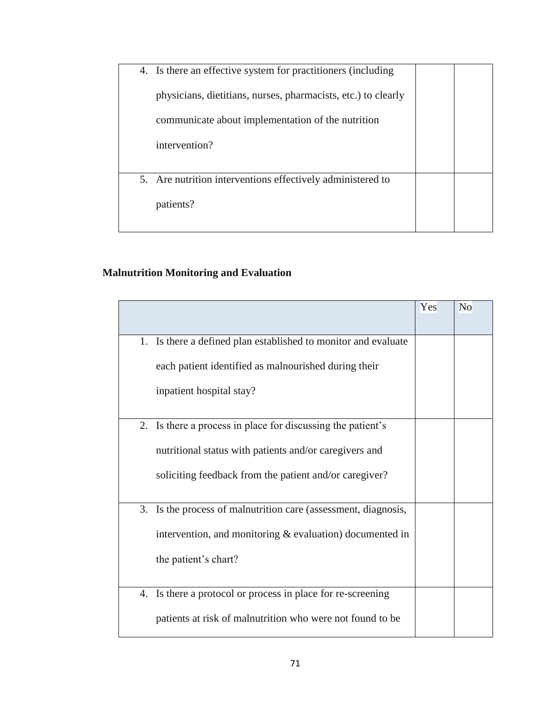| physicians, dietitians, nurses, pharmacists, etc.) to clearly |
|---------------------------------------------------------------|
| communicate about implementation of the nutrition             |
| intervention?                                                 |
|                                                               |
| 5. Are nutrition interventions effectively administered to    |
| patients?                                                     |

#### **Malnutrition Monitoring and Evaluation**

|                                                                | Yes | N <sub>o</sub> |
|----------------------------------------------------------------|-----|----------------|
| 1. Is there a defined plan established to monitor and evaluate |     |                |
| each patient identified as malnourished during their           |     |                |
| inpatient hospital stay?                                       |     |                |
| 2. Is there a process in place for discussing the patient's    |     |                |
| nutritional status with patients and/or caregivers and         |     |                |
| soliciting feedback from the patient and/or caregiver?         |     |                |
| 3. Is the process of malnutrition care (assessment, diagnosis, |     |                |
| intervention, and monitoring $&$ evaluation) documented in     |     |                |
| the patient's chart?                                           |     |                |
| Is there a protocol or process in place for re-screening<br>4. |     |                |
| patients at risk of malnutrition who were not found to be      |     |                |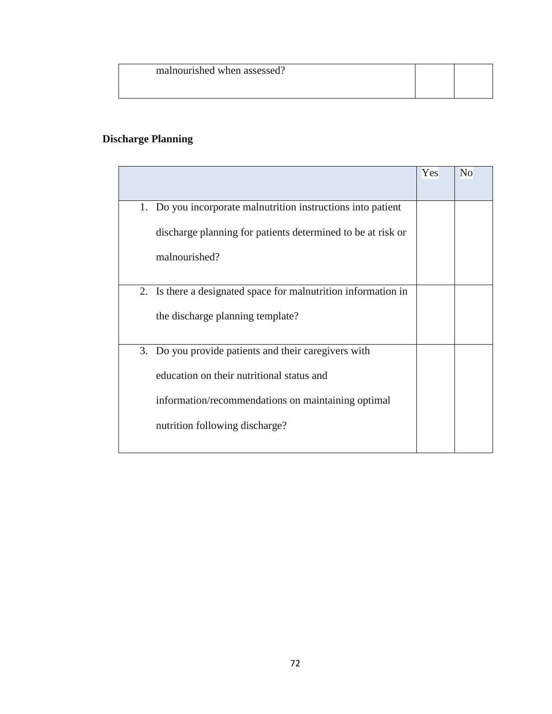| malnourished when assessed? |  |
|-----------------------------|--|
|                             |  |

### **Discharge Planning**

|                                                                | Yes | N <sub>o</sub> |
|----------------------------------------------------------------|-----|----------------|
| 1. Do you incorporate malnutrition instructions into patient   |     |                |
| discharge planning for patients determined to be at risk or    |     |                |
| malnourished?                                                  |     |                |
|                                                                |     |                |
| 2. Is there a designated space for malnutrition information in |     |                |
| the discharge planning template?                               |     |                |
| 3. Do you provide patients and their caregivers with           |     |                |
| education on their nutritional status and                      |     |                |
| information/recommendations on maintaining optimal             |     |                |
| nutrition following discharge?                                 |     |                |
|                                                                |     |                |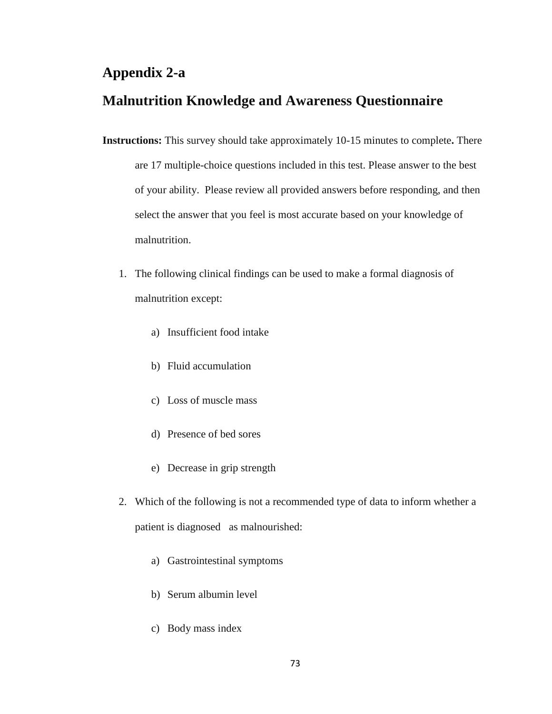#### **Appendix 2-a**

### **Malnutrition Knowledge and Awareness Questionnaire**

- **Instructions:** This survey should take approximately 10-15 minutes to complete**.** There are 17 multiple-choice questions included in this test. Please answer to the best of your ability. Please review all provided answers before responding, and then select the answer that you feel is most accurate based on your knowledge of malnutrition.
	- 1. The following clinical findings can be used to make a formal diagnosis of malnutrition except:
		- a) Insufficient food intake
		- b) Fluid accumulation
		- c) Loss of muscle mass
		- d) Presence of bed sores
		- e) Decrease in grip strength
	- 2. Which of the following is not a recommended type of data to inform whether a patient is diagnosed as malnourished:
		- a) Gastrointestinal symptoms
		- b) Serum albumin level
		- c) Body mass index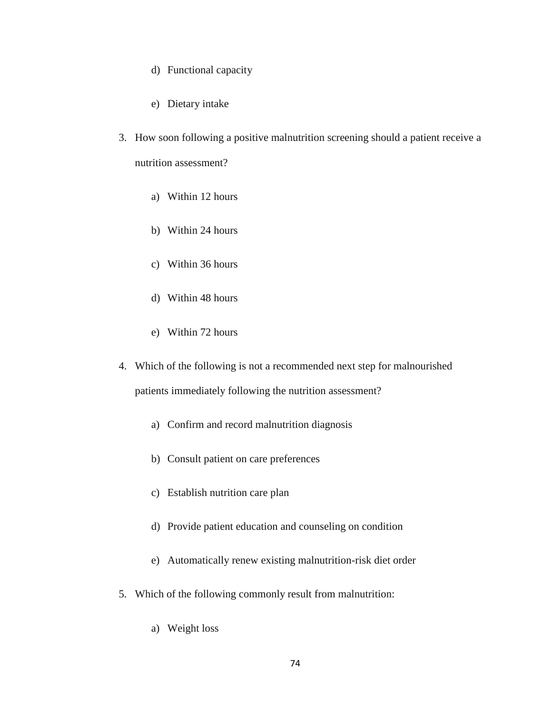- d) Functional capacity
- e) Dietary intake
- 3. How soon following a positive malnutrition screening should a patient receive a nutrition assessment?
	- a) Within 12 hours
	- b) Within 24 hours
	- c) Within 36 hours
	- d) Within 48 hours
	- e) Within 72 hours
- 4. Which of the following is not a recommended next step for malnourished patients immediately following the nutrition assessment?
	- a) Confirm and record malnutrition diagnosis
	- b) Consult patient on care preferences
	- c) Establish nutrition care plan
	- d) Provide patient education and counseling on condition
	- e) Automatically renew existing malnutrition-risk diet order
- 5. Which of the following commonly result from malnutrition:
	- a) Weight loss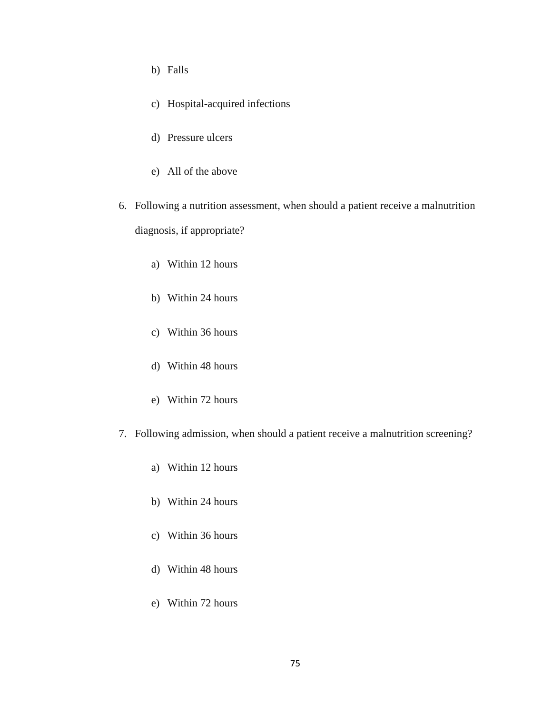- b) Falls
- c) Hospital-acquired infections
- d) Pressure ulcers
- e) All of the above
- 6. Following a nutrition assessment, when should a patient receive a malnutrition diagnosis, if appropriate?
	- a) Within 12 hours
	- b) Within 24 hours
	- c) Within 36 hours
	- d) Within 48 hours
	- e) Within 72 hours
- 7. Following admission, when should a patient receive a malnutrition screening?
	- a) Within 12 hours
	- b) Within 24 hours
	- c) Within 36 hours
	- d) Within 48 hours
	- e) Within 72 hours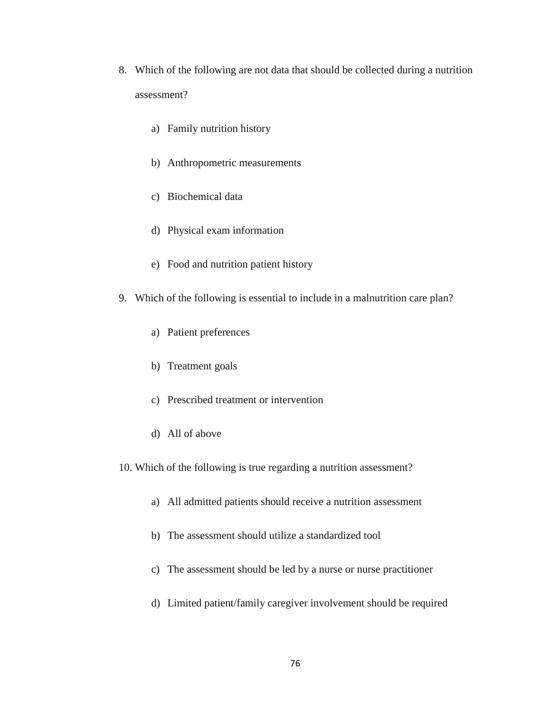- 8. Which of the following are not data that should be collected during a nutrition assessment?
	- a) Family nutrition history
	- b) Anthropometric measurements
	- c) Biochemical data
	- d) Physical exam information
	- e) Food and nutrition patient history
- 9. Which of the following is essential to include in a malnutrition care plan?
	- a) Patient preferences
	- b) Treatment goals
	- c) Prescribed treatment or intervention
	- d) All of above
- 10. Which of the following is true regarding a nutrition assessment?
	- a) All admitted patients should receive a nutrition assessment
	- b) The assessment should utilize a standardized tool
	- c) The assessment should be led by a nurse or nurse practitioner
	- d) Limited patient/family caregiver involvement should be required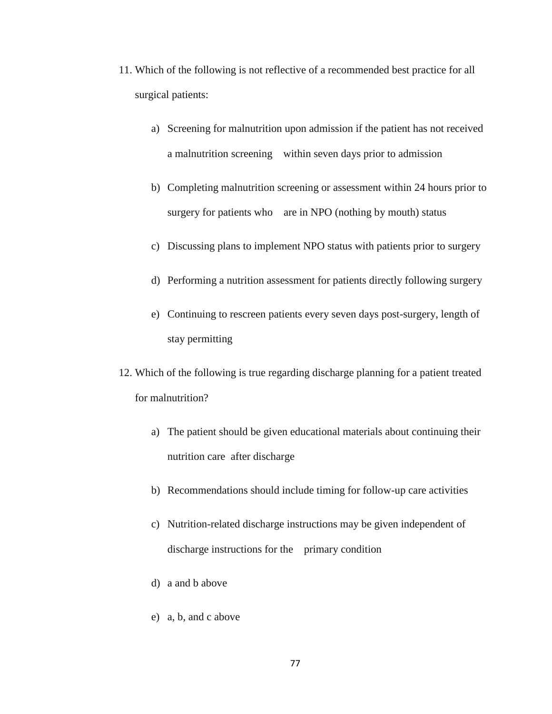- 11. Which of the following is not reflective of a recommended best practice for all surgical patients:
	- a) Screening for malnutrition upon admission if the patient has not received a malnutrition screening within seven days prior to admission
	- b) Completing malnutrition screening or assessment within 24 hours prior to surgery for patients who are in NPO (nothing by mouth) status
	- c) Discussing plans to implement NPO status with patients prior to surgery
	- d) Performing a nutrition assessment for patients directly following surgery
	- e) Continuing to rescreen patients every seven days post-surgery, length of stay permitting
- 12. Which of the following is true regarding discharge planning for a patient treated for malnutrition?
	- a) The patient should be given educational materials about continuing their nutrition care after discharge
	- b) Recommendations should include timing for follow-up care activities
	- c) Nutrition-related discharge instructions may be given independent of discharge instructions for the primary condition
	- d) a and b above
	- e) a, b, and c above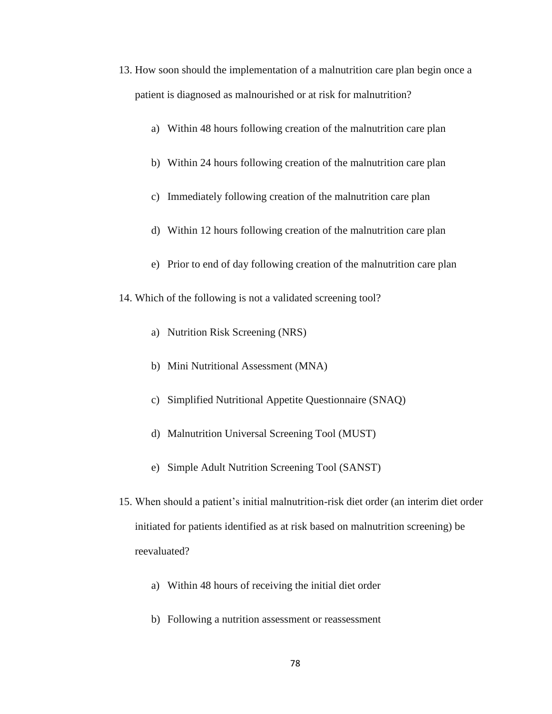- 13. How soon should the implementation of a malnutrition care plan begin once a patient is diagnosed as malnourished or at risk for malnutrition?
	- a) Within 48 hours following creation of the malnutrition care plan
	- b) Within 24 hours following creation of the malnutrition care plan
	- c) Immediately following creation of the malnutrition care plan
	- d) Within 12 hours following creation of the malnutrition care plan
	- e) Prior to end of day following creation of the malnutrition care plan
- 14. Which of the following is not a validated screening tool?
	- a) Nutrition Risk Screening (NRS)
	- b) Mini Nutritional Assessment (MNA)
	- c) Simplified Nutritional Appetite Questionnaire (SNAQ)
	- d) Malnutrition Universal Screening Tool (MUST)
	- e) Simple Adult Nutrition Screening Tool (SANST)
- 15. When should a patient's initial malnutrition-risk diet order (an interim diet order initiated for patients identified as at risk based on malnutrition screening) be reevaluated?
	- a) Within 48 hours of receiving the initial diet order
	- b) Following a nutrition assessment or reassessment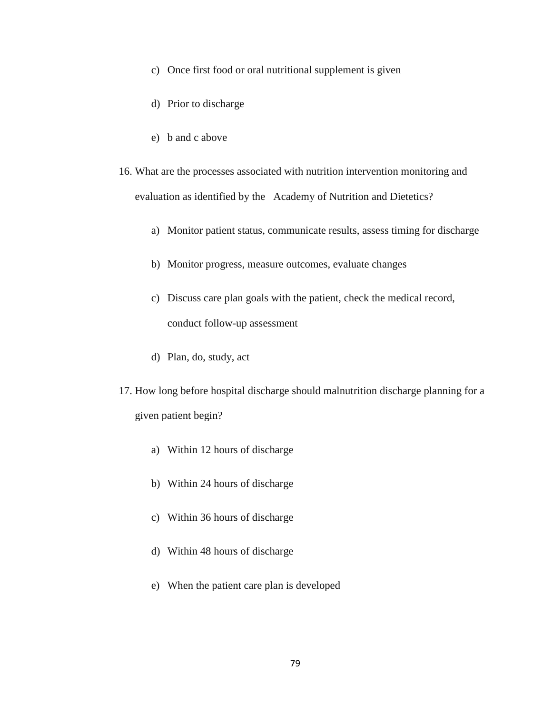- c) Once first food or oral nutritional supplement is given
- d) Prior to discharge
- e) b and c above
- 16. What are the processes associated with nutrition intervention monitoring and evaluation as identified by the Academy of Nutrition and Dietetics?
	- a) Monitor patient status, communicate results, assess timing for discharge
	- b) Monitor progress, measure outcomes, evaluate changes
	- c) Discuss care plan goals with the patient, check the medical record, conduct follow-up assessment
	- d) Plan, do, study, act
- 17. How long before hospital discharge should malnutrition discharge planning for a given patient begin?
	- a) Within 12 hours of discharge
	- b) Within 24 hours of discharge
	- c) Within 36 hours of discharge
	- d) Within 48 hours of discharge
	- e) When the patient care plan is developed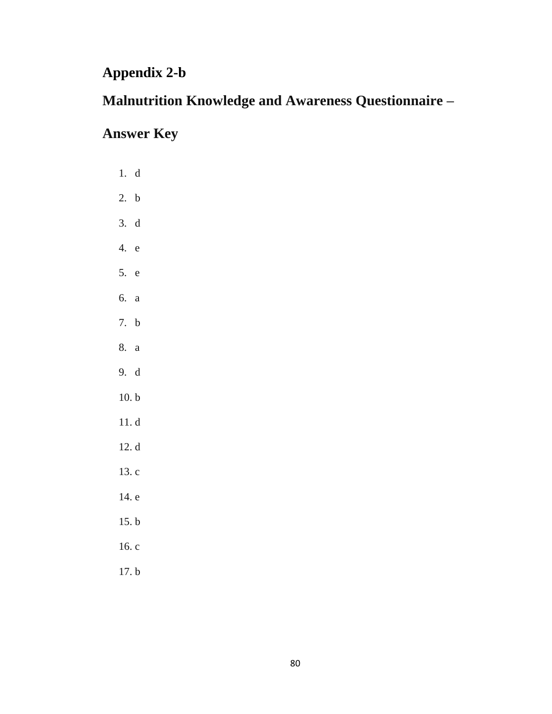## **Appendix 2-b**

# **Malnutrition Knowledge and Awareness Questionnaire –**

# **Answer Key**

| 1. d    |  |
|---------|--|
| 2. b    |  |
| 3. d    |  |
| 4.<br>e |  |
| 5. e    |  |
| 6. a    |  |
| 7. b    |  |
| 8. a    |  |
| 9. d    |  |
| 10. b   |  |
| 11. d   |  |
| 12. d   |  |
| 13.c    |  |
| 14. e   |  |
| 15. b   |  |
| 16. c   |  |
| 17. b   |  |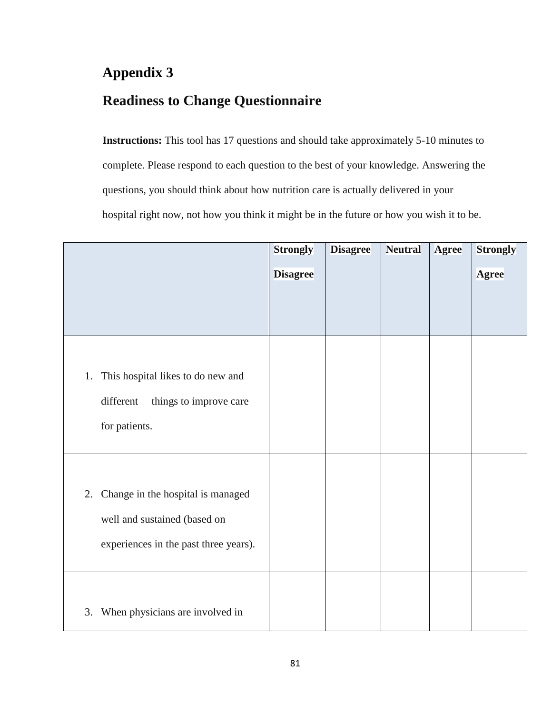## **Readiness to Change Questionnaire**

**Instructions:** This tool has 17 questions and should take approximately 5-10 minutes to complete. Please respond to each question to the best of your knowledge. Answering the questions, you should think about how nutrition care is actually delivered in your hospital right now, not how you think it might be in the future or how you wish it to be.

|                                         | <b>Strongly</b> | <b>Disagree</b> | <b>Neutral</b> | <b>Agree</b> | <b>Strongly</b> |
|-----------------------------------------|-----------------|-----------------|----------------|--------------|-----------------|
|                                         | <b>Disagree</b> |                 |                |              | <b>Agree</b>    |
|                                         |                 |                 |                |              |                 |
|                                         |                 |                 |                |              |                 |
|                                         |                 |                 |                |              |                 |
| This hospital likes to do new and<br>1. |                 |                 |                |              |                 |
| different<br>things to improve care     |                 |                 |                |              |                 |
| for patients.                           |                 |                 |                |              |                 |
|                                         |                 |                 |                |              |                 |
| Change in the hospital is managed<br>2. |                 |                 |                |              |                 |
|                                         |                 |                 |                |              |                 |
| well and sustained (based on            |                 |                 |                |              |                 |
| experiences in the past three years).   |                 |                 |                |              |                 |
|                                         |                 |                 |                |              |                 |
| When physicians are involved in<br>3.   |                 |                 |                |              |                 |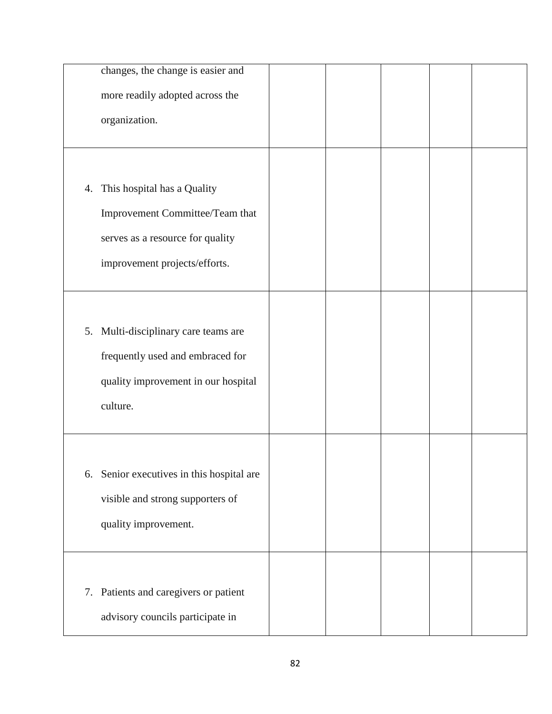|    | changes, the change is easier and      |  |  |  |
|----|----------------------------------------|--|--|--|
|    | more readily adopted across the        |  |  |  |
|    | organization.                          |  |  |  |
|    |                                        |  |  |  |
|    |                                        |  |  |  |
| 4. | This hospital has a Quality            |  |  |  |
|    | Improvement Committee/Team that        |  |  |  |
|    | serves as a resource for quality       |  |  |  |
|    | improvement projects/efforts.          |  |  |  |
|    |                                        |  |  |  |
|    |                                        |  |  |  |
|    | 5. Multi-disciplinary care teams are   |  |  |  |
|    | frequently used and embraced for       |  |  |  |
|    | quality improvement in our hospital    |  |  |  |
|    | culture.                               |  |  |  |
|    |                                        |  |  |  |
|    |                                        |  |  |  |
| 6. | Senior executives in this hospital are |  |  |  |
|    | visible and strong supporters of       |  |  |  |
|    | quality improvement.                   |  |  |  |
|    |                                        |  |  |  |
|    |                                        |  |  |  |
|    | 7. Patients and caregivers or patient  |  |  |  |
|    | advisory councils participate in       |  |  |  |
|    |                                        |  |  |  |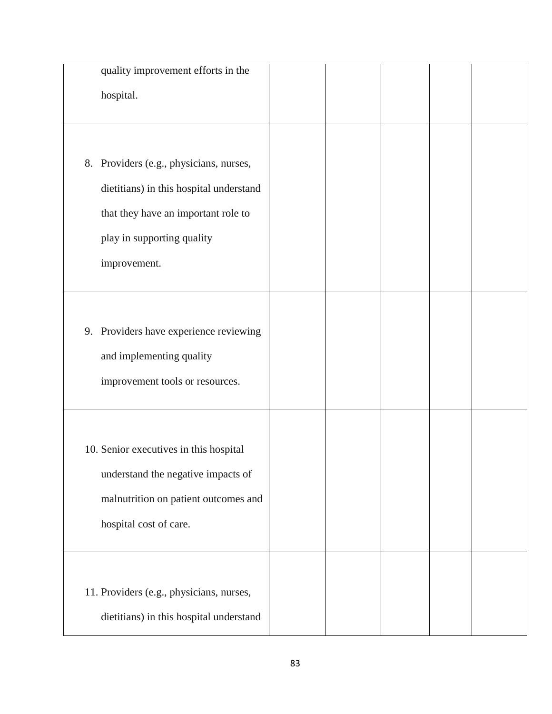| quality improvement efforts in the                                                                                                                                      |  |  |  |
|-------------------------------------------------------------------------------------------------------------------------------------------------------------------------|--|--|--|
| hospital.                                                                                                                                                               |  |  |  |
| 8. Providers (e.g., physicians, nurses,<br>dietitians) in this hospital understand<br>that they have an important role to<br>play in supporting quality<br>improvement. |  |  |  |
| 9. Providers have experience reviewing<br>and implementing quality<br>improvement tools or resources.                                                                   |  |  |  |
| 10. Senior executives in this hospital<br>understand the negative impacts of<br>malnutrition on patient outcomes and<br>hospital cost of care.                          |  |  |  |
| 11. Providers (e.g., physicians, nurses,<br>dietitians) in this hospital understand                                                                                     |  |  |  |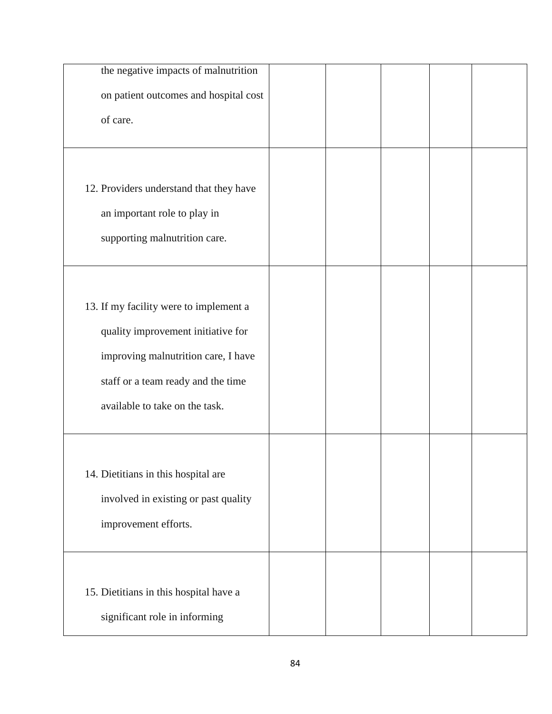| the negative impacts of malnutrition    |  |  |  |
|-----------------------------------------|--|--|--|
| on patient outcomes and hospital cost   |  |  |  |
| of care.                                |  |  |  |
|                                         |  |  |  |
| 12. Providers understand that they have |  |  |  |
| an important role to play in            |  |  |  |
| supporting malnutrition care.           |  |  |  |
|                                         |  |  |  |
| 13. If my facility were to implement a  |  |  |  |
| quality improvement initiative for      |  |  |  |
| improving malnutrition care, I have     |  |  |  |
| staff or a team ready and the time      |  |  |  |
| available to take on the task.          |  |  |  |
|                                         |  |  |  |
| 14. Dietitians in this hospital are     |  |  |  |
| involved in existing or past quality    |  |  |  |
| improvement efforts.                    |  |  |  |
|                                         |  |  |  |
| 15. Dietitians in this hospital have a  |  |  |  |
| significant role in informing           |  |  |  |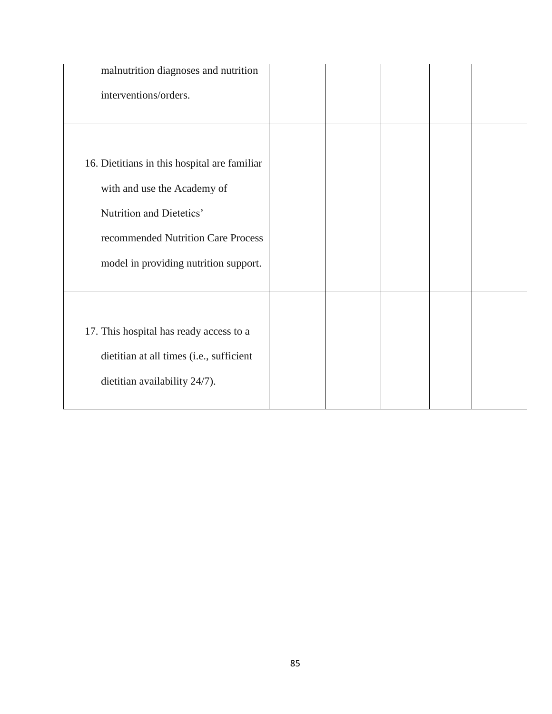| malnutrition diagnoses and nutrition         |  |  |  |
|----------------------------------------------|--|--|--|
| interventions/orders.                        |  |  |  |
|                                              |  |  |  |
|                                              |  |  |  |
| 16. Dietitians in this hospital are familiar |  |  |  |
| with and use the Academy of                  |  |  |  |
| Nutrition and Dietetics'                     |  |  |  |
| recommended Nutrition Care Process           |  |  |  |
| model in providing nutrition support.        |  |  |  |
|                                              |  |  |  |
|                                              |  |  |  |
| 17. This hospital has ready access to a      |  |  |  |
| dietitian at all times (i.e., sufficient     |  |  |  |
| dietitian availability 24/7).                |  |  |  |
|                                              |  |  |  |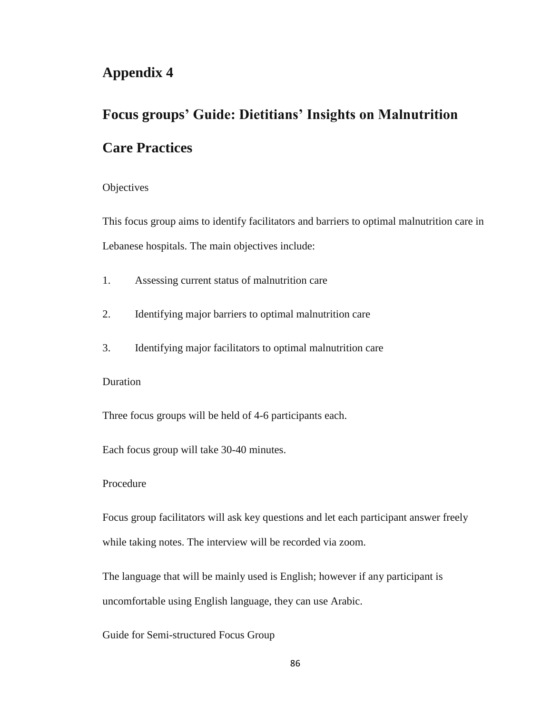# **Focus groups' Guide: Dietitians' Insights on Malnutrition Care Practices**

#### **Objectives**

This focus group aims to identify facilitators and barriers to optimal malnutrition care in Lebanese hospitals. The main objectives include:

- 1. Assessing current status of malnutrition care
- 2. Identifying major barriers to optimal malnutrition care
- 3. Identifying major facilitators to optimal malnutrition care

#### Duration

Three focus groups will be held of 4-6 participants each.

Each focus group will take 30-40 minutes.

#### Procedure

Focus group facilitators will ask key questions and let each participant answer freely while taking notes. The interview will be recorded via zoom.

The language that will be mainly used is English; however if any participant is uncomfortable using English language, they can use Arabic.

Guide for Semi-structured Focus Group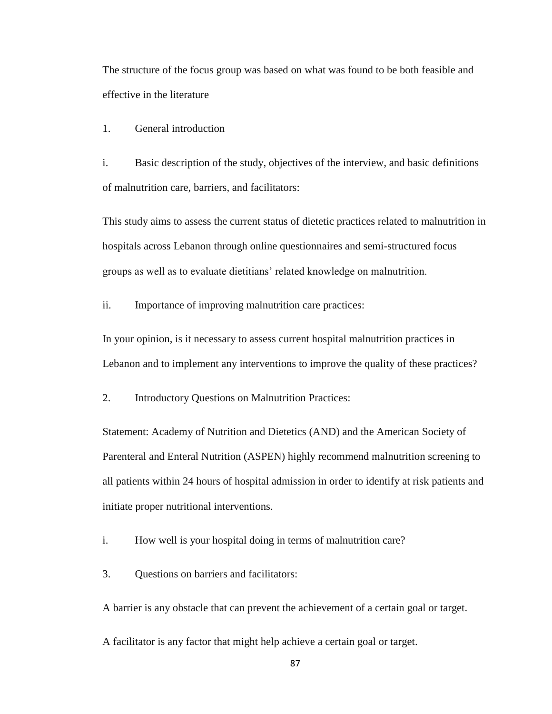The structure of the focus group was based on what was found to be both feasible and effective in the literature

1. General introduction

i. Basic description of the study, objectives of the interview, and basic definitions of malnutrition care, barriers, and facilitators:

This study aims to assess the current status of dietetic practices related to malnutrition in hospitals across Lebanon through online questionnaires and semi-structured focus groups as well as to evaluate dietitians' related knowledge on malnutrition.

ii. Importance of improving malnutrition care practices:

In your opinion, is it necessary to assess current hospital malnutrition practices in Lebanon and to implement any interventions to improve the quality of these practices?

2. Introductory Questions on Malnutrition Practices:

Statement: Academy of Nutrition and Dietetics (AND) and the American Society of Parenteral and Enteral Nutrition (ASPEN) highly recommend malnutrition screening to all patients within 24 hours of hospital admission in order to identify at risk patients and initiate proper nutritional interventions.

i. How well is your hospital doing in terms of malnutrition care?

3. Questions on barriers and facilitators:

A barrier is any obstacle that can prevent the achievement of a certain goal or target.

A facilitator is any factor that might help achieve a certain goal or target.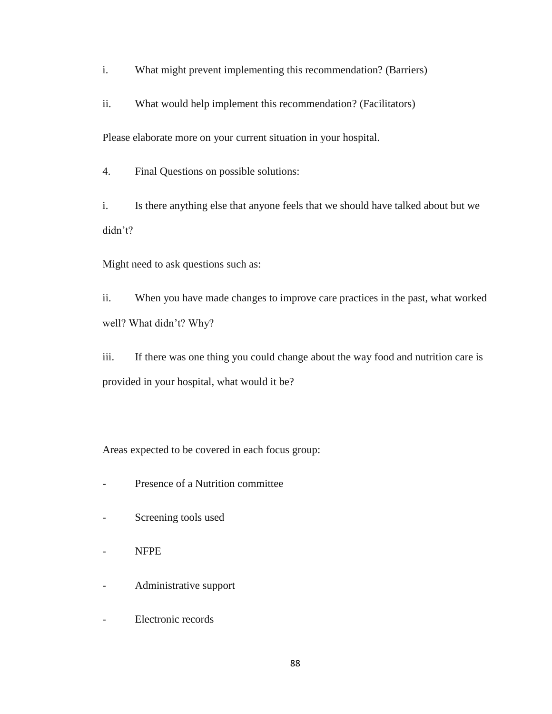i. What might prevent implementing this recommendation? (Barriers)

ii. What would help implement this recommendation? (Facilitators)

Please elaborate more on your current situation in your hospital.

4. Final Questions on possible solutions:

i. Is there anything else that anyone feels that we should have talked about but we didn't?

Might need to ask questions such as:

ii. When you have made changes to improve care practices in the past, what worked well? What didn't? Why?

iii. If there was one thing you could change about the way food and nutrition care is provided in your hospital, what would it be?

Areas expected to be covered in each focus group:

- Presence of a Nutrition committee
- Screening tools used
- NFPE
- Administrative support
- Electronic records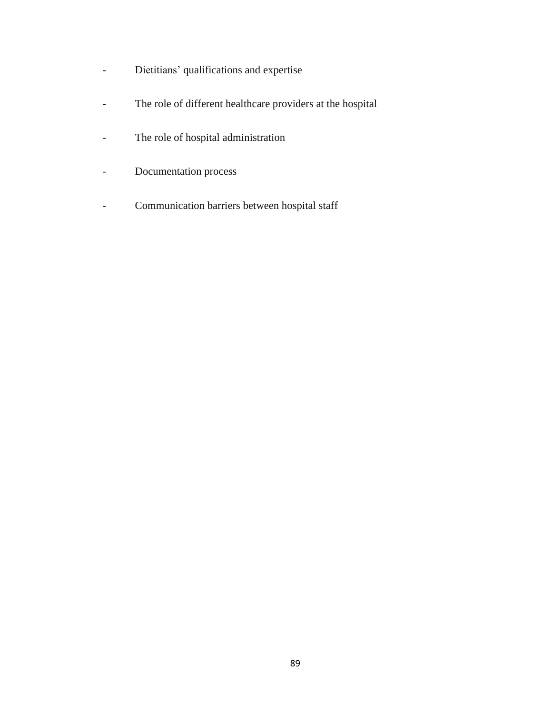- Dietitians' qualifications and expertise
- The role of different healthcare providers at the hospital
- The role of hospital administration
- Documentation process
- Communication barriers between hospital staff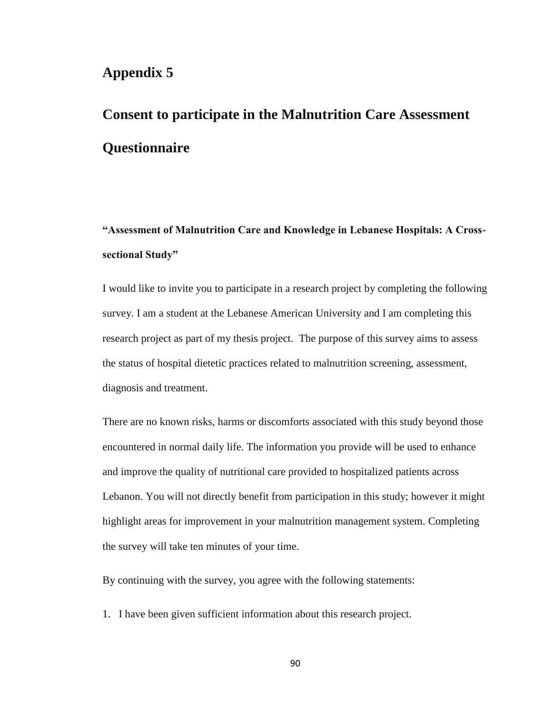# **Consent to participate in the Malnutrition Care Assessment Questionnaire**

**"Assessment of Malnutrition Care and Knowledge in Lebanese Hospitals: A Crosssectional Study"**

I would like to invite you to participate in a research project by completing the following survey. I am a student at the Lebanese American University and I am completing this research project as part of my thesis project. The purpose of this survey aims to assess the status of hospital dietetic practices related to malnutrition screening, assessment, diagnosis and treatment.

There are no known risks, harms or discomforts associated with this study beyond those encountered in normal daily life. The information you provide will be used to enhance and improve the quality of nutritional care provided to hospitalized patients across Lebanon. You will not directly benefit from participation in this study; however it might highlight areas for improvement in your malnutrition management system. Completing the survey will take ten minutes of your time.

By continuing with the survey, you agree with the following statements:

1. I have been given sufficient information about this research project.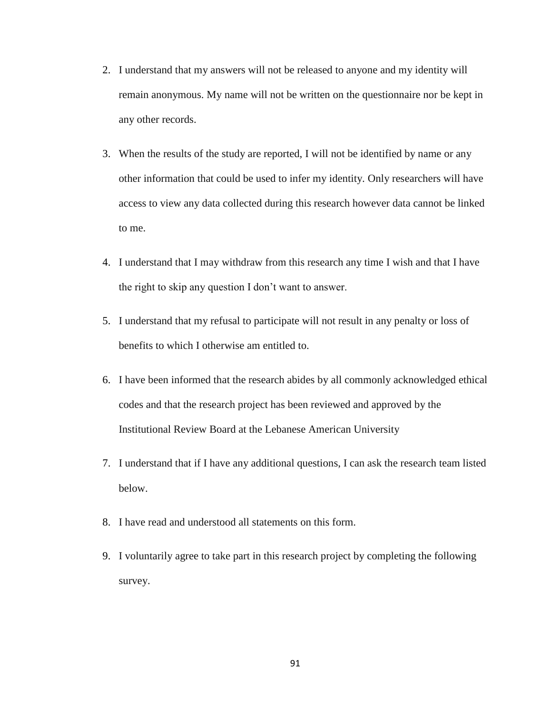- 2. I understand that my answers will not be released to anyone and my identity will remain anonymous. My name will not be written on the questionnaire nor be kept in any other records.
- 3. When the results of the study are reported, I will not be identified by name or any other information that could be used to infer my identity. Only researchers will have access to view any data collected during this research however data cannot be linked to me.
- 4. I understand that I may withdraw from this research any time I wish and that I have the right to skip any question I don't want to answer.
- 5. I understand that my refusal to participate will not result in any penalty or loss of benefits to which I otherwise am entitled to.
- 6. I have been informed that the research abides by all commonly acknowledged ethical codes and that the research project has been reviewed and approved by the Institutional Review Board at the Lebanese American University
- 7. I understand that if I have any additional questions, I can ask the research team listed below.
- 8. I have read and understood all statements on this form.
- 9. I voluntarily agree to take part in this research project by completing the following survey.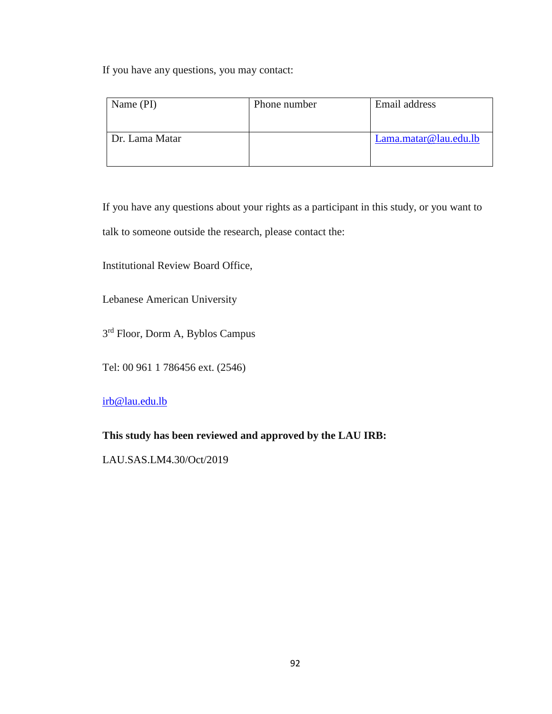If you have any questions, you may contact:

| Name (PI)      | Phone number | Email address         |
|----------------|--------------|-----------------------|
| Dr. Lama Matar |              | Lama.matar@lau.edu.lb |
|                |              |                       |

If you have any questions about your rights as a participant in this study, or you want to talk to someone outside the research, please contact the:

Institutional Review Board Office,

Lebanese American University

3<sup>rd</sup> Floor, Dorm A, Byblos Campus

Tel: 00 961 1 786456 ext. (2546)

[irb@lau.edu.lb](mailto:irb@lau.edu.lb)

#### **This study has been reviewed and approved by the LAU IRB:**

LAU.SAS.LM4.30/Oct/2019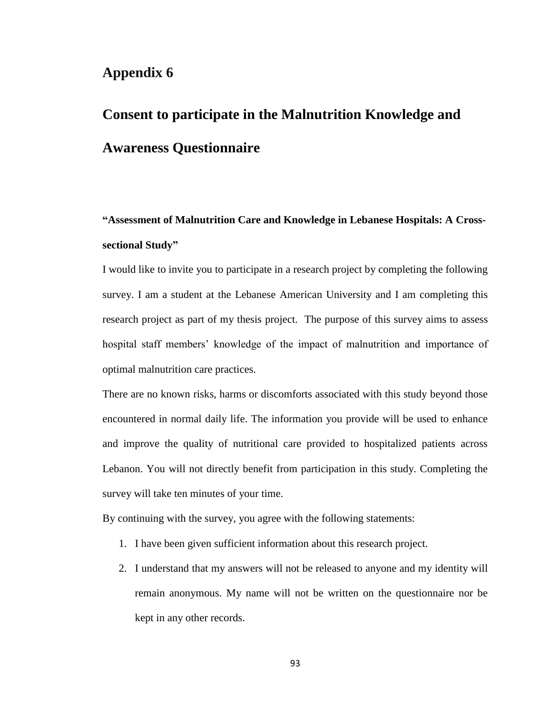# **Consent to participate in the Malnutrition Knowledge and Awareness Questionnaire**

## **"Assessment of Malnutrition Care and Knowledge in Lebanese Hospitals: A Crosssectional Study"**

I would like to invite you to participate in a research project by completing the following survey. I am a student at the Lebanese American University and I am completing this research project as part of my thesis project. The purpose of this survey aims to assess hospital staff members' knowledge of the impact of malnutrition and importance of optimal malnutrition care practices.

There are no known risks, harms or discomforts associated with this study beyond those encountered in normal daily life. The information you provide will be used to enhance and improve the quality of nutritional care provided to hospitalized patients across Lebanon. You will not directly benefit from participation in this study. Completing the survey will take ten minutes of your time.

By continuing with the survey, you agree with the following statements:

- 1. I have been given sufficient information about this research project.
- 2. I understand that my answers will not be released to anyone and my identity will remain anonymous. My name will not be written on the questionnaire nor be kept in any other records.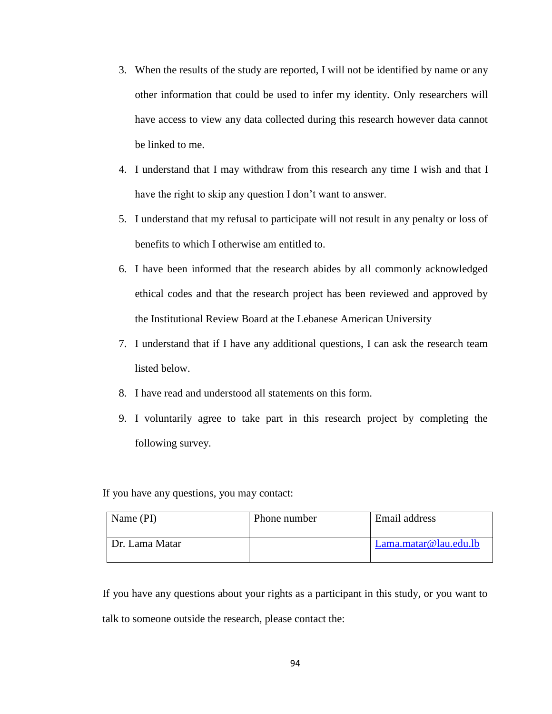- 3. When the results of the study are reported, I will not be identified by name or any other information that could be used to infer my identity. Only researchers will have access to view any data collected during this research however data cannot be linked to me.
- 4. I understand that I may withdraw from this research any time I wish and that I have the right to skip any question I don't want to answer.
- 5. I understand that my refusal to participate will not result in any penalty or loss of benefits to which I otherwise am entitled to.
- 6. I have been informed that the research abides by all commonly acknowledged ethical codes and that the research project has been reviewed and approved by the Institutional Review Board at the Lebanese American University
- 7. I understand that if I have any additional questions, I can ask the research team listed below.
- 8. I have read and understood all statements on this form.
- 9. I voluntarily agree to take part in this research project by completing the following survey.

If you have any questions, you may contact:

| Name (PI)      | Phone number | Email address         |  |  |
|----------------|--------------|-----------------------|--|--|
| Dr. Lama Matar |              | Lama.matar@lau.edu.lb |  |  |

If you have any questions about your rights as a participant in this study, or you want to talk to someone outside the research, please contact the: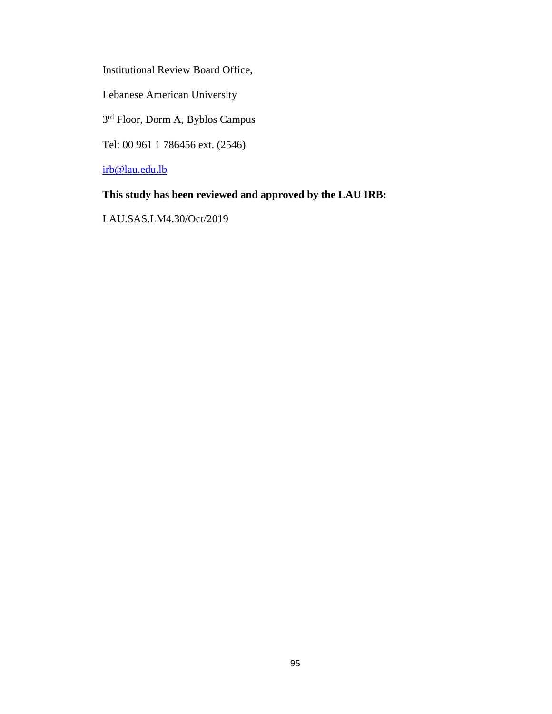Institutional Review Board Office,

Lebanese American University

3<sup>rd</sup> Floor, Dorm A, Byblos Campus

Tel: 00 961 1 786456 ext. (2546)

[irb@lau.edu.lb](mailto:irb@lau.edu.lb)

#### **This study has been reviewed and approved by the LAU IRB:**

LAU.SAS.LM4.30/Oct/2019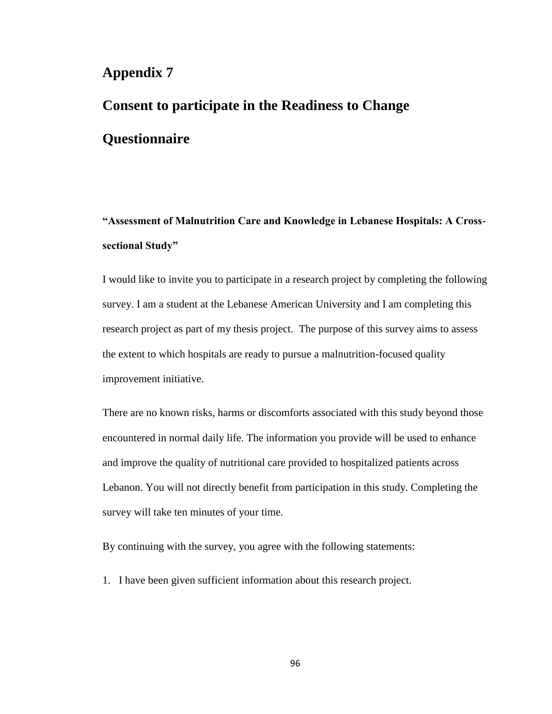# **Consent to participate in the Readiness to Change Questionnaire**

# **"Assessment of Malnutrition Care and Knowledge in Lebanese Hospitals: A Crosssectional Study"**

I would like to invite you to participate in a research project by completing the following survey. I am a student at the Lebanese American University and I am completing this research project as part of my thesis project. The purpose of this survey aims to assess the extent to which hospitals are ready to pursue a malnutrition-focused quality improvement initiative.

There are no known risks, harms or discomforts associated with this study beyond those encountered in normal daily life. The information you provide will be used to enhance and improve the quality of nutritional care provided to hospitalized patients across Lebanon. You will not directly benefit from participation in this study. Completing the survey will take ten minutes of your time.

By continuing with the survey, you agree with the following statements:

1. I have been given sufficient information about this research project.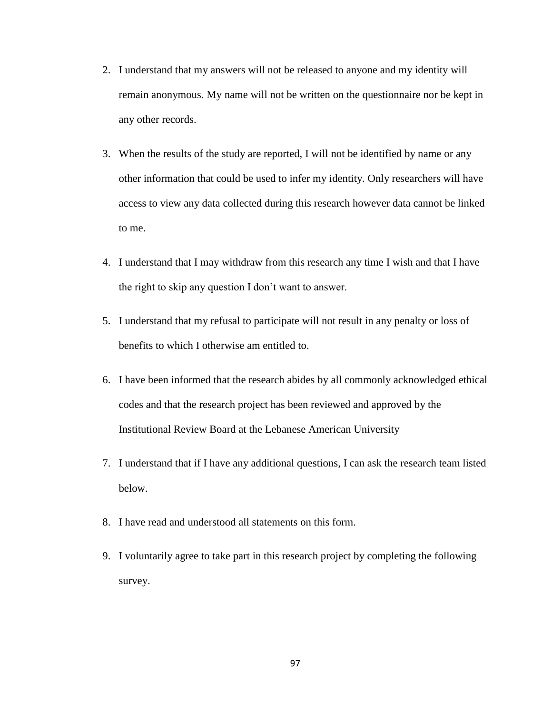- 2. I understand that my answers will not be released to anyone and my identity will remain anonymous. My name will not be written on the questionnaire nor be kept in any other records.
- 3. When the results of the study are reported, I will not be identified by name or any other information that could be used to infer my identity. Only researchers will have access to view any data collected during this research however data cannot be linked to me.
- 4. I understand that I may withdraw from this research any time I wish and that I have the right to skip any question I don't want to answer.
- 5. I understand that my refusal to participate will not result in any penalty or loss of benefits to which I otherwise am entitled to.
- 6. I have been informed that the research abides by all commonly acknowledged ethical codes and that the research project has been reviewed and approved by the Institutional Review Board at the Lebanese American University
- 7. I understand that if I have any additional questions, I can ask the research team listed below.
- 8. I have read and understood all statements on this form.
- 9. I voluntarily agree to take part in this research project by completing the following survey.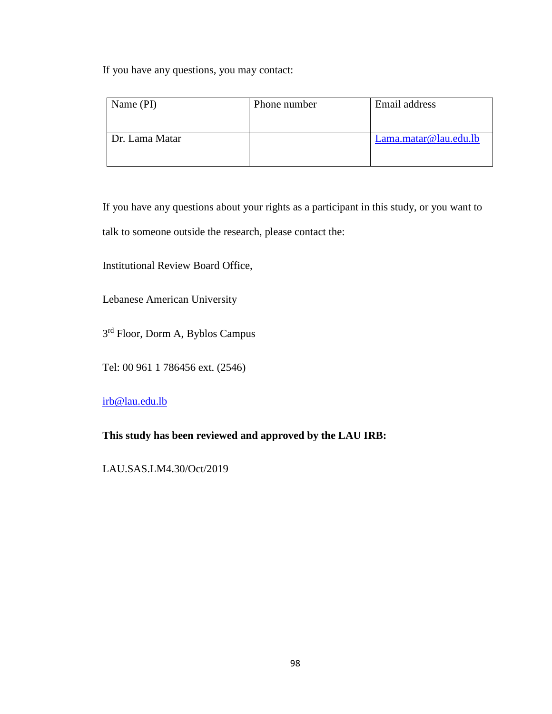If you have any questions, you may contact:

| Name (PI)      | Phone number | Email address         |
|----------------|--------------|-----------------------|
| Dr. Lama Matar |              | Lama.matar@lau.edu.lb |
|                |              |                       |

If you have any questions about your rights as a participant in this study, or you want to talk to someone outside the research, please contact the:

Institutional Review Board Office,

Lebanese American University

3<sup>rd</sup> Floor, Dorm A, Byblos Campus

Tel: 00 961 1 786456 ext. (2546)

[irb@lau.edu.lb](mailto:irb@lau.edu.lb)

**This study has been reviewed and approved by the LAU IRB:** 

LAU.SAS.LM4.30/Oct/2019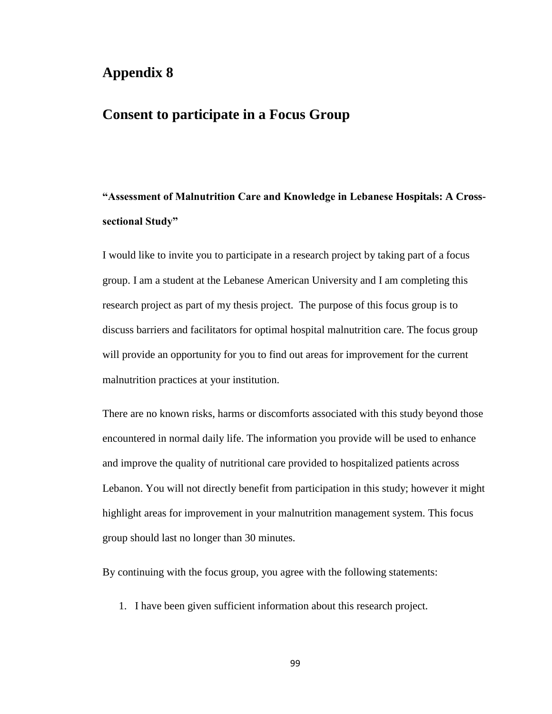## **Appendix 8**

## **Consent to participate in a Focus Group**

## **"Assessment of Malnutrition Care and Knowledge in Lebanese Hospitals: A Crosssectional Study"**

I would like to invite you to participate in a research project by taking part of a focus group. I am a student at the Lebanese American University and I am completing this research project as part of my thesis project. The purpose of this focus group is to discuss barriers and facilitators for optimal hospital malnutrition care. The focus group will provide an opportunity for you to find out areas for improvement for the current malnutrition practices at your institution.

There are no known risks, harms or discomforts associated with this study beyond those encountered in normal daily life. The information you provide will be used to enhance and improve the quality of nutritional care provided to hospitalized patients across Lebanon. You will not directly benefit from participation in this study; however it might highlight areas for improvement in your malnutrition management system. This focus group should last no longer than 30 minutes.

By continuing with the focus group, you agree with the following statements:

1. I have been given sufficient information about this research project.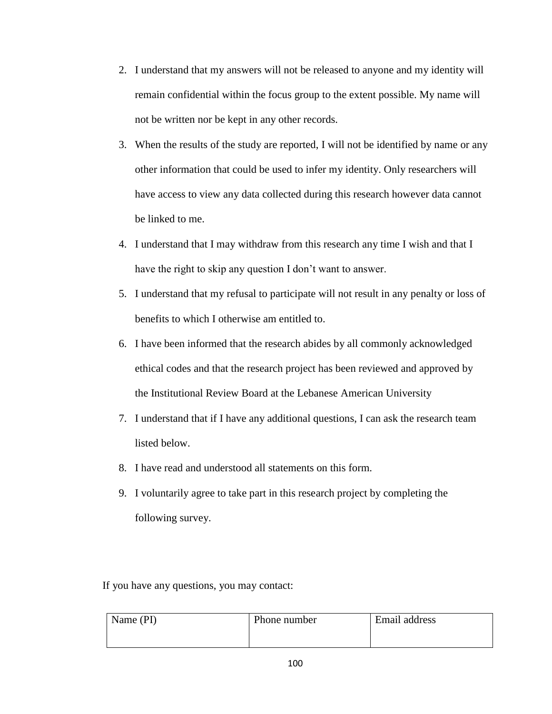- 2. I understand that my answers will not be released to anyone and my identity will remain confidential within the focus group to the extent possible. My name will not be written nor be kept in any other records.
- 3. When the results of the study are reported, I will not be identified by name or any other information that could be used to infer my identity. Only researchers will have access to view any data collected during this research however data cannot be linked to me.
- 4. I understand that I may withdraw from this research any time I wish and that I have the right to skip any question I don't want to answer.
- 5. I understand that my refusal to participate will not result in any penalty or loss of benefits to which I otherwise am entitled to.
- 6. I have been informed that the research abides by all commonly acknowledged ethical codes and that the research project has been reviewed and approved by the Institutional Review Board at the Lebanese American University
- 7. I understand that if I have any additional questions, I can ask the research team listed below.
- 8. I have read and understood all statements on this form.
- 9. I voluntarily agree to take part in this research project by completing the following survey.

If you have any questions, you may contact:

| Name (PI) | Phone number | Email address |
|-----------|--------------|---------------|
|           |              |               |